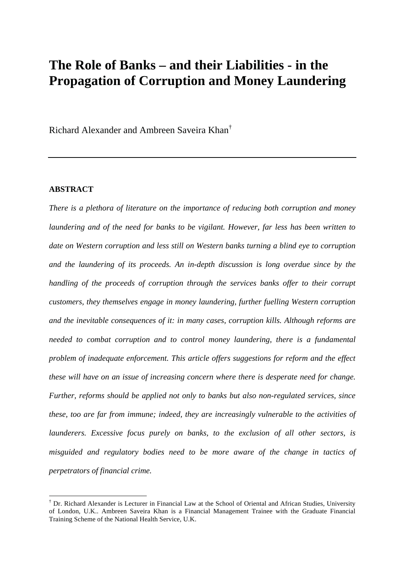# **The Role of Banks – and their Liabilities - in the Propagation of Corruption and Money Laundering**

Richard Alexander and Ambreen Saveira Khan†

#### **ABSTRACT**

*There is a plethora of literature on the importance of reducing both corruption and money laundering and of the need for banks to be vigilant. However, far less has been written to date on Western corruption and less still on Western banks turning a blind eye to corruption and the laundering of its proceeds. An in-depth discussion is long overdue since by the handling of the proceeds of corruption through the services banks offer to their corrupt customers, they themselves engage in money laundering, further fuelling Western corruption and the inevitable consequences of it: in many cases, corruption kills. Although reforms are needed to combat corruption and to control money laundering, there is a fundamental problem of inadequate enforcement. This article offers suggestions for reform and the effect these will have on an issue of increasing concern where there is desperate need for change. Further, reforms should be applied not only to banks but also non-regulated services, since these, too are far from immune; indeed, they are increasingly vulnerable to the activities of launderers. Excessive focus purely on banks, to the exclusion of all other sectors, is misguided and regulatory bodies need to be more aware of the change in tactics of perpetrators of financial crime.* 

<sup>†</sup> Dr. Richard Alexander is Lecturer in Financial Law at the School of Oriental and African Studies, University of London, U.K.. Ambreen Saveira Khan is a Financial Management Trainee with the Graduate Financial Training Scheme of the National Health Service, U.K.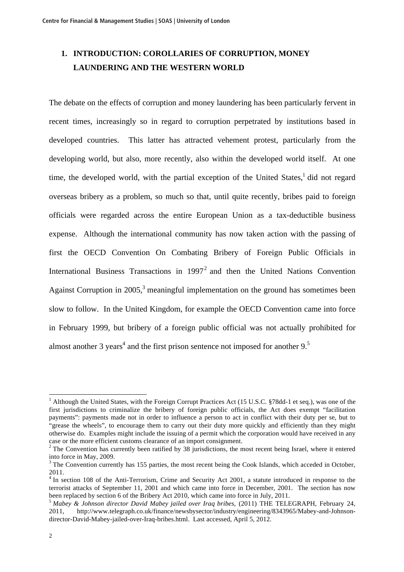# **1. INTRODUCTION: COROLLARIES OF CORRUPTION, MONEY LAUNDERING AND THE WESTERN WORLD**

The debate on the effects of corruption and money laundering has been particularly fervent in recent times, increasingly so in regard to corruption perpetrated by institutions based in developed countries. This latter has attracted vehement protest, particularly from the developing world, but also, more recently, also within the developed world itself. At one time, the developed world, with the partial exception of the United States, $\frac{1}{1}$  did not regard overseas bribery as a problem, so much so that, until quite recently, bribes paid to foreign officials were regarded across the entire European Union as a tax-deductible business expense. Although the international community has now taken action with the passing of first the OECD Convention On Combating Bribery of Foreign Public Officials in International Business Transactions in  $1997<sup>2</sup>$  and then the United Nations Convention Against Corruption in 2005, $3$  meaningful implementation on the ground has sometimes been slow to follow. In the United Kingdom, for example the OECD Convention came into force in February 1999, but bribery of a foreign public official was not actually prohibited for almost another 3 years<sup>4</sup> and the first prison sentence not imposed for another  $9<sup>5</sup>$ 

<sup>&</sup>lt;sup>1</sup> Although the United States, with the Foreign Corrupt Practices Act (15 U.S.C. §78dd-1 et seq.), was one of the first jurisdictions to criminalize the bribery of foreign public officials, the Act does exempt "facilitation payments": payments made not in order to influence a person to act in conflict with their duty per se, but to "grease the wheels", to encourage them to carry out their duty more quickly and efficiently than they might otherwise do. Examples might include the issuing of a permit which the corporation would have received in any case or the more efficient customs clearance of an import consignment.

 $2$  The Convention has currently been ratified by 38 jurisdictions, the most recent being Israel, where it entered into force in May, 2009.

<sup>&</sup>lt;sup>3</sup> The Convention currently has 155 parties, the most recent being the Cook Islands, which acceded in October, 2011.

<sup>&</sup>lt;sup>4</sup> In section 108 of the Anti-Terrorism, Crime and Security Act 2001, a statute introduced in response to the terrorist attacks of September 11, 2001 and which came into force in December, 2001. The section has now been replaced by section 6 of the Bribery Act 2010, which came into force in July, 2011.

<sup>5</sup> *Mabey & Johnson director David Mabey jailed over Iraq bribes*, (2011) THE TELEGRAPH, February 24, 2011, http://www.telegraph.co.uk/finance/newsbysector/industry/engineering/8343965/Mabey-and-Johnsondirector-David-Mabey-jailed-over-Iraq-bribes.html. Last accessed, April 5, 2012.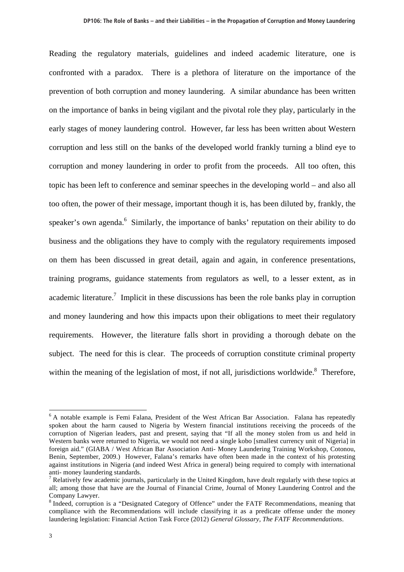Reading the regulatory materials, guidelines and indeed academic literature, one is confronted with a paradox. There is a plethora of literature on the importance of the prevention of both corruption and money laundering. A similar abundance has been written on the importance of banks in being vigilant and the pivotal role they play, particularly in the early stages of money laundering control. However, far less has been written about Western corruption and less still on the banks of the developed world frankly turning a blind eye to corruption and money laundering in order to profit from the proceeds. All too often, this topic has been left to conference and seminar speeches in the developing world – and also all too often, the power of their message, important though it is, has been diluted by, frankly, the speaker's own agenda.<sup>6</sup> Similarly, the importance of banks' reputation on their ability to do business and the obligations they have to comply with the regulatory requirements imposed on them has been discussed in great detail, again and again, in conference presentations, training programs, guidance statements from regulators as well, to a lesser extent, as in academic literature.<sup>7</sup> Implicit in these discussions has been the role banks play in corruption and money laundering and how this impacts upon their obligations to meet their regulatory requirements. However, the literature falls short in providing a thorough debate on the subject. The need for this is clear. The proceeds of corruption constitute criminal property within the meaning of the legislation of most, if not all, jurisdictions worldwide.<sup>8</sup> Therefore,

<sup>&</sup>lt;sup>6</sup> A notable example is Femi Falana, President of the West African Bar Association. Falana has repeatedly spoken about the harm caused to Nigeria by Western financial institutions receiving the proceeds of the corruption of Nigerian leaders, past and present, saying that "If all the money stolen from us and held in Western banks were returned to Nigeria, we would not need a single kobo [smallest currency unit of Nigeria] in foreign aid." (GIABA / West African Bar Association Anti- Money Laundering Training Workshop, Cotonou, Benin, September, 2009.) However, Falana's remarks have often been made in the context of his protesting against institutions in Nigeria (and indeed West Africa in general) being required to comply with international anti- money laundering standards.

 $<sup>7</sup>$  Relatively few academic journals, particularly in the United Kingdom, have dealt regularly with these topics at</sup> all; among those that have are the Journal of Financial Crime, Journal of Money Laundering Control and the Company Lawyer.

<sup>&</sup>lt;sup>8</sup> Indeed, corruption is a "Designated Category of Offence" under the FATF Recommendations, meaning that compliance with the Recommendations will include classifying it as a predicate offense under the money laundering legislation: Financial Action Task Force (2012) *General Glossary, The FATF Recommendations*.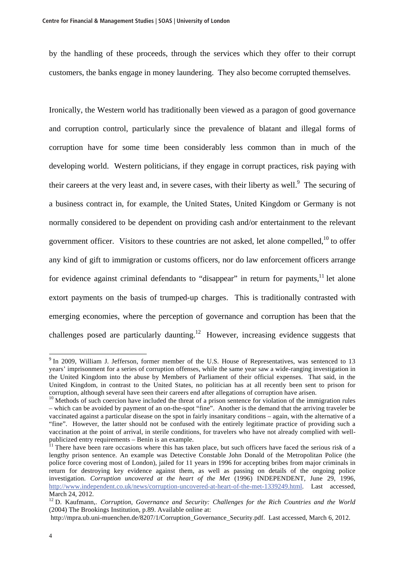by the handling of these proceeds, through the services which they offer to their corrupt customers, the banks engage in money laundering. They also become corrupted themselves.

Ironically, the Western world has traditionally been viewed as a paragon of good governance and corruption control, particularly since the prevalence of blatant and illegal forms of corruption have for some time been considerably less common than in much of the developing world. Western politicians, if they engage in corrupt practices, risk paying with their careers at the very least and, in severe cases, with their liberty as well. $\degree$  The securing of a business contract in, for example, the United States, United Kingdom or Germany is not normally considered to be dependent on providing cash and/or entertainment to the relevant government officer. Visitors to these countries are not asked, let alone compelled.<sup>10</sup> to offer any kind of gift to immigration or customs officers, nor do law enforcement officers arrange for evidence against criminal defendants to "disappear" in return for payments,  $\frac{1}{1}$  let alone extort payments on the basis of trumped-up charges. This is traditionally contrasted with emerging economies, where the perception of governance and corruption has been that the challenges posed are particularly daunting.<sup>12</sup> However, increasing evidence suggests that

<sup>&</sup>lt;sup>9</sup> In 2009, William J. Jefferson, former member of the U.S. House of Representatives, was sentenced to 13 years' imprisonment for a series of corruption offenses, while the same year saw a wide-ranging investigation in the United Kingdom into the abuse by Members of Parliament of their official expenses. That said, in the United Kingdom, in contrast to the United States, no politician has at all recently been sent to prison for corruption, although several have seen their careers end after allegations of corruption have arisen.

<sup>&</sup>lt;sup>10</sup> Methods of such coercion have included the threat of a prison sentence for violation of the immigration rules – which can be avoided by payment of an on-the-spot "fine". Another is the demand that the arriving traveler be vaccinated against a particular disease on the spot in fairly insanitary conditions – again, with the alternative of a "fine". However, the latter should not be confused with the entirely legitimate practice of providing such a vaccination at the point of arrival, in sterile conditions, for travelers who have not already complied with wellpublicized entry requirements – Benin is an example.

 $11$  There have been rare occasions where this has taken place, but such officers have faced the serious risk of a lengthy prison sentence. An example was Detective Constable John Donald of the Metropolitan Police (the police force covering most of London), jailed for 11 years in 1996 for accepting bribes from major criminals in return for destroying key evidence against them, as well as passing on details of the ongoing police investigation. *Corruption uncovered at the heart of the Met* (1996) INDEPENDENT, June 29, 1996, http://www.independent.co.uk/news/corruption-uncovered-at-heart-of-the-met-1339249.html. Last accessed, March 24, 2012.

<sup>&</sup>lt;sup>12</sup> D. Kaufmann,. *Corruption, Governance and Security: Challenges for the Rich Countries and the World* (2004) The Brookings Institution, p.89. Available online at:

http://mpra.ub.uni-muenchen.de/8207/1/Corruption Governance Security.pdf. Last accessed, March 6, 2012.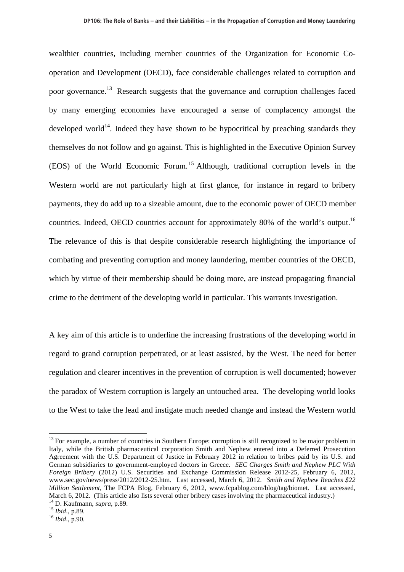wealthier countries, including member countries of the Organization for Economic Cooperation and Development (OECD), face considerable challenges related to corruption and poor governance.13 Research suggests that the governance and corruption challenges faced by many emerging economies have encouraged a sense of complacency amongst the developed world<sup>14</sup>. Indeed they have shown to be hypocritical by preaching standards they themselves do not follow and go against. This is highlighted in the Executive Opinion Survey (EOS) of the World Economic Forum.15 Although, traditional corruption levels in the Western world are not particularly high at first glance, for instance in regard to bribery payments, they do add up to a sizeable amount, due to the economic power of OECD member countries. Indeed, OECD countries account for approximately 80% of the world's output.<sup>16</sup> The relevance of this is that despite considerable research highlighting the importance of combating and preventing corruption and money laundering, member countries of the OECD, which by virtue of their membership should be doing more, are instead propagating financial crime to the detriment of the developing world in particular. This warrants investigation.

A key aim of this article is to underline the increasing frustrations of the developing world in regard to grand corruption perpetrated, or at least assisted, by the West. The need for better regulation and clearer incentives in the prevention of corruption is well documented; however the paradox of Western corruption is largely an untouched area. The developing world looks to the West to take the lead and instigate much needed change and instead the Western world

<sup>&</sup>lt;sup>13</sup> For example, a number of countries in Southern Europe: corruption is still recognized to be major problem in Italy, while the British pharmaceutical corporation Smith and Nephew entered into a Deferred Prosecution Agreement with the U.S. Department of Justice in February 2012 in relation to bribes paid by its U.S. and German subsidiaries to government-employed doctors in Greece. *SEC Charges Smith and Nephew PLC With Foreign Bribery* (2012) U.S. Securities and Exchange Commission Release 2012-25, February 6, 2012, www.sec.gov/news/press/2012/2012-25.htm. Last accessed, March 6, 2012. *Smith and Nephew Reaches \$22 Million Settlement*, The FCPA Blog, February 6, 2012, www.fcpablog.com/blog/tag/biomet. Last accessed, March 6, 2012. (This article also lists several other bribery cases involving the pharmaceutical industry.)

<sup>14</sup> D. Kaufmann, *supra*, p.89. 15 *Ibid*., p.89. <sup>16</sup> *Ibid*., p.90.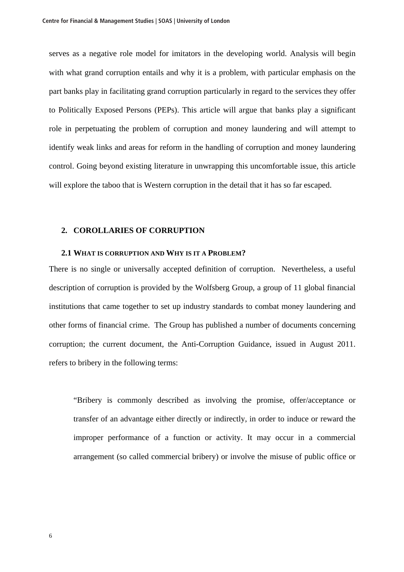serves as a negative role model for imitators in the developing world. Analysis will begin with what grand corruption entails and why it is a problem, with particular emphasis on the part banks play in facilitating grand corruption particularly in regard to the services they offer to Politically Exposed Persons (PEPs). This article will argue that banks play a significant role in perpetuating the problem of corruption and money laundering and will attempt to identify weak links and areas for reform in the handling of corruption and money laundering control. Going beyond existing literature in unwrapping this uncomfortable issue, this article will explore the taboo that is Western corruption in the detail that it has so far escaped.

#### **2. COROLLARIES OF CORRUPTION**

#### **2.1 WHAT IS CORRUPTION AND WHY IS IT A PROBLEM?**

There is no single or universally accepted definition of corruption. Nevertheless, a useful description of corruption is provided by the Wolfsberg Group, a group of 11 global financial institutions that came together to set up industry standards to combat money laundering and other forms of financial crime. The Group has published a number of documents concerning corruption; the current document, the Anti-Corruption Guidance, issued in August 2011. refers to bribery in the following terms:

"Bribery is commonly described as involving the promise, offer/acceptance or transfer of an advantage either directly or indirectly, in order to induce or reward the improper performance of a function or activity. It may occur in a commercial arrangement (so called commercial bribery) or involve the misuse of public office or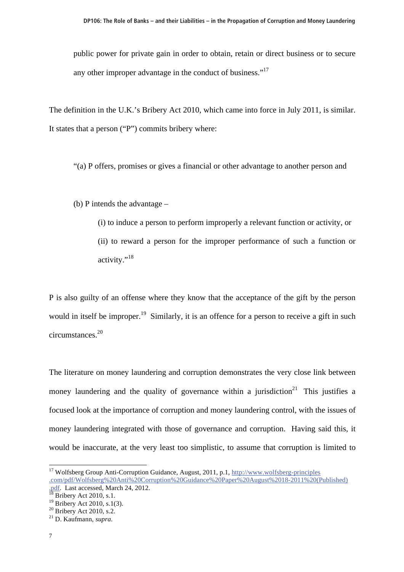public power for private gain in order to obtain, retain or direct business or to secure any other improper advantage in the conduct of business."<sup>17</sup>

The definition in the U.K.'s Bribery Act 2010, which came into force in July 2011, is similar. It states that a person ("P") commits bribery where:

"(a) P offers, promises or gives a financial or other advantage to another person and

(b) P intends the advantage –

(i) to induce a person to perform improperly a relevant function or activity, or (ii) to reward a person for the improper performance of such a function or activity."<sup>18</sup>

P is also guilty of an offense where they know that the acceptance of the gift by the person would in itself be improper.<sup>19</sup> Similarly, it is an offence for a person to receive a gift in such circumstances.<sup>20</sup>

The literature on money laundering and corruption demonstrates the very close link between money laundering and the quality of governance within a jurisdiction<sup>21</sup> This justifies a focused look at the importance of corruption and money laundering control, with the issues of money laundering integrated with those of governance and corruption. Having said this, it would be inaccurate, at the very least too simplistic, to assume that corruption is limited to

<sup>&</sup>lt;sup>17</sup> Wolfsberg Group Anti-Corruption Guidance, August, 2011, p.1, http://www.wolfsberg-principles .com/pdf/Wolfsberg%20Anti%20Corruption%20Guidance%20Paper%20August%2018-2011%20(Published)

<sup>.</sup>pdf. Last accessed, March 24, 2012. 18 Bribery Act 2010, s.1.

<sup>&</sup>lt;sup>19</sup> Bribery Act 2010, s.1(3).

 $20$  Bribery Act 2010, s.2.

<sup>21</sup> D. Kaufmann, *supra*.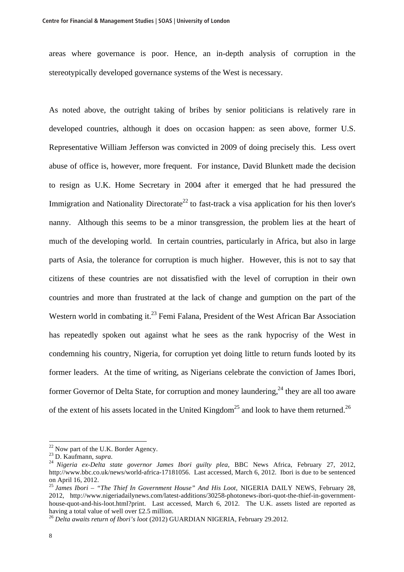areas where governance is poor. Hence, an in-depth analysis of corruption in the stereotypically developed governance systems of the West is necessary.

As noted above, the outright taking of bribes by senior politicians is relatively rare in developed countries, although it does on occasion happen: as seen above, former U.S. Representative William Jefferson was convicted in 2009 of doing precisely this. Less overt abuse of office is, however, more frequent. For instance, David Blunkett made the decision to resign as U.K. Home Secretary in 2004 after it emerged that he had pressured the Immigration and Nationality Directorate<sup>22</sup> to fast-track a visa application for his then lover's nanny. Although this seems to be a minor transgression, the problem lies at the heart of much of the developing world. In certain countries, particularly in Africa, but also in large parts of Asia, the tolerance for corruption is much higher. However, this is not to say that citizens of these countries are not dissatisfied with the level of corruption in their own countries and more than frustrated at the lack of change and gumption on the part of the Western world in combating it.<sup>23</sup> Femi Falana, President of the West African Bar Association has repeatedly spoken out against what he sees as the rank hypocrisy of the West in condemning his country, Nigeria, for corruption yet doing little to return funds looted by its former leaders. At the time of writing, as Nigerians celebrate the conviction of James Ibori, former Governor of Delta State, for corruption and money laundering.<sup>24</sup> they are all too aware of the extent of his assets located in the United Kingdom<sup>25</sup> and look to have them returned.<sup>26</sup>

<sup>&</sup>lt;sup>22</sup> Now part of the U.K. Border Agency.<br><sup>23</sup> D. Kaufmann, *supra*.

<sup>&</sup>lt;sup>24</sup> Nigeria ex-Delta state governor James Ibori guilty plea, BBC News Africa, February 27, 2012, http://www.bbc.co.uk/news/world-africa-17181056. Last accessed, March 6, 2012. Ibori is due to be sentenced on April 16, 2012.

<sup>25</sup> *James Ibori – "The Thief In Government House" And His Loot*, NIGERIA DAILY NEWS, February 28, 2012, http://www.nigeriadailynews.com/latest-additions/30258-photonews-ibori-quot-the-thief-in-governmenthouse-quot-and-his-loot.html?print. Last accessed, March 6, 2012. The U.K. assets listed are reported as having a total value of well over £2.5 million.

<sup>26</sup> *Delta awaits return of Ibori's loot* (2012) GUARDIAN NIGERIA, February 29.2012.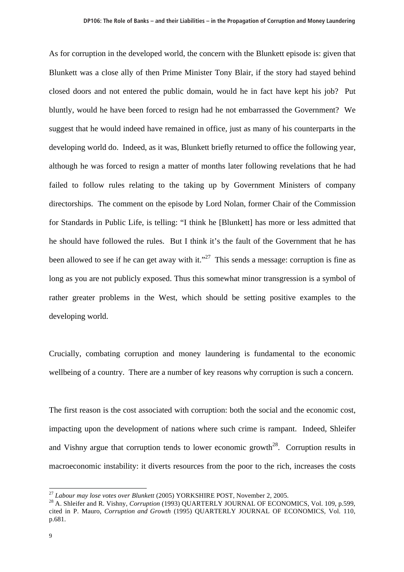As for corruption in the developed world, the concern with the Blunkett episode is: given that Blunkett was a close ally of then Prime Minister Tony Blair, if the story had stayed behind closed doors and not entered the public domain, would he in fact have kept his job? Put bluntly, would he have been forced to resign had he not embarrassed the Government? We suggest that he would indeed have remained in office, just as many of his counterparts in the developing world do. Indeed, as it was, Blunkett briefly returned to office the following year, although he was forced to resign a matter of months later following revelations that he had failed to follow rules relating to the taking up by Government Ministers of company directorships. The comment on the episode by Lord Nolan, former Chair of the Commission for Standards in Public Life, is telling: "I think he [Blunkett] has more or less admitted that he should have followed the rules. But I think it's the fault of the Government that he has been allowed to see if he can get away with it."<sup>27</sup> This sends a message: corruption is fine as long as you are not publicly exposed. Thus this somewhat minor transgression is a symbol of rather greater problems in the West, which should be setting positive examples to the developing world.

Crucially, combating corruption and money laundering is fundamental to the economic wellbeing of a country. There are a number of key reasons why corruption is such a concern.

The first reason is the cost associated with corruption: both the social and the economic cost, impacting upon the development of nations where such crime is rampant. Indeed, Shleifer and Vishny argue that corruption tends to lower economic growth<sup>28</sup>. Corruption results in macroeconomic instability: it diverts resources from the poor to the rich, increases the costs

 $\overline{a}$ 

<sup>&</sup>lt;sup>27</sup> *Labour may lose votes over Blunkett* (2005) YORKSHIRE POST, November 2, 2005.<br><sup>28</sup> A. Shleifer and R. Vishny, *Corruption* (1993) QUARTERLY JOURNAL OF ECONOMICS, Vol. 109, p.599, cited in P. Mauro, *Corruption and Growth* (1995) QUARTERLY JOURNAL OF ECONOMICS, Vol. 110, p.681.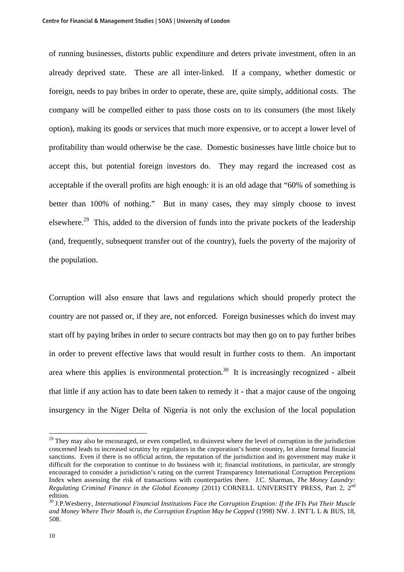of running businesses, distorts public expenditure and deters private investment, often in an already deprived state. These are all inter-linked. If a company, whether domestic or foreign, needs to pay bribes in order to operate, these are, quite simply, additional costs. The company will be compelled either to pass those costs on to its consumers (the most likely option), making its goods or services that much more expensive, or to accept a lower level of profitability than would otherwise be the case. Domestic businesses have little choice but to accept this, but potential foreign investors do. They may regard the increased cost as acceptable if the overall profits are high enough: it is an old adage that "60% of something is better than 100% of nothing." But in many cases, they may simply choose to invest elsewhere.<sup>29</sup> This, added to the diversion of funds into the private pockets of the leadership (and, frequently, subsequent transfer out of the country), fuels the poverty of the majority of the population.

Corruption will also ensure that laws and regulations which should properly protect the country are not passed or, if they are, not enforced. Foreign businesses which do invest may start off by paying bribes in order to secure contracts but may then go on to pay further bribes in order to prevent effective laws that would result in further costs to them. An important area where this applies is environmental protection.<sup>30</sup> It is increasingly recognized - albeit that little if any action has to date been taken to remedy it - that a major cause of the ongoing insurgency in the Niger Delta of Nigeria is not only the exclusion of the local population

<sup>&</sup>lt;sup>29</sup> They may also be encouraged, or even compelled, to disinvest where the level of corruption in the jurisdiction concerned leads to increased scrutiny by regulators in the corporation's home country, let alone formal financial sanctions. Even if there is no official action, the reputation of the jurisdiction and its government may make it difficult for the corporation to continue to do business with it; financial institutions, in particular, are strongly encouraged to consider a jurisdiction's rating on the current Transparency International Corruption Perceptions Index when assessing the risk of transactions with counterparties there. J.C. Sharman, *The Money Laundry: Regulating Criminal Finance in the Global Economy* (2011) CORNELL UNIVERSITY PRESS, Part 2, 2nd edition.

<sup>30</sup> J.P.Wesberry, *International Financial Institutions Face the Corruption Eruption: If the IFIs Put Their Muscle and Money Where Their Mouth is, the Corruption Eruption May be Capped* (1998) NW. J. INT'L L & BUS*,* 18, 508.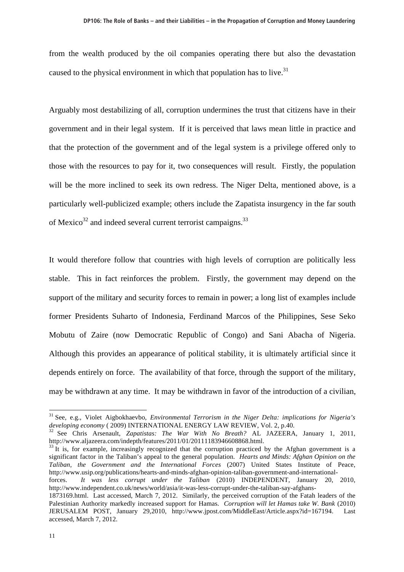from the wealth produced by the oil companies operating there but also the devastation caused to the physical environment in which that population has to live. $31$ 

Arguably most destabilizing of all, corruption undermines the trust that citizens have in their government and in their legal system. If it is perceived that laws mean little in practice and that the protection of the government and of the legal system is a privilege offered only to those with the resources to pay for it, two consequences will result. Firstly, the population will be the more inclined to seek its own redress. The Niger Delta, mentioned above, is a particularly well-publicized example; others include the Zapatista insurgency in the far south of Mexico $32$  and indeed several current terrorist campaigns.<sup>33</sup>

It would therefore follow that countries with high levels of corruption are politically less stable. This in fact reinforces the problem. Firstly, the government may depend on the support of the military and security forces to remain in power; a long list of examples include former Presidents Suharto of Indonesia, Ferdinand Marcos of the Philippines, Sese Seko Mobutu of Zaire (now Democratic Republic of Congo) and Sani Abacha of Nigeria. Although this provides an appearance of political stability, it is ultimately artificial since it depends entirely on force. The availability of that force, through the support of the military, may be withdrawn at any time. It may be withdrawn in favor of the introduction of a civilian,

significant factor in the Taliban's appeal to the general population. *Hearts and Minds: Afghan Opinion on the Taliban, the Government and the International Forces* (2007) United States Institute of Peace, http://www.usip.org/publications/hearts-and-minds-afghan-opinion-taliban-government-and-international-

forces. *It was less corrupt under the Taliban* (2010) INDEPENDENT, January 20, 2010, http://www.independent.co.uk/news/world/asia/it-was-less-corrupt-under-the-taliban-say-afghans-

<sup>31</sup> See, e.g., Violet Aigbokhaevbo, *Environmental Terrorism in the Niger Delta: implications for Nigeria's developing economy* ( 2009) INTERNATIONAL ENERGY LAW REVIEW, Vol. 2, p.40.<br><sup>32</sup> See Chris Arsenault, *Zapatistas: The War With No Breath?* AL JAZEERA, January 1, 2011,

http://www.aljazeera.com/indepth/features/2011/01/20111183946608868.html.<br><sup>33</sup> It is, for example, increasingly recognized that the corruption practiced by the Afghan government is a

<sup>1873169.</sup>html. Last accessed, March 7, 2012. Similarly, the perceived corruption of the Fatah leaders of the Palestinian Authority markedly increased support for Hamas. *Corruption will let Hamas take W. Bank* (2010) JERUSALEM POST, January 29,2010, http://www.jpost.com/MiddleEast/Article.aspx?id=167194. Last accessed, March 7, 2012.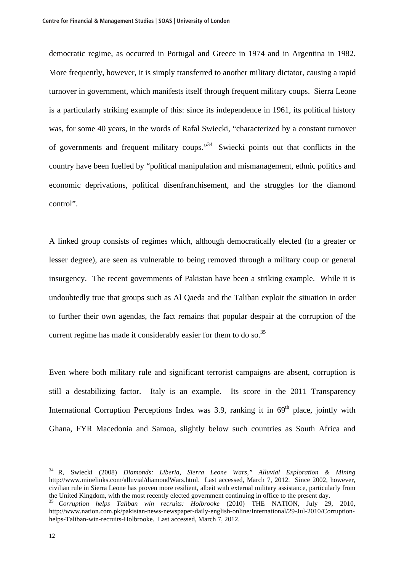democratic regime, as occurred in Portugal and Greece in 1974 and in Argentina in 1982. More frequently, however, it is simply transferred to another military dictator, causing a rapid turnover in government, which manifests itself through frequent military coups. Sierra Leone is a particularly striking example of this: since its independence in 1961, its political history was, for some 40 years, in the words of Rafal Swiecki, "characterized by a constant turnover of governments and frequent military coups."34 Swiecki points out that conflicts in the country have been fuelled by "political manipulation and mismanagement, ethnic politics and economic deprivations, political disenfranchisement, and the struggles for the diamond control".

A linked group consists of regimes which, although democratically elected (to a greater or lesser degree), are seen as vulnerable to being removed through a military coup or general insurgency. The recent governments of Pakistan have been a striking example. While it is undoubtedly true that groups such as Al Qaeda and the Taliban exploit the situation in order to further their own agendas, the fact remains that popular despair at the corruption of the current regime has made it considerably easier for them to do so.<sup>35</sup>

Even where both military rule and significant terrorist campaigns are absent, corruption is still a destabilizing factor. Italy is an example. Its score in the 2011 Transparency International Corruption Perceptions Index was 3.9, ranking it in  $69<sup>th</sup>$  place, jointly with Ghana, FYR Macedonia and Samoa, slightly below such countries as South Africa and

<sup>34</sup> R, Swiecki (2008) *Diamonds: Liberia, Sierra Leone Wars," Alluvial Exploration & Mining* http://www.minelinks.com/alluvial/diamondWars.html. Last accessed, March 7, 2012. Since 2002, however, civilian rule in Sierra Leone has proven more resilient, albeit with external military assistance, particularly from the United Kingdom, with the most recently elected government continuing in office to the present day.

<sup>35</sup> *Corruption helps Taliban win recruits: Holbrooke* (2010) THE NATION, July 29, 2010, http://www.nation.com.pk/pakistan-news-newspaper-daily-english-online/International/29-Jul-2010/Corruptionhelps-Taliban-win-recruits-Holbrooke. Last accessed, March 7, 2012.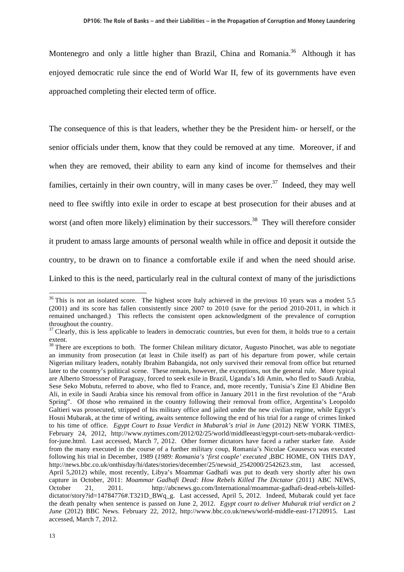Montenegro and only a little higher than Brazil, China and Romania.<sup>36</sup> Although it has enjoyed democratic rule since the end of World War II, few of its governments have even approached completing their elected term of office.

The consequence of this is that leaders, whether they be the President him- or herself, or the senior officials under them, know that they could be removed at any time. Moreover, if and when they are removed, their ability to earn any kind of income for themselves and their families, certainly in their own country, will in many cases be over.<sup>37</sup> Indeed, they may well need to flee swiftly into exile in order to escape at best prosecution for their abuses and at worst (and often more likely) elimination by their successors.<sup>38</sup> They will therefore consider it prudent to amass large amounts of personal wealth while in office and deposit it outside the country, to be drawn on to finance a comfortable exile if and when the need should arise. Linked to this is the need, particularly real in the cultural context of many of the jurisdictions

 $\overline{a}$ 

 $36$  This is not an isolated score. The highest score Italy achieved in the previous 10 years was a modest 5.5 (2001) and its score has fallen consistently since 2007 to 2010 (save for the period 2010-2011, in which it remained unchanged.) This reflects the consistent open acknowledgment of the prevalence of corruption throughout the country.

 $37$  Clearly, this is less applicable to leaders in democratic countries, but even for them, it holds true to a certain extent.

 $38$  There are exceptions to both. The former Chilean military dictator, Augusto Pinochet, was able to negotiate an immunity from prosecution (at least in Chile itself) as part of his departure from power, while certain Nigerian military leaders, notably Ibrahim Babangida, not only survived their removal from office but returned later to the country's political scene. These remain, however, the exceptions, not the general rule. More typical are Alberto Stroessner of Paraguay, forced to seek exile in Brazil, Uganda's Idi Amin, who fled to Saudi Arabia, Sese Seko Mobutu, referred to above, who fled to France, and, more recently, Tunisia's Zine El Abidine Ben Ali, in exile in Saudi Arabia since his removal from office in January 2011 in the first revolution of the "Arab Spring". Of those who remained in the country following their removal from office, Argentina's Leopoldo Galtieri was prosecuted, stripped of his military office and jailed under the new civilian regime, while Egypt's Hosni Mubarak, at the time of writing, awaits sentence following the end of his trial for a range of crimes linked to his time of office. *Egypt Court to Issue Verdict in Mubarak's trial in June* (2012) NEW YORK TIMES, February 24, 2012, http://www.nytimes.com/2012/02/25/world/middleeast/egypt-court-sets-mubarak-verdictfor-june.html. Last accessed, March 7, 2012. Other former dictators have faced a rather starker fate. Aside from the many executed in the course of a further military coup, Romania's Nicolae Ceausescu was executed following his trial in December, 1989 (*1989: Romania's 'first couple' executed* ,BBC HOME, ON THIS DAY, http://news.bbc.co.uk/onthisday/hi/dates/stories/december/25/newsid\_2542000/2542623.stm, last accessed, April 5,2012) while, most recently, Libya's Moammar Gadhafi was put to death very shortly after his own capture in October, 2011: *Moammar Gadhafi Dead: How Rebels Killed The Dictator* (2011) ABC NEWS, October 21, 2011. http://abcnews.go.com/International/moammar-gadhafi-dead-rebels-killeddictator/story?id=14784776#.T321D\_BWq\_g. Last accessed, April 5, 2012. Indeed, Mubarak could yet face the death penalty when sentence is passed on June 2, 2012. *Egypt court to deliver Mubarak trial verdict on 2 June* (2012) BBC News. February 22, 2012, http://www.bbc.co.uk/news/world-middle-east-17120915. Last accessed, March 7, 2012.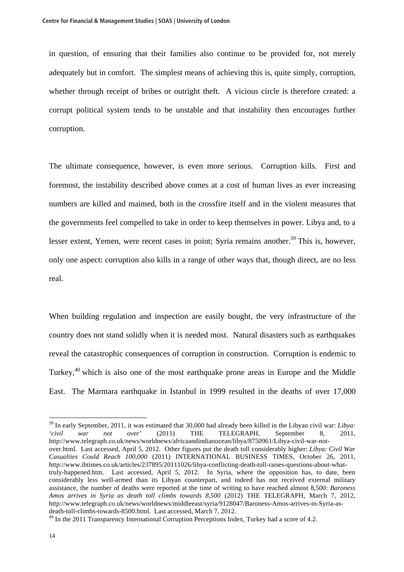in question, of ensuring that their families also continue to be provided for, not merely adequately but in comfort. The simplest means of achieving this is, quite simply, corruption, whether through receipt of bribes or outright theft. A vicious circle is therefore created: a corrupt political system tends to be unstable and that instability then encourages further corruption.

The ultimate consequence, however, is even more serious. Corruption kills. First and foremost, the instability described above comes at a cost of human lives as ever increasing numbers are killed and maimed, both in the crossfire itself and in the violent measures that the governments feel compelled to take in order to keep themselves in power. Libya and, to a lesser extent, Yemen, were recent cases in point; Syria remains another.<sup>39</sup> This is, however, only one aspect: corruption also kills in a range of other ways that, though direct, are no less real.

When building regulation and inspection are easily bought, the very infrastructure of the country does not stand solidly when it is needed most. Natural disasters such as earthquakes reveal the catastrophic consequences of corruption in construction. Corruption is endemic to Turkey,40 which is also one of the most earthquake prone areas in Europe and the Middle East. The Marmara earthquake in Istanbul in 1999 resulted in the deaths of over 17,000

<sup>39</sup> In early September, 2011, it was estimated that 30,000 had already been killed in the Libyan civil war: *Libya: 'civil war not over'* (2011) THE TELEGRAPH, September 8, 2011, http://www.telegraph.co.uk/news/worldnews/africaandindianocean/libya/8750961/Libya-civil-war-notover.html. Last accessed, April 5, 2012. Other figures put the death toll considerably higher: *Libya: Civil War Casualties Could Reach 100,000* (2011) INTERNATIONAL BUSINESS TIMES, October 26, 2011, http://www.ibtimes.co.uk/articles/237895/20111026/libya-conflicting-death-toll-raises-questions-about-whattruly-happened.htm. Last accessed, April 5, 2012. In Syria, where the opposition has, to date, been considerably less well-armed than its Libyan counterpart, and indeed has not received external military assistance, the number of deaths were reported at the time of writing to have reached almost 8,500: *Baroness Amos arrives in Syria as death toll climbs towards 8,500* (2012) THE TELEGRAPH, March 7, 2012, http://www.telegraph.co.uk/news/worldnews/middleeast/syria/9128047/Baroness-Amos-arrives-in-Syria-asdeath-toll-climbs-towards-8500.html. Last accessed, March 7, 2012.

 $40$  In the 2011 Transparency International Corruption Perceptions Index, Turkey had a score of 4.2.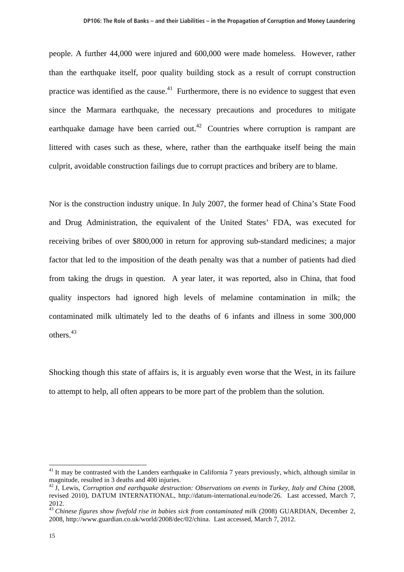people. A further 44,000 were injured and 600,000 were made homeless. However, rather than the earthquake itself, poor quality building stock as a result of corrupt construction practice was identified as the cause.<sup>41</sup> Furthermore, there is no evidence to suggest that even since the Marmara earthquake, the necessary precautions and procedures to mitigate earthquake damage have been carried out.<sup>42</sup> Countries where corruption is rampant are littered with cases such as these, where, rather than the earthquake itself being the main culprit, avoidable construction failings due to corrupt practices and bribery are to blame.

Nor is the construction industry unique. In July 2007, the former head of China's State Food and Drug Administration, the equivalent of the United States' FDA, was executed for receiving bribes of over \$800,000 in return for approving sub-standard medicines; a major factor that led to the imposition of the death penalty was that a number of patients had died from taking the drugs in question. A year later, it was reported, also in China, that food quality inspectors had ignored high levels of melamine contamination in milk; the contaminated milk ultimately led to the deaths of 6 infants and illness in some 300,000 others.<sup>43</sup>

Shocking though this state of affairs is, it is arguably even worse that the West, in its failure to attempt to help, all often appears to be more part of the problem than the solution.

 $41$  It may be contrasted with the Landers earthquake in California 7 years previously, which, although similar in magnitude, resulted in 3 deaths and 400 injuries.

<sup>42</sup> J, Lewis, *Corruption and earthquake destruction: Observations on events in Turkey, Italy and China* (2008, revised 2010), DATUM INTERNATIONAL, http://datum-international.eu/node/26. Last accessed, March 7, 2012.

<sup>&</sup>lt;sup>43</sup> *Chinese figures show fivefold rise in babies sick from contaminated milk* (2008) GUARDIAN, December 2, 2008, http://www.guardian.co.uk/world/2008/dec/02/china. Last accessed, March 7, 2012.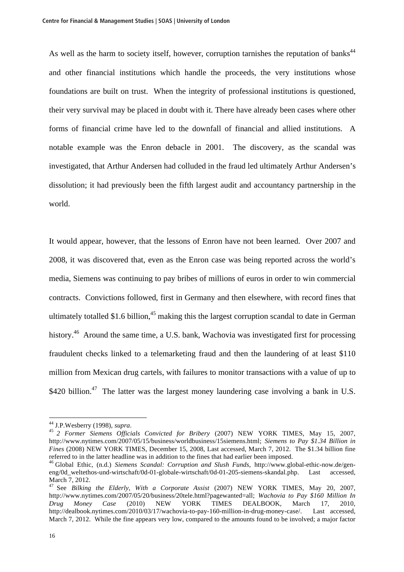As well as the harm to society itself, however, corruption tarnishes the reputation of banks<sup>44</sup> and other financial institutions which handle the proceeds, the very institutions whose foundations are built on trust. When the integrity of professional institutions is questioned, their very survival may be placed in doubt with it. There have already been cases where other forms of financial crime have led to the downfall of financial and allied institutions. A notable example was the Enron debacle in 2001. The discovery, as the scandal was investigated, that Arthur Andersen had colluded in the fraud led ultimately Arthur Andersen's dissolution; it had previously been the fifth largest audit and accountancy partnership in the world.

It would appear, however, that the lessons of Enron have not been learned. Over 2007 and 2008, it was discovered that, even as the Enron case was being reported across the world's media, Siemens was continuing to pay bribes of millions of euros in order to win commercial contracts. Convictions followed, first in Germany and then elsewhere, with record fines that ultimately totalled \$1.6 billion,<sup>45</sup> making this the largest corruption scandal to date in German history.<sup>46</sup> Around the same time, a U.S. bank, Wachovia was investigated first for processing fraudulent checks linked to a telemarketing fraud and then the laundering of at least \$110 million from Mexican drug cartels, with failures to monitor transactions with a value of up to \$420 billion.<sup>47</sup> The latter was the largest money laundering case involving a bank in U.S.

<sup>44</sup> J.P.Wesberry (1998), *supra*. <sup>45</sup> *2 Former Siemens Officials Convicted for Bribery* (2007) NEW YORK TIMES, May 15, 2007, http://www.nytimes.com/2007/05/15/business/worldbusiness/15siemens.html; *Siemens to Pay \$1.34 Billion in Fines* (2008) NEW YORK TIMES, December 15, 2008, Last accessed, March 7, 2012. The \$1.34 billion fine referred to in the latter headline was in addition to the fines that had earlier been imposed.

<sup>46</sup> Global Ethic, (n.d.) *Siemens Scandal: Corruption and Slush Funds*, http://www.global-ethic-now.de/geneng/0d\_weltethos-und-wirtschaft/0d-01-globale-wirtschaft/0d-01-205-siemens-skandal.php. Last accessed, March 7, 2012.

<sup>47</sup> See *Bilking the Elderly, With a Corporate Assist* (2007) NEW YORK TIMES, May 20, 2007, http://www.nytimes.com/2007/05/20/business/20tele.html?pagewanted=all; *Wachovia to Pay \$160 Million In Drug Money Case* (2010) NEW YORK TIMES DEALBOOK, March 17, 2010, http://dealbook.nytimes.com/2010/03/17/wachovia-to-pay-160-million-in-drug-money-case/. Last accessed, March 7, 2012. While the fine appears very low, compared to the amounts found to be involved; a major factor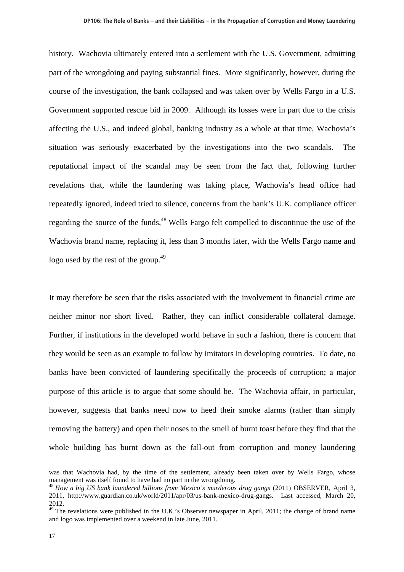history. Wachovia ultimately entered into a settlement with the U.S. Government, admitting part of the wrongdoing and paying substantial fines. More significantly, however, during the course of the investigation, the bank collapsed and was taken over by Wells Fargo in a U.S. Government supported rescue bid in 2009. Although its losses were in part due to the crisis affecting the U.S., and indeed global, banking industry as a whole at that time, Wachovia's situation was seriously exacerbated by the investigations into the two scandals. The reputational impact of the scandal may be seen from the fact that, following further revelations that, while the laundering was taking place, Wachovia's head office had repeatedly ignored, indeed tried to silence, concerns from the bank's U.K. compliance officer regarding the source of the funds,<sup>48</sup> Wells Fargo felt compelled to discontinue the use of the Wachovia brand name, replacing it, less than 3 months later, with the Wells Fargo name and logo used by the rest of the group.<sup>49</sup>

It may therefore be seen that the risks associated with the involvement in financial crime are neither minor nor short lived. Rather, they can inflict considerable collateral damage. Further, if institutions in the developed world behave in such a fashion, there is concern that they would be seen as an example to follow by imitators in developing countries. To date, no banks have been convicted of laundering specifically the proceeds of corruption; a major purpose of this article is to argue that some should be. The Wachovia affair, in particular, however, suggests that banks need now to heed their smoke alarms (rather than simply removing the battery) and open their noses to the smell of burnt toast before they find that the whole building has burnt down as the fall-out from corruption and money laundering

was that Wachovia had, by the time of the settlement, already been taken over by Wells Fargo, whose management was itself found to have had no part in the wrongdoing.

<sup>48</sup> *How a big US bank laundered billions from Mexico's murderous drug gangs* (2011) OBSERVER, April 3, 2011, http://www.guardian.co.uk/world/2011/apr/03/us-bank-mexico-drug-gangs. Last accessed, March 20, 2012.

 $49$  The revelations were published in the U.K.'s Observer newspaper in April, 2011; the change of brand name and logo was implemented over a weekend in late June, 2011.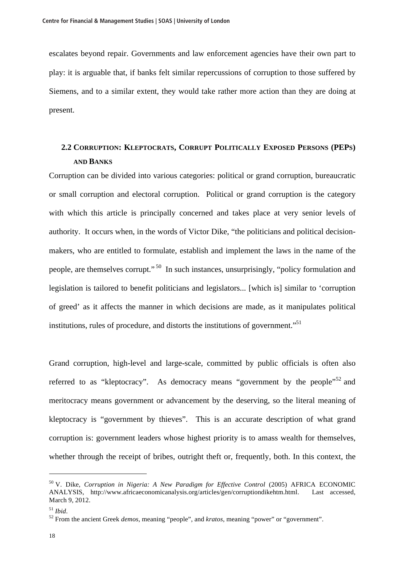escalates beyond repair. Governments and law enforcement agencies have their own part to play: it is arguable that, if banks felt similar repercussions of corruption to those suffered by Siemens, and to a similar extent, they would take rather more action than they are doing at present.

# **2.2 CORRUPTION: KLEPTOCRATS, CORRUPT POLITICALLY EXPOSED PERSONS (PEPS) AND BANKS**

Corruption can be divided into various categories: political or grand corruption, bureaucratic or small corruption and electoral corruption. Political or grand corruption is the category with which this article is principally concerned and takes place at very senior levels of authority. It occurs when, in the words of Victor Dike, "the politicians and political decisionmakers, who are entitled to formulate, establish and implement the laws in the name of the people, are themselves corrupt." 50 In such instances, unsurprisingly, "policy formulation and legislation is tailored to benefit politicians and legislators... [which is] similar to 'corruption of greed' as it affects the manner in which decisions are made, as it manipulates political institutions, rules of procedure, and distorts the institutions of government. $\cdot$ <sup>51</sup>

Grand corruption, high-level and large-scale, committed by public officials is often also referred to as "kleptocracy". As democracy means "government by the people"<sup>52</sup> and meritocracy means government or advancement by the deserving, so the literal meaning of kleptocracy is "government by thieves". This is an accurate description of what grand corruption is: government leaders whose highest priority is to amass wealth for themselves, whether through the receipt of bribes, outright theft or, frequently, both. In this context, the

<sup>50</sup> V. Dike, *Corruption in Nigeria: A New Paradigm for Effective Control* (2005) AFRICA ECONOMIC ANALYSIS, http://www.africaeconomicanalysis.org/articles/gen/corruptiondikehtm.html. Last accessed, March 9, 2012.

<sup>51</sup> *Ibid*. 52 From the ancient Greek *demos*, meaning "people", and *kratos*, meaning "power" or "government".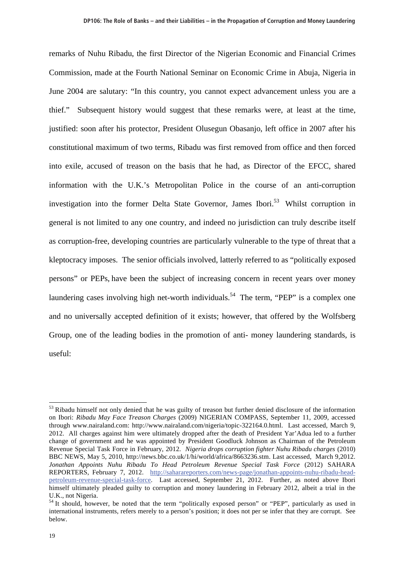remarks of Nuhu Ribadu, the first Director of the Nigerian Economic and Financial Crimes Commission, made at the Fourth National Seminar on Economic Crime in Abuja, Nigeria in June 2004 are salutary: "In this country, you cannot expect advancement unless you are a thief." Subsequent history would suggest that these remarks were, at least at the time, justified: soon after his protector, President Olusegun Obasanjo, left office in 2007 after his constitutional maximum of two terms, Ribadu was first removed from office and then forced into exile, accused of treason on the basis that he had, as Director of the EFCC, shared information with the U.K.'s Metropolitan Police in the course of an anti-corruption investigation into the former Delta State Governor, James Ibori.<sup>53</sup> Whilst corruption in general is not limited to any one country, and indeed no jurisdiction can truly describe itself as corruption-free, developing countries are particularly vulnerable to the type of threat that a kleptocracy imposes. The senior officials involved, latterly referred to as "politically exposed persons" or PEPs, have been the subject of increasing concern in recent years over money laundering cases involving high net-worth individuals.<sup>54</sup> The term, "PEP" is a complex one and no universally accepted definition of it exists; however, that offered by the Wolfsberg Group, one of the leading bodies in the promotion of anti- money laundering standards, is useful:

<sup>&</sup>lt;sup>53</sup> Ribadu himself not only denied that he was guilty of treason but further denied disclosure of the information on Ibori: *Ribadu May Face Treason Charges* (2009) NIGERIAN COMPASS, September 11, 2009, accessed through www.nairaland.com: http://www.nairaland.com/nigeria/topic-322164.0.html. Last accessed, March 9, 2012. All charges against him were ultimately dropped after the death of President Yar'Adua led to a further change of government and he was appointed by President Goodluck Johnson as Chairman of the Petroleum Revenue Special Task Force in February, 2012. *Nigeria drops corruption fighter Nuhu Ribadu charges* (2010) BBC NEWS, May 5, 2010, http://news.bbc.co.uk/1/hi/world/africa/8663236.stm. Last accessed, March 9,2012. *Jonathan Appoints Nuhu Ribadu To Head Petroleum Revenue Special Task Force* (2012) SAHARA REPORTERS, February 7, 2012. http://saharareporters.com/news-page/jonathan-appoints-nuhu-ribadu-headpetroleum-revenue-special-task-force. Last accessed, September 21, 2012. Further, as noted above Ibori himself ultimately pleaded guilty to corruption and money laundering in February 2012, albeit a trial in the U.K., not Nigeria.

<sup>&</sup>lt;sup>54</sup> It should, however, be noted that the term "politically exposed person" or "PEP", particularly as used in international instruments, refers merely to a person's position; it does not per se infer that they are corrupt. See below.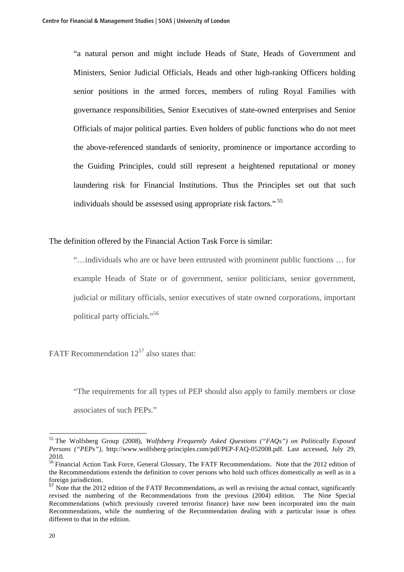"a natural person and might include Heads of State, Heads of Government and Ministers, Senior Judicial Officials, Heads and other high-ranking Officers holding senior positions in the armed forces, members of ruling Royal Families with governance responsibilities, Senior Executives of state-owned enterprises and Senior Officials of major political parties. Even holders of public functions who do not meet the above-referenced standards of seniority, prominence or importance according to the Guiding Principles, could still represent a heightened reputational or money laundering risk for Financial Institutions. Thus the Principles set out that such individuals should be assessed using appropriate risk factors." 55

The definition offered by the Financial Action Task Force is similar:

"…individuals who are or have been entrusted with prominent public functions … for example Heads of State or of government, senior politicians, senior government, judicial or military officials, senior executives of state owned corporations, important political party officials."56

FATF Recommendation  $12^{57}$  also states that:

"The requirements for all types of PEP should also apply to family members or close associates of such PEPs."

<sup>55</sup> The Wolfsberg Group (2008), *Wolfsberg Frequently Asked Questions ("FAQs") on Politically Exposed Persons ("PEPs"),* http://www.wolfsberg-principles.com/pdf/PEP-FAQ-052008.pdf. Last accessed, July 29, 2010.

<sup>&</sup>lt;sup>56</sup> Financial Action Task Force, General Glossary, The FATF Recommendations. Note that the 2012 edition of the Recommendations extends the definition to cover persons who hold such offices domestically as well as in a foreign jurisdiction.

<sup>&</sup>lt;sup>57</sup> Note that the 2012 edition of the FATF Recommendations, as well as revising the actual contact, significantly revised the numbering of the Recommendations from the previous (2004) edition. The Nine Special Recommendations (which previously covered terrorist finance) have now been incorporated into the main Recommendations, while the numbering of the Recommendation dealing with a particular issue is often different to that in the edition.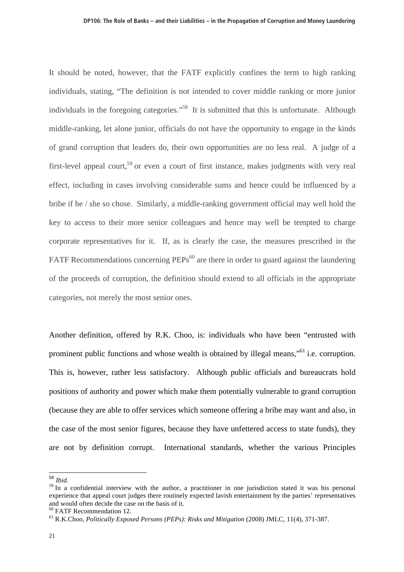It should be noted, however, that the FATF explicitly confines the term to high ranking individuals, stating, "The definition is not intended to cover middle ranking or more junior individuals in the foregoing categories."<sup>58</sup> It is submitted that this is unfortunate. Although middle-ranking, let alone junior, officials do not have the opportunity to engage in the kinds of grand corruption that leaders do, their own opportunities are no less real. A judge of a first-level appeal court,<sup>59</sup> or even a court of first instance, makes judgments with very real effect, including in cases involving considerable sums and hence could be influenced by a bribe if he / she so chose. Similarly, a middle-ranking government official may well hold the key to access to their more senior colleagues and hence may well be tempted to charge corporate representatives for it. If, as is clearly the case, the measures prescribed in the FATF Recommendations concerning  $PEPs<sup>60</sup>$  are there in order to guard against the laundering of the proceeds of corruption, the definition should extend to all officials in the appropriate categories, not merely the most senior ones.

Another definition, offered by R.K. Choo, is: individuals who have been "entrusted with prominent public functions and whose wealth is obtained by illegal means,"61 i.e. corruption. This is, however, rather less satisfactory. Although public officials and bureaucrats hold positions of authority and power which make them potentially vulnerable to grand corruption (because they are able to offer services which someone offering a bribe may want and also, in the case of the most senior figures, because they have unfettered access to state funds), they are not by definition corrupt. International standards, whether the various Principles

<sup>58</sup> *Ibid.*

<sup>&</sup>lt;sup>59</sup> In a confidential interview with the author, a practitioner in one jurisdiction stated it was his personal experience that appeal court judges there routinely expected lavish entertainment by the parties' representatives and would often decide the case on the basis of it.

<sup>60</sup> FATF Recommendation 12.

<sup>61</sup> R.K.Choo, *Politically Exposed Persons (PEPs): Risks and Mitigation* (2008) JMLC*,* 11(4), 371-387.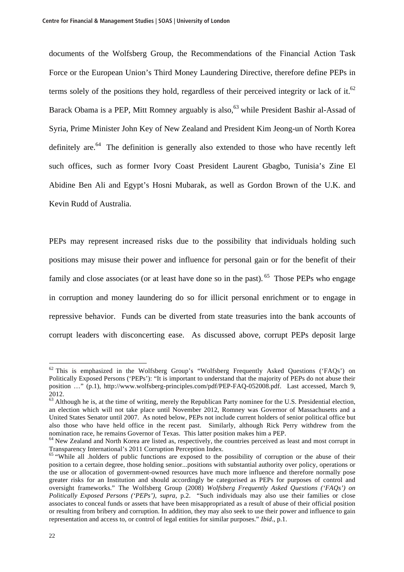documents of the Wolfsberg Group, the Recommendations of the Financial Action Task Force or the European Union's Third Money Laundering Directive, therefore define PEPs in terms solely of the positions they hold, regardless of their perceived integrity or lack of it.<sup>62</sup> Barack Obama is a PEP, Mitt Romney arguably is also,<sup>63</sup> while President Bashir al-Assad of Syria, Prime Minister John Key of New Zealand and President Kim Jeong-un of North Korea definitely are. $64$  The definition is generally also extended to those who have recently left such offices, such as former Ivory Coast President Laurent Gbagbo, Tunisia's Zine El Abidine Ben Ali and Egypt's Hosni Mubarak, as well as Gordon Brown of the U.K. and Kevin Rudd of Australia.

PEPs may represent increased risks due to the possibility that individuals holding such positions may misuse their power and influence for personal gain or for the benefit of their family and close associates (or at least have done so in the past).  $65$  Those PEPs who engage in corruption and money laundering do so for illicit personal enrichment or to engage in repressive behavior. Funds can be diverted from state treasuries into the bank accounts of corrupt leaders with disconcerting ease. As discussed above, corrupt PEPs deposit large

 $\overline{a}$ 

 $62$  This is emphasized in the Wolfsberg Group's "Wolfsberg Frequently Asked Questions ('FAQs') on Politically Exposed Persons ('PEPs'): "It is important to understand that the majority of PEPs do not abuse their position …" (p.1), http://www.wolfsberg-principles.com/pdf/PEP-FAQ-052008.pdf. Last accessed, March 9, 2012.

 $63$  Although he is, at the time of writing, merely the Republican Party nominee for the U.S. Presidential election, an election which will not take place until November 2012, Romney was Governor of Massachusetts and a United States Senator until 2007. As noted below, PEPs not include current holders of senior political office but also those who have held office in the recent past. Similarly, although Rick Perry withdrew from the nomination race, he remains Governor of Texas. This latter position makes him a PEP.

<sup>&</sup>lt;sup>64</sup> New Zealand and North Korea are listed as, respectively, the countries perceived as least and most corrupt in Transparency International's 2011 Corruption Perception Index.

<sup>&</sup>lt;sup>65</sup> "While all .holders of public functions are exposed to the possibility of corruption or the abuse of their position to a certain degree, those holding senior...positions with substantial authority over policy, operations or the use or allocation of government-owned resources have much more influence and therefore normally pose greater risks for an Institution and should accordingly be categorised as PEPs for purposes of control and oversight frameworks." The Wolfsberg Group (2008) *Wolfsberg Frequently Asked Questions ('FAQs') on Politically Exposed Persons ('PEPs')*, *supra*, p.2. "Such individuals may also use their families or close associates to conceal funds or assets that have been misappropriated as a result of abuse of their official position or resulting from bribery and corruption. In addition, they may also seek to use their power and influence to gain representation and access to, or control of legal entities for similar purposes." *Ibid*., p.1.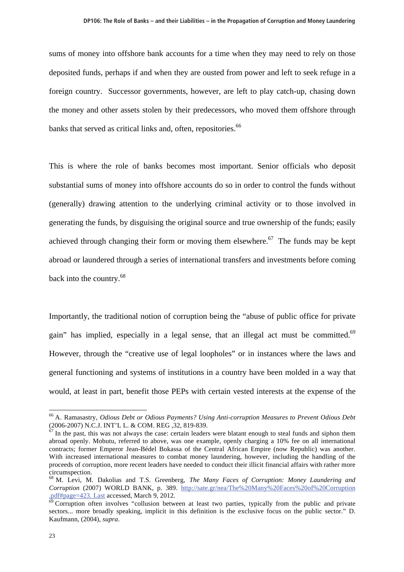sums of money into offshore bank accounts for a time when they may need to rely on those deposited funds, perhaps if and when they are ousted from power and left to seek refuge in a foreign country. Successor governments, however, are left to play catch-up, chasing down the money and other assets stolen by their predecessors, who moved them offshore through banks that served as critical links and, often, repositories.<sup>66</sup>

This is where the role of banks becomes most important. Senior officials who deposit substantial sums of money into offshore accounts do so in order to control the funds without (generally) drawing attention to the underlying criminal activity or to those involved in generating the funds, by disguising the original source and true ownership of the funds; easily achieved through changing their form or moving them elsewhere.<sup>67</sup> The funds may be kept abroad or laundered through a series of international transfers and investments before coming back into the country.<sup>68</sup>

Importantly, the traditional notion of corruption being the "abuse of public office for private gain" has implied, especially in a legal sense, that an illegal act must be committed. $69$ However, through the "creative use of legal loopholes" or in instances where the laws and general functioning and systems of institutions in a country have been molded in a way that would, at least in part, benefit those PEPs with certain vested interests at the expense of the

<sup>66</sup> A. Ramasastry, *Odious Debt or Odious Payments? Using Anti-corruption Measures to Prevent Odious Debt* (2006-2007) N.C.J. INT'L L. & COM. REG ,32, 819-839.

 $\frac{67}{2}$  In the past, this was not always the case: certain leaders were blatant enough to steal funds and siphon them abroad openly. Mobutu, referred to above, was one example, openly charging a 10% fee on all international contracts; former Emperor Jean-Bédel Bokassa of the Central African Empire (now Republic) was another. With increased international measures to combat money laundering, however, including the handling of the proceeds of corruption, more recent leaders have needed to conduct their illicit financial affairs with rather more circumspection.

<sup>68</sup> M. Levi, M. Dakolias and T.S. Greenberg, *The Many Faces of Corruption: Money Laundering and Corruption* (2007) WORLD BANK, p. 389. http://sate.gr/nea/The%20Many%20Faces%20of%20Corruption<br>  $\frac{1}{2}$ of#page=423. Last accessed, March 9, 2012.

 $^{\circ}$  Corruption often involves "collusion between at least two parties, typically from the public and private sectors... more broadly speaking, implicit in this definition is the exclusive focus on the public sector." D. Kaufmann, (2004), *supra*.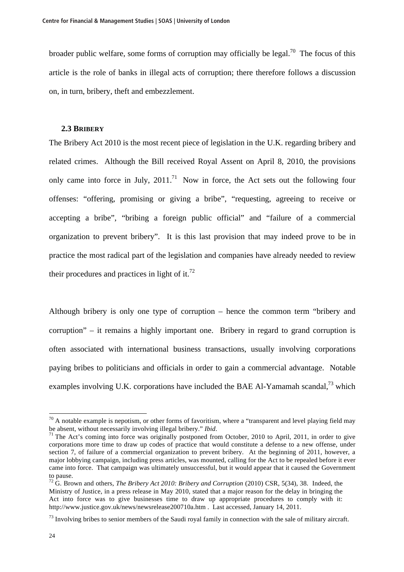broader public welfare, some forms of corruption may officially be legal.<sup>70</sup> The focus of this article is the role of banks in illegal acts of corruption; there therefore follows a discussion on, in turn, bribery, theft and embezzlement.

#### **2.3 BRIBERY**

The Bribery Act 2010 is the most recent piece of legislation in the U.K. regarding bribery and related crimes. Although the Bill received Royal Assent on April 8, 2010, the provisions only came into force in July,  $2011$ .<sup>71</sup> Now in force, the Act sets out the following four offenses: "offering, promising or giving a bribe", "requesting, agreeing to receive or accepting a bribe", "bribing a foreign public official" and "failure of a commercial organization to prevent bribery". It is this last provision that may indeed prove to be in practice the most radical part of the legislation and companies have already needed to review their procedures and practices in light of it.<sup>72</sup>

Although bribery is only one type of corruption – hence the common term "bribery and corruption" – it remains a highly important one. Bribery in regard to grand corruption is often associated with international business transactions, usually involving corporations paying bribes to politicians and officials in order to gain a commercial advantage. Notable examples involving U.K. corporations have included the BAE Al-Yamamah scandal,  $^{73}$  which

 $70$  A notable example is nepotism, or other forms of favoritism, where a "transparent and level playing field may be absent, without necessarily involving illegal bribery." *Ibid*.<br><sup>71</sup> The Act's coming into force was originally postponed from October, 2010 to April, 2011, in order to give

corporations more time to draw up codes of practice that would constitute a defense to a new offense, under section 7, of failure of a commercial organization to prevent bribery. At the beginning of 2011, however, a major lobbying campaign, including press articles, was mounted, calling for the Act to be repealed before it ever came into force. That campaign was ultimately unsuccessful, but it would appear that it caused the Government to pause.

<sup>72</sup> G. Brown and others, *The Bribery Act 2010: Bribery and Corruption* (2010) CSR, 5(34), 38. Indeed, the Ministry of Justice, in a press release in May 2010, stated that a major reason for the delay in bringing the Act into force was to give businesses time to draw up appropriate procedures to comply with it: http://www.justice.gov.uk/news/newsrelease200710a.htm . Last accessed, January 14, 2011.

 $^{73}$  Involving bribes to senior members of the Saudi royal family in connection with the sale of military aircraft.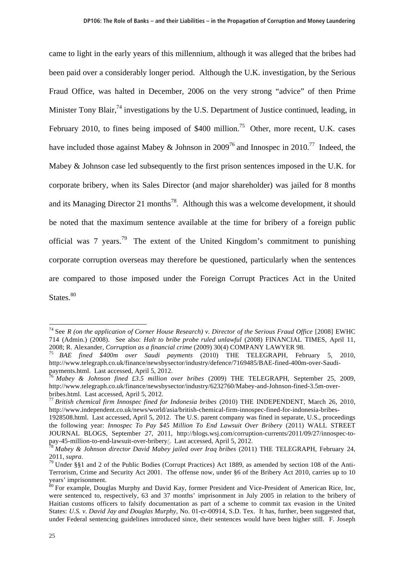came to light in the early years of this millennium, although it was alleged that the bribes had been paid over a considerably longer period. Although the U.K. investigation, by the Serious Fraud Office, was halted in December, 2006 on the very strong "advice" of then Prime Minister Tony Blair,<sup>74</sup> investigations by the U.S. Department of Justice continued, leading, in February 2010, to fines being imposed of  $$400$  million.<sup>75</sup> Other, more recent, U.K. cases have included those against Mabey & Johnson in 2009<sup>76</sup> and Innospec in 2010.<sup>77</sup> Indeed, the Mabey & Johnson case led subsequently to the first prison sentences imposed in the U.K. for corporate bribery, when its Sales Director (and major shareholder) was jailed for 8 months and its Managing Director 21 months<sup>78</sup>. Although this was a welcome development, it should be noted that the maximum sentence available at the time for bribery of a foreign public official was 7 years.<sup>79</sup> The extent of the United Kingdom's commitment to punishing corporate corruption overseas may therefore be questioned, particularly when the sentences are compared to those imposed under the Foreign Corrupt Practices Act in the United States.<sup>80</sup>

<sup>74</sup> See *R (on the application of Corner House Research) v. Director of the Serious Fraud Office* [2008] EWHC 714 (Admin.) (2008). See also: *Halt to bribe probe ruled unlawful* (2008) FINANCIAL TIMES, April 11,

<sup>2008;</sup> R. Alexander, *Corruption as a financial crime* (2009) 30(4) COMPANY LAWYER 98. 75 *BAE fined \$400m over Saudi payments* (2010) THE TELEGRAPH, February 5, 2010, http://www.telegraph.co.uk/finance/newsbysector/industry/defence/7169485/BAE-fined-400m-over-Saudipayments.html. Last accessed, April 5, 2012.

<sup>76</sup> *Mabey & Johnson fined £3.5 million over bribes* (2009) THE TELEGRAPH, September 25, 2009, http://www.telegraph.co.uk/finance/newsbysector/industry/6232760/Mabey-and-Johnson-fined-3.5m-overbribes.html. Last accessed, April 5, 2012.

<sup>77</sup> *British chemical firm Innospec fined for Indonesia bribes* (2010) THE INDEPENDENT, March 26, 2010, http://www.independent.co.uk/news/world/asia/british-chemical-firm-innospec-fined-for-indonesia-bribes-

<sup>1928508.</sup>html. Last accessed, April 5, 2012. The U.S. parent company was fined in separate, U.S., proceedings the following year: *Innospec To Pay \$45 Million To End Lawsuit Over Bribery* (2011) WALL STREET JOURNAL BLOGS, September 27, 2011, http://blogs.wsj.com/corruption-currents/2011/09/27/innospec-topay-45-million-to-end-lawsuit-over-bribery/. Last accessed, April 5, 2012. 78 *Mabey & Johnson director David Mabey jailed over Iraq bribes* (2011) THE TELEGRAPH, February 24,

<sup>2011,</sup> *supra*.<br><sup>79</sup> Under §§1 and 2 of the Public Bodies (Corrupt Practices) Act 1889, as amended by section 108 of the Anti-

Terrorism, Crime and Security Act 2001. The offense now, under §6 of the Bribery Act 2010, carries up to 10 years' imprisonment.

<sup>&</sup>lt;sup>80</sup> For example, Douglas Murphy and David Kay, former President and Vice-President of American Rice, Inc, were sentenced to, respectively, 63 and 37 months' imprisonment in July 2005 in relation to the bribery of Haitian customs officers to falsify documentation as part of a scheme to commit tax evasion in the United States: *U.S. v. David Jay and Douglas Murphy*, No. 01-cr-00914, S.D. Tex. It has, further, been suggested that, under Federal sentencing guidelines introduced since, their sentences would have been higher still. F. Joseph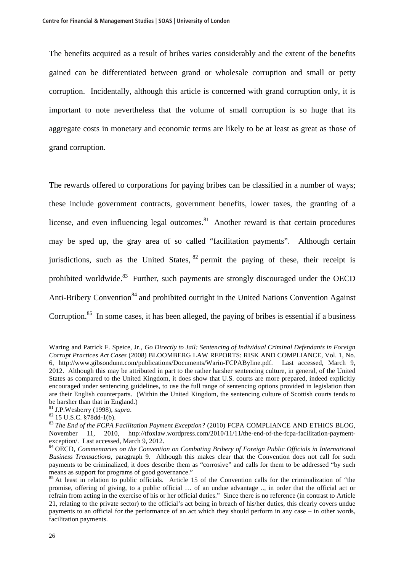The benefits acquired as a result of bribes varies considerably and the extent of the benefits gained can be differentiated between grand or wholesale corruption and small or petty corruption. Incidentally, although this article is concerned with grand corruption only, it is important to note nevertheless that the volume of small corruption is so huge that its aggregate costs in monetary and economic terms are likely to be at least as great as those of grand corruption.

The rewards offered to corporations for paying bribes can be classified in a number of ways; these include government contracts, government benefits, lower taxes, the granting of a license, and even influencing legal outcomes. $81$  Another reward is that certain procedures may be sped up, the gray area of so called "facilitation payments". Although certain jurisdictions, such as the United States,  $82$  permit the paying of these, their receipt is prohibited worldwide.<sup>83</sup> Further, such payments are strongly discouraged under the OECD Anti-Bribery Convention<sup>84</sup> and prohibited outright in the United Nations Convention Against Corruption.<sup>85</sup> In some cases, it has been alleged, the paying of bribes is essential if a business

Waring and Patrick F. Speice, Jr., *Go Directly to Jail: Sentencing of Individual Criminal Defendants in Foreign Corrupt Practices Act Cases* (2008) BLOOMBERG LAW REPORTS: RISK AND COMPLIANCE, Vol. 1, No. 6, http://www.gibsondunn.com/publications/Documents/Warin-FCPAByline.pdf. Last accessed, March 9, 2012. Although this may be attributed in part to the rather harsher sentencing culture, in general, of the United States as compared to the United Kingdom, it does show that U.S. courts are more prepared, indeed explicitly encouraged under sentencing guidelines, to use the full range of sentencing options provided in legislation than are their English counterparts. (Within the United Kingdom, the sentencing culture of Scottish courts tends to be harsher than that in England.)

<sup>81</sup> J.P.Wesberry (1998), *supra*. 82 15 U.S.C. §78dd-1(b).

<sup>&</sup>lt;sup>83</sup> The End of the FCPA Facilitation Payment Exception? (2010) FCPA COMPLIANCE AND ETHICS BLOG, November 11, 2010, http://tfoxlaw.wordpress.com/2010/11/11/the-end-of-the-fcpa-facilitation-paymentexception/. Last accessed, March 9, 2012.

<sup>84</sup> OECD, *Commentaries on the Convention on Combating Bribery of Foreign Public Officials in International Business Transactions*, paragraph 9. Although this makes clear that the Convention does not call for such payments to be criminalized, it does describe them as "corrosive" and calls for them to be addressed "by such means as support for programs of good governance."

<sup>&</sup>lt;sup>85</sup> At least in relation to public officials. Article 15 of the Convention calls for the criminalization of "the promise, offering of giving, to a public official … of an undue advantage .., in order that the official act or refrain from acting in the exercise of his or her official duties." Since there is no reference (in contrast to Article 21, relating to the private sector) to the official's act being in breach of his/her duties, this clearly covers undue payments to an official for the performance of an act which they should perform in any case – in other words, facilitation payments.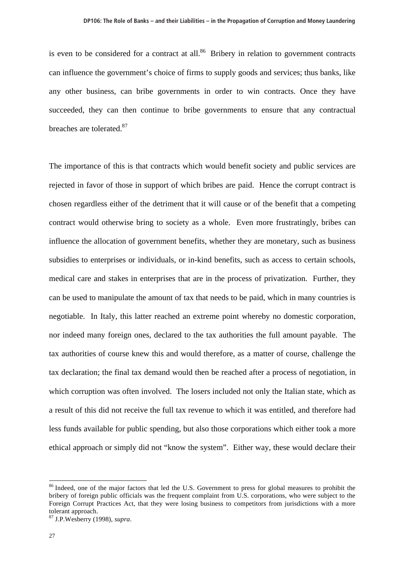is even to be considered for a contract at all. $86$  Bribery in relation to government contracts can influence the government's choice of firms to supply goods and services; thus banks, like any other business, can bribe governments in order to win contracts. Once they have succeeded, they can then continue to bribe governments to ensure that any contractual breaches are tolerated.<sup>87</sup>

The importance of this is that contracts which would benefit society and public services are rejected in favor of those in support of which bribes are paid. Hence the corrupt contract is chosen regardless either of the detriment that it will cause or of the benefit that a competing contract would otherwise bring to society as a whole. Even more frustratingly, bribes can influence the allocation of government benefits, whether they are monetary, such as business subsidies to enterprises or individuals, or in-kind benefits, such as access to certain schools, medical care and stakes in enterprises that are in the process of privatization. Further, they can be used to manipulate the amount of tax that needs to be paid, which in many countries is negotiable. In Italy, this latter reached an extreme point whereby no domestic corporation, nor indeed many foreign ones, declared to the tax authorities the full amount payable. The tax authorities of course knew this and would therefore, as a matter of course, challenge the tax declaration; the final tax demand would then be reached after a process of negotiation, in which corruption was often involved. The losers included not only the Italian state, which as a result of this did not receive the full tax revenue to which it was entitled, and therefore had less funds available for public spending, but also those corporations which either took a more ethical approach or simply did not "know the system". Either way, these would declare their

<sup>&</sup>lt;sup>86</sup> Indeed, one of the major factors that led the U.S. Government to press for global measures to prohibit the bribery of foreign public officials was the frequent complaint from U.S. corporations, who were subject to the Foreign Corrupt Practices Act, that they were losing business to competitors from jurisdictions with a more tolerant approach.

<sup>87</sup> J.P.Wesberry (1998), *supra*.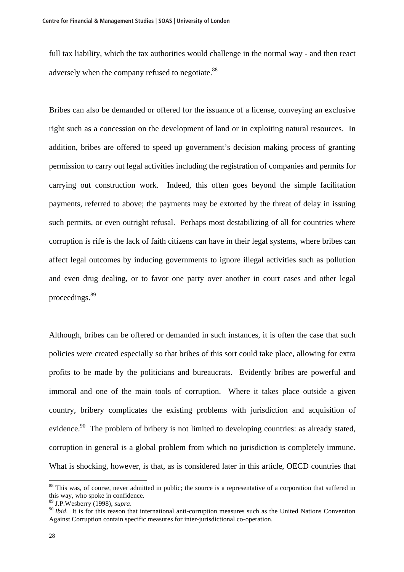full tax liability, which the tax authorities would challenge in the normal way - and then react adversely when the company refused to negotiate.<sup>88</sup>

Bribes can also be demanded or offered for the issuance of a license, conveying an exclusive right such as a concession on the development of land or in exploiting natural resources. In addition, bribes are offered to speed up government's decision making process of granting permission to carry out legal activities including the registration of companies and permits for carrying out construction work. Indeed, this often goes beyond the simple facilitation payments, referred to above; the payments may be extorted by the threat of delay in issuing such permits, or even outright refusal. Perhaps most destabilizing of all for countries where corruption is rife is the lack of faith citizens can have in their legal systems, where bribes can affect legal outcomes by inducing governments to ignore illegal activities such as pollution and even drug dealing, or to favor one party over another in court cases and other legal proceedings.89

Although, bribes can be offered or demanded in such instances, it is often the case that such policies were created especially so that bribes of this sort could take place, allowing for extra profits to be made by the politicians and bureaucrats. Evidently bribes are powerful and immoral and one of the main tools of corruption. Where it takes place outside a given country, bribery complicates the existing problems with jurisdiction and acquisition of evidence.<sup>90</sup> The problem of bribery is not limited to developing countries: as already stated, corruption in general is a global problem from which no jurisdiction is completely immune. What is shocking, however, is that, as is considered later in this article, OECD countries that

 $88$  This was, of course, never admitted in public; the source is a representative of a corporation that suffered in this way, who spoke in confidence.<br><sup>89</sup> J.P.Wesberry (1998), *supra*.

<sup>&</sup>lt;sup>90</sup> *Ibid*. It is for this reason that international anti-corruption measures such as the United Nations Convention Against Corruption contain specific measures for inter-jurisdictional co-operation.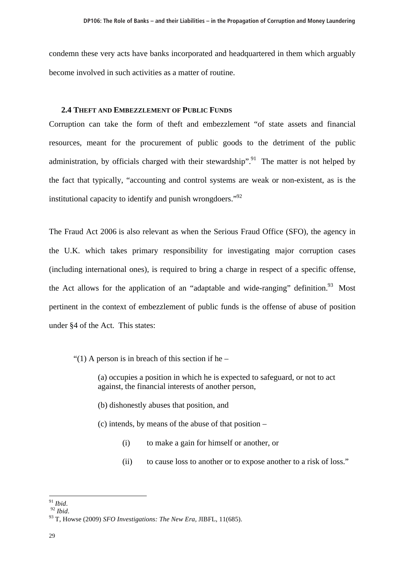condemn these very acts have banks incorporated and headquartered in them which arguably become involved in such activities as a matter of routine.

### **2.4 THEFT AND EMBEZZLEMENT OF PUBLIC FUNDS**

Corruption can take the form of theft and embezzlement "of state assets and financial resources, meant for the procurement of public goods to the detriment of the public administration, by officials charged with their stewardship".<sup>91</sup> The matter is not helped by the fact that typically, "accounting and control systems are weak or non-existent, as is the institutional capacity to identify and punish wrongdoers."92

The Fraud Act 2006 is also relevant as when the Serious Fraud Office (SFO), the agency in the U.K. which takes primary responsibility for investigating major corruption cases (including international ones), is required to bring a charge in respect of a specific offense, the Act allows for the application of an "adaptable and wide-ranging" definition.<sup>93</sup> Most pertinent in the context of embezzlement of public funds is the offense of abuse of position under §4 of the Act. This states:

"(1) A person is in breach of this section if he  $-$ 

(a) occupies a position in which he is expected to safeguard, or not to act against, the financial interests of another person,

(b) dishonestly abuses that position, and

(c) intends, by means of the abuse of that position –

- (i) to make a gain for himself or another, or
- (ii) to cause loss to another or to expose another to a risk of loss."

 $\real^{91}$  Ibid.

<sup>91</sup> *Ibid*. <sup>92</sup> *Ibid*. 93 T, Howse (2009) *SFO Investigations: The New Era*, JIBFL, 11(685).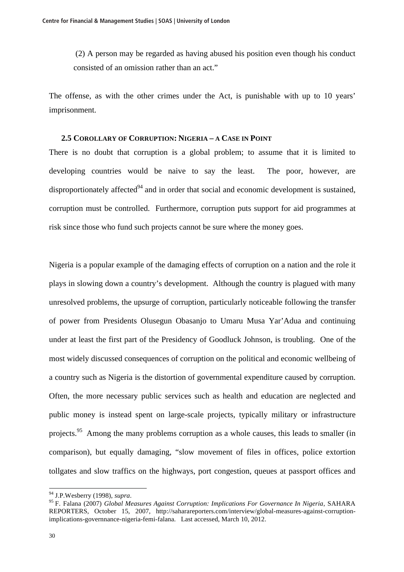(2) A person may be regarded as having abused his position even though his conduct consisted of an omission rather than an act."

The offense, as with the other crimes under the Act, is punishable with up to 10 years' imprisonment.

### **2.5 COROLLARY OF CORRUPTION: NIGERIA – A CASE IN POINT**

There is no doubt that corruption is a global problem; to assume that it is limited to developing countries would be naive to say the least. The poor, however, are disproportionately affected $94$  and in order that social and economic development is sustained, corruption must be controlled. Furthermore, corruption puts support for aid programmes at risk since those who fund such projects cannot be sure where the money goes.

Nigeria is a popular example of the damaging effects of corruption on a nation and the role it plays in slowing down a country's development. Although the country is plagued with many unresolved problems, the upsurge of corruption, particularly noticeable following the transfer of power from Presidents Olusegun Obasanjo to Umaru Musa Yar'Adua and continuing under at least the first part of the Presidency of Goodluck Johnson, is troubling. One of the most widely discussed consequences of corruption on the political and economic wellbeing of a country such as Nigeria is the distortion of governmental expenditure caused by corruption. Often, the more necessary public services such as health and education are neglected and public money is instead spent on large-scale projects, typically military or infrastructure projects.<sup>95</sup> Among the many problems corruption as a whole causes, this leads to smaller (in comparison), but equally damaging, "slow movement of files in offices, police extortion tollgates and slow traffics on the highways, port congestion, queues at passport offices and

 $\overline{a}$ 

<sup>94</sup> J.P.Wesberry (1998), *supra*. 95 F. Falana (2007) *Global Measures Against Corruption: Implications For Governance In Nigeria*, SAHARA REPORTERS, October 15, 2007, http://saharareporters.com/interview/global-measures-against-corruptionimplications-governnance-nigeria-femi-falana. Last accessed, March 10, 2012.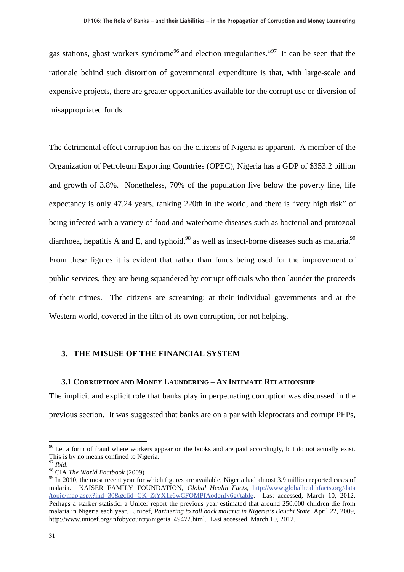gas stations, ghost workers syndrome<sup>96</sup> and election irregularities."<sup>97</sup> It can be seen that the rationale behind such distortion of governmental expenditure is that, with large-scale and expensive projects, there are greater opportunities available for the corrupt use or diversion of misappropriated funds.

The detrimental effect corruption has on the citizens of Nigeria is apparent. A member of the Organization of Petroleum Exporting Countries (OPEC), Nigeria has a GDP of \$353.2 billion and growth of 3.8%. Nonetheless, 70% of the population live below the poverty line, life expectancy is only 47.24 years, ranking 220th in the world, and there is "very high risk" of being infected with a variety of food and waterborne diseases such as bacterial and protozoal diarrhoea, hepatitis A and E, and typhoid,<sup>98</sup> as well as insect-borne diseases such as malaria.<sup>99</sup> From these figures it is evident that rather than funds being used for the improvement of public services, they are being squandered by corrupt officials who then launder the proceeds of their crimes. The citizens are screaming: at their individual governments and at the Western world, covered in the filth of its own corruption, for not helping.

### **3. THE MISUSE OF THE FINANCIAL SYSTEM**

#### **3.1 CORRUPTION AND MONEY LAUNDERING – AN INTIMATE RELATIONSHIP**

The implicit and explicit role that banks play in perpetuating corruption was discussed in the previous section. It was suggested that banks are on a par with kleptocrats and corrupt PEPs,

<sup>&</sup>lt;sup>96</sup> I.e. a form of fraud where workers appear on the books and are paid accordingly, but do not actually exist. This is by no means confined to Nigeria.<br> $\frac{97 \text{ Ibid.}}{ }$ 

<sup>&</sup>lt;sup>98</sup> CIA *The World Factbook* (2009)<br><sup>99</sup> In 2010, the most recent year for which figures are available, Nigeria had almost 3.9 million reported cases of malaria. KAISER FAMILY FOUNDATION, *Global Health Facts*, http://www.globalhealthfacts.org/data /topic/map.aspx?ind=30&gclid=CK\_ZtYX1z6wCFQMPfAodqnfy6g#table. Last accessed, March 10, 2012. Perhaps a starker statistic: a Unicef report the previous year estimated that around 250,000 children die from malaria in Nigeria each year. Unicef, *Partnering to roll back malaria in Nigeria's Bauchi State*, April 22, 2009, http://www.unicef.org/infobycountry/nigeria\_49472.html. Last accessed, March 10, 2012.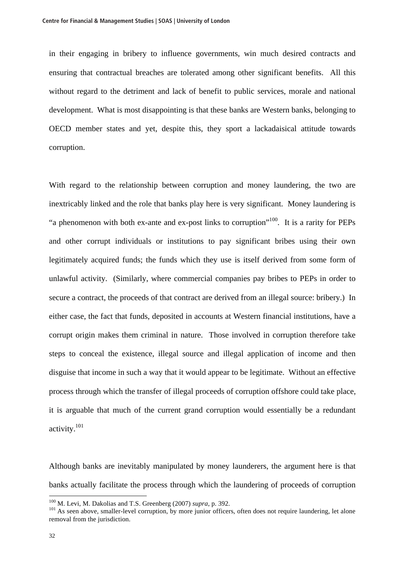in their engaging in bribery to influence governments, win much desired contracts and ensuring that contractual breaches are tolerated among other significant benefits. All this without regard to the detriment and lack of benefit to public services, morale and national development. What is most disappointing is that these banks are Western banks, belonging to OECD member states and yet, despite this, they sport a lackadaisical attitude towards corruption.

With regard to the relationship between corruption and money laundering, the two are inextricably linked and the role that banks play here is very significant. Money laundering is "a phenomenon with both ex-ante and ex-post links to corruption"100. It is a rarity for PEPs and other corrupt individuals or institutions to pay significant bribes using their own legitimately acquired funds; the funds which they use is itself derived from some form of unlawful activity. (Similarly, where commercial companies pay bribes to PEPs in order to secure a contract, the proceeds of that contract are derived from an illegal source: bribery.) In either case, the fact that funds, deposited in accounts at Western financial institutions, have a corrupt origin makes them criminal in nature. Those involved in corruption therefore take steps to conceal the existence, illegal source and illegal application of income and then disguise that income in such a way that it would appear to be legitimate. Without an effective process through which the transfer of illegal proceeds of corruption offshore could take place, it is arguable that much of the current grand corruption would essentially be a redundant activity.101

Although banks are inevitably manipulated by money launderers, the argument here is that banks actually facilitate the process through which the laundering of proceeds of corruption

<sup>&</sup>lt;sup>100</sup> M. Levi, M. Dakolias and T.S. Greenberg (2007) *supra*, p. 392.<br><sup>101</sup> As seen above, smaller-level corruption, by more junior officers, often does not require laundering, let alone removal from the jurisdiction.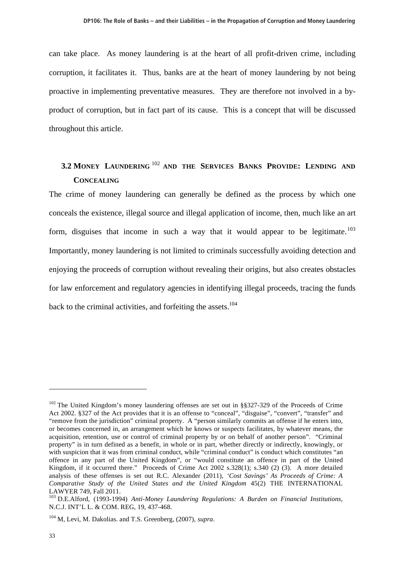can take place. As money laundering is at the heart of all profit-driven crime, including corruption, it facilitates it. Thus, banks are at the heart of money laundering by not being proactive in implementing preventative measures. They are therefore not involved in a byproduct of corruption, but in fact part of its cause. This is a concept that will be discussed throughout this article.

# **3.2 MONEY LAUNDERING** <sup>102</sup> **AND THE SERVICES BANKS PROVIDE: LENDING AND CONCEALING**

The crime of money laundering can generally be defined as the process by which one conceals the existence, illegal source and illegal application of income, then, much like an art form, disguises that income in such a way that it would appear to be legitimate.<sup>103</sup> Importantly, money laundering is not limited to criminals successfully avoiding detection and enjoying the proceeds of corruption without revealing their origins, but also creates obstacles for law enforcement and regulatory agencies in identifying illegal proceeds, tracing the funds back to the criminal activities, and forfeiting the assets.<sup>104</sup>

<sup>&</sup>lt;sup>102</sup> The United Kingdom's money laundering offenses are set out in §§327-329 of the Proceeds of Crime Act 2002. §327 of the Act provides that it is an offense to "conceal", "disguise", "convert", "transfer" and "remove from the jurisdiction" criminal property. A "person similarly commits an offense if he enters into, or becomes concerned in, an arrangement which he knows or suspects facilitates, by whatever means, the acquisition, retention, use or control of criminal property by or on behalf of another person". "Criminal property" is in turn defined as a benefit, in whole or in part, whether directly or indirectly, knowingly, or with suspicion that it was from criminal conduct, while "criminal conduct" is conduct which constitutes "an offence in any part of the United Kingdom", or "would constitute an offence in part of the United Kingdom, if it occurred there." Proceeds of Crime Act 2002 s.328(1); s.340 (2) (3). A more detailed analysis of these offenses is set out R.C. Alexander (2011), *'Cost Savings' As Proceeds of Crime: A Comparative Study of the United States and the United Kingdom* 45(2) THE INTERNATIONAL LAWYER 749, Fall 2011.

<sup>103</sup> D.E.Alford, (1993-1994) *Anti-Money Laundering Regulations: A Burden on Financial Institutions*, N.C.J. INT'L L. & COM. REG, 19, 437-468.

<sup>104</sup> M, Levi, M. Dakolias. and T.S. Greenberg, (2007), *supra*.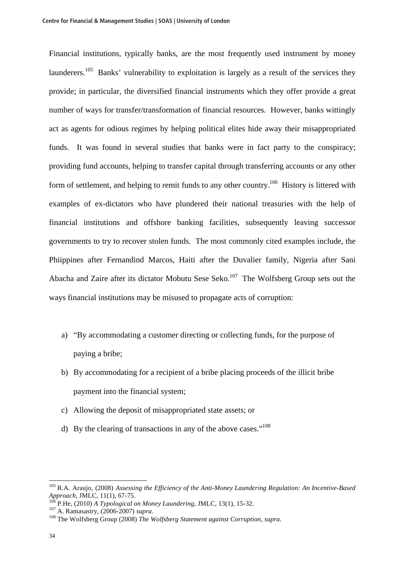Financial institutions, typically banks, are the most frequently used instrument by money launderers.<sup>105</sup> Banks' vulnerability to exploitation is largely as a result of the services they provide; in particular, the diversified financial instruments which they offer provide a great number of ways for transfer/transformation of financial resources. However, banks wittingly act as agents for odious regimes by helping political elites hide away their misappropriated funds. It was found in several studies that banks were in fact party to the conspiracy; providing fund accounts, helping to transfer capital through transferring accounts or any other form of settlement, and helping to remit funds to any other country.<sup>106</sup> History is littered with examples of ex-dictators who have plundered their national treasuries with the help of financial institutions and offshore banking facilities, subsequently leaving successor governments to try to recover stolen funds. The most commonly cited examples include, the Phiippines after Fernandind Marcos, Haiti after the Duvalier family, Nigeria after Sani Abacha and Zaire after its dictator Mobutu Sese Seko.<sup>107</sup> The Wolfsberg Group sets out the ways financial institutions may be misused to propagate acts of corruption:

- a) "By accommodating a customer directing or collecting funds, for the purpose of paying a bribe;
- b) By accommodating for a recipient of a bribe placing proceeds of the illicit bribe payment into the financial system;
- c) Allowing the deposit of misappropriated state assets; or
- d) By the clearing of transactions in any of the above cases."<sup>108</sup>

<sup>105</sup> R.A. Araujo, (2008) *Assessing the Efficiency of the Anti-Money Laundering Regulation: An Incentive-Based*  Approach, JMLC, 11(1), 67-75.<br><sup>106</sup> P.He, (2010) *A Typological on Money Laundering*, JMLC, 13(1), 15-32.<br><sup>107</sup> A. Ramasastry, (2006-2007) *supra*.<br><sup>108</sup> The Wolfsberg Group (2008) *The Wolfsberg Statement against Corrupt*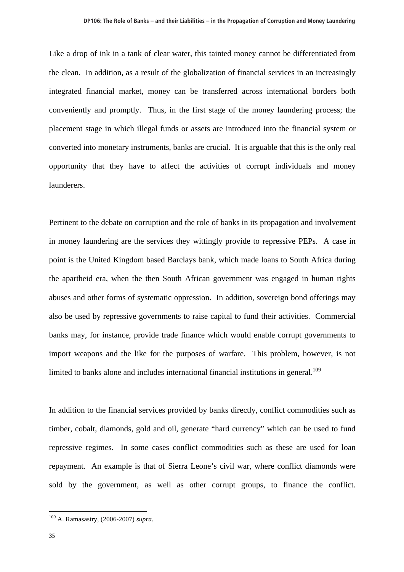Like a drop of ink in a tank of clear water, this tainted money cannot be differentiated from the clean. In addition, as a result of the globalization of financial services in an increasingly integrated financial market, money can be transferred across international borders both conveniently and promptly. Thus, in the first stage of the money laundering process; the placement stage in which illegal funds or assets are introduced into the financial system or converted into monetary instruments, banks are crucial. It is arguable that this is the only real opportunity that they have to affect the activities of corrupt individuals and money launderers.

Pertinent to the debate on corruption and the role of banks in its propagation and involvement in money laundering are the services they wittingly provide to repressive PEPs. A case in point is the United Kingdom based Barclays bank, which made loans to South Africa during the apartheid era, when the then South African government was engaged in human rights abuses and other forms of systematic oppression. In addition, sovereign bond offerings may also be used by repressive governments to raise capital to fund their activities. Commercial banks may, for instance, provide trade finance which would enable corrupt governments to import weapons and the like for the purposes of warfare. This problem, however, is not limited to banks alone and includes international financial institutions in general.<sup>109</sup>

In addition to the financial services provided by banks directly, conflict commodities such as timber, cobalt, diamonds, gold and oil, generate "hard currency" which can be used to fund repressive regimes. In some cases conflict commodities such as these are used for loan repayment. An example is that of Sierra Leone's civil war, where conflict diamonds were sold by the government, as well as other corrupt groups, to finance the conflict.

<sup>109</sup> A. Ramasastry, (2006-2007) *supra*.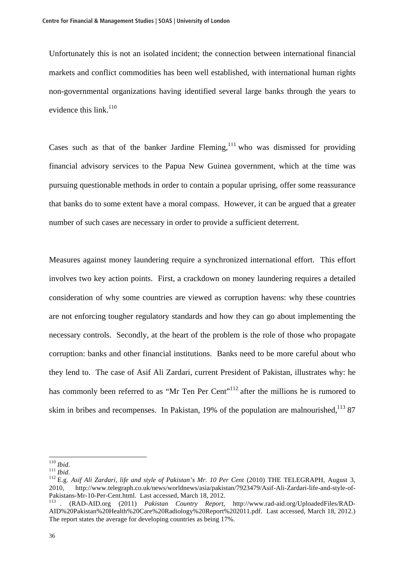Unfortunately this is not an isolated incident; the connection between international financial markets and conflict commodities has been well established, with international human rights non-governmental organizations having identified several large banks through the years to evidence this link. $110$ 

Cases such as that of the banker Jardine Fleming,  $\frac{1}{11}$  who was dismissed for providing financial advisory services to the Papua New Guinea government, which at the time was pursuing questionable methods in order to contain a popular uprising, offer some reassurance that banks do to some extent have a moral compass. However, it can be argued that a greater number of such cases are necessary in order to provide a sufficient deterrent.

Measures against money laundering require a synchronized international effort. This effort involves two key action points. First, a crackdown on money laundering requires a detailed consideration of why some countries are viewed as corruption havens: why these countries are not enforcing tougher regulatory standards and how they can go about implementing the necessary controls. Secondly, at the heart of the problem is the role of those who propagate corruption: banks and other financial institutions. Banks need to be more careful about who they lend to. The case of Asif Ali Zardari, current President of Pakistan, illustrates why: he has commonly been referred to as "Mr Ten Per Cent"<sup>112</sup> after the millions he is rumored to skim in bribes and recompenses. In Pakistan, 19% of the population are malnourished,  $1387$ 

 $110$  *Ihid.* 

<sup>111</sup> *Ibid.*<br><sup>112</sup> E.g. *Asif Ali Zardari, life and style of Pakistan's Mr. 10 Per Cent* (2010) THE TELEGRAPH, August 3, 2010, http://www.telegraph.co.uk/news/worldnews/asia/pakistan/7923479/Asif-Ali-Zardari-life-and-style-of-Pakistans-Mr-10-Per-Cent.html. Last accessed, March 18, 2012.

<sup>113</sup> . (RAD-AID.org (2011) *Pakistan Country Report*, http://www.rad-aid.org/UploadedFiles/RAD-AID%20Pakistan%20Health%20Care%20Radiology%20Report%202011.pdf. Last accessed, March 18, 2012.) The report states the average for developing countries as being 17%.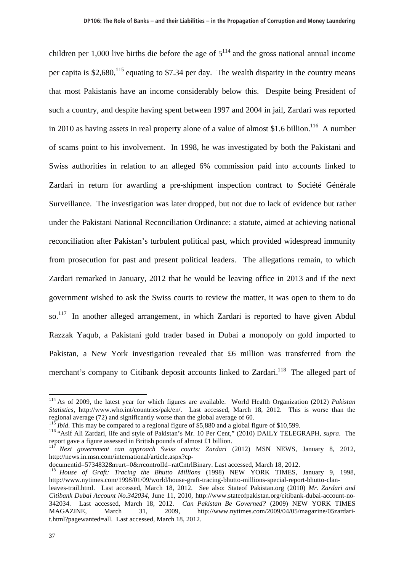children per 1,000 live births die before the age of  $5^{114}$  and the gross national annual income per capita is  $$2,680$ ,  $^{115}$  equating to \$7.34 per day. The wealth disparity in the country means that most Pakistanis have an income considerably below this. Despite being President of such a country, and despite having spent between 1997 and 2004 in jail, Zardari was reported in 2010 as having assets in real property alone of a value of almost \$1.6 billion.<sup>116</sup> A number of scams point to his involvement. In 1998, he was investigated by both the Pakistani and Swiss authorities in relation to an alleged 6% commission paid into accounts linked to Zardari in return for awarding a pre-shipment inspection contract to Société Générale Surveillance. The investigation was later dropped, but not due to lack of evidence but rather under the Pakistani National Reconciliation Ordinance: a statute, aimed at achieving national reconciliation after Pakistan's turbulent political past, which provided widespread immunity from prosecution for past and present political leaders. The allegations remain, to which Zardari remarked in January, 2012 that he would be leaving office in 2013 and if the next government wished to ask the Swiss courts to review the matter, it was open to them to do so.<sup>117</sup> In another alleged arrangement, in which Zardari is reported to have given Abdul Razzak Yaqub, a Pakistani gold trader based in Dubai a monopoly on gold imported to Pakistan, a New York investigation revealed that £6 million was transferred from the merchant's company to Citibank deposit accounts linked to Zardari.<sup>118</sup> The alleged part of

<sup>114</sup> As of 2009, the latest year for which figures are available. World Health Organization (2012) *Pakistan Statistics*, http://www.who.int/countries/pak/en/. Last accessed, March 18, 2012. This is worse than the regional average (72) and significantly worse than the global average of 60.<br><sup>115</sup> *Ibid*. This may be compared to a regional figure of \$5,880 and a global figure of \$10,599.

<sup>&</sup>lt;sup>116</sup> "Asif Ali Zardari, life and style of Pakistan's Mr. 10 Per Cent," (2010) DAILY TELEGRAPH, *supra*. The report gave a figure assessed in British pounds of almost £1 billion.

<sup>117</sup> *Next government can approach Swiss courts: Zardari* (2012) MSN NEWS, January 8, 2012, http://news.in.msn.com/international/article.aspx?cp-

documentid=5734832&rrurt=0&rrcontrolId=ratCntrlBinary. Last accessed, March 18, 2012.

<sup>118</sup> *House of Graft: Tracing the Bhutto Millions* (1998) NEW YORK TIMES, January 9, 1998, http://www.nytimes.com/1998/01/09/world/house-graft-tracing-bhutto-millions-special-report-bhutto-clan-

leaves-trail.html. Last accessed, March 18, 2012. See also: Stateof Pakistan.org (2010) *Mr. Zardari and Citibank Dubai Account No.342034*, June 11, 2010, http://www.stateofpakistan.org/citibank-dubai-account-no-342034. Last accessed, March 18, 2012. *Can Pakistan Be Governed?* (2009) NEW YORK TIMES MAGAZINE, March 31, 2009, http://www.nytimes.com/2009/04/05/magazine/05zardarit.html?pagewanted=all. Last accessed, March 18, 2012.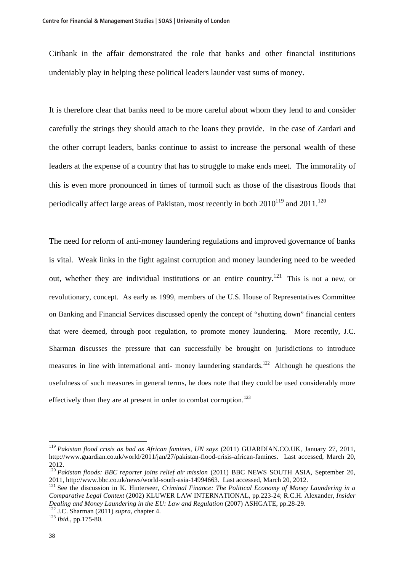Citibank in the affair demonstrated the role that banks and other financial institutions undeniably play in helping these political leaders launder vast sums of money.

It is therefore clear that banks need to be more careful about whom they lend to and consider carefully the strings they should attach to the loans they provide. In the case of Zardari and the other corrupt leaders, banks continue to assist to increase the personal wealth of these leaders at the expense of a country that has to struggle to make ends meet. The immorality of this is even more pronounced in times of turmoil such as those of the disastrous floods that periodically affect large areas of Pakistan, most recently in both  $2010^{119}$  and  $2011$ .<sup>120</sup>

The need for reform of anti-money laundering regulations and improved governance of banks is vital. Weak links in the fight against corruption and money laundering need to be weeded out, whether they are individual institutions or an entire country.<sup>121</sup> This is not a new, or revolutionary, concept. As early as 1999, members of the U.S. House of Representatives Committee on Banking and Financial Services discussed openly the concept of "shutting down" financial centers that were deemed, through poor regulation, to promote money laundering. More recently, J.C. Sharman discusses the pressure that can successfully be brought on jurisdictions to introduce measures in line with international anti- money laundering standards.<sup>122</sup> Although he questions the usefulness of such measures in general terms, he does note that they could be used considerably more effectively than they are at present in order to combat corruption.<sup>123</sup>

<sup>119</sup> *Pakistan flood crisis as bad as African famines, UN says* (2011) GUARDIAN.CO.UK, January 27, 2011, http://www.guardian.co.uk/world/2011/jan/27/pakistan-flood-crisis-african-famines. Last accessed, March 20, 2012.

<sup>120</sup> *Pakistan floods: BBC reporter joins relief air mission* (2011) BBC NEWS SOUTH ASIA, September 20, 2011, http://www.bbc.co.uk/news/world-south-asia-14994663. Last accessed, March 20, 2012.

<sup>&</sup>lt;sup>121</sup> See the discussion in K. Hinterseer, *Criminal Finance: The Political Economy of Money Laundering in a Comparative Legal Context* (2002) KLUWER LAW INTERNATIONAL, pp.223-24; R.C.H. Alexander, *Insider Dealing and Money Laundering in the EU: Law and Regulation* (2007) ASHGATE, pp.28-29. <sup>122</sup> J.C. Sharman (2011) *supra*, chapter 4. <sup>123</sup> *Ibid.*, pp.175-80.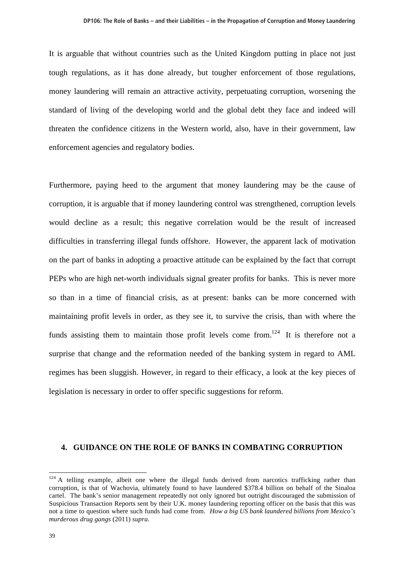It is arguable that without countries such as the United Kingdom putting in place not just tough regulations, as it has done already, but tougher enforcement of those regulations, money laundering will remain an attractive activity, perpetuating corruption, worsening the standard of living of the developing world and the global debt they face and indeed will threaten the confidence citizens in the Western world, also, have in their government, law enforcement agencies and regulatory bodies.

Furthermore, paying heed to the argument that money laundering may be the cause of corruption, it is arguable that if money laundering control was strengthened, corruption levels would decline as a result; this negative correlation would be the result of increased difficulties in transferring illegal funds offshore. However, the apparent lack of motivation on the part of banks in adopting a proactive attitude can be explained by the fact that corrupt PEPs who are high net-worth individuals signal greater profits for banks. This is never more so than in a time of financial crisis, as at present: banks can be more concerned with maintaining profit levels in order, as they see it, to survive the crisis, than with where the funds assisting them to maintain those profit levels come from.<sup>124</sup> It is therefore not a surprise that change and the reformation needed of the banking system in regard to AML regimes has been sluggish. However, in regard to their efficacy, a look at the key pieces of legislation is necessary in order to offer specific suggestions for reform.

#### **4. GUIDANCE ON THE ROLE OF BANKS IN COMBATING CORRUPTION**

 $124$  A telling example, albeit one where the illegal funds derived from narcotics trafficking rather than corruption, is that of Wachovia, ultimately found to have laundered \$378.4 billion on behalf of the Sinaloa cartel. The bank's senior management repeatedly not only ignored but outright discouraged the submission of Suspicious Transaction Reports sent by their U.K. money laundering reporting officer on the basis that this was not a time to question where such funds had come from. *How a big US bank laundered billions from Mexico's murderous drug gangs* (2011) *supra*.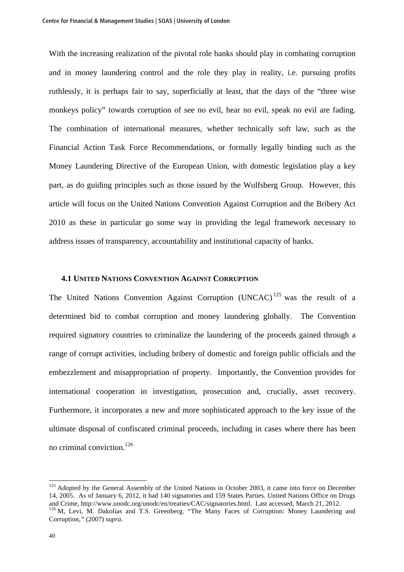With the increasing realization of the pivotal role banks should play in combating corruption and in money laundering control and the role they play in reality, i.e. pursuing profits ruthlessly, it is perhaps fair to say, superficially at least, that the days of the "three wise monkeys policy" towards corruption of see no evil, hear no evil, speak no evil are fading. The combination of international measures, whether technically soft law, such as the Financial Action Task Force Recommendations, or formally legally binding such as the Money Laundering Directive of the European Union, with domestic legislation play a key part, as do guiding principles such as those issued by the Wolfsberg Group. However, this article will focus on the United Nations Convention Against Corruption and the Bribery Act 2010 as these in particular go some way in providing the legal framework necessary to address issues of transparency, accountability and institutional capacity of banks.

# **4.1 UNITED NATIONS CONVENTION AGAINST CORRUPTION**

The United Nations Convention Against Corruption (UNCAC)<sup>125</sup> was the result of a determined bid to combat corruption and money laundering globally. The Convention required signatory countries to criminalize the laundering of the proceeds gained through a range of corrupt activities, including bribery of domestic and foreign public officials and the embezzlement and misappropriation of property. Importantly, the Convention provides for international cooperation in investigation, prosecution and, crucially, asset recovery. Furthermore, it incorporates a new and more sophisticated approach to the key issue of the ultimate disposal of confiscated criminal proceeds, including in cases where there has been no criminal conviction.<sup>126</sup>

<sup>&</sup>lt;sup>125</sup> Adopted by the General Assembly of the United Nations in October 2003, it came into force on December 14, 2005. As of January 6, 2012, it had 140 signatories and 159 States Parties. United Nations Office on Drugs and Crime. http://www.unodc.org/unodc/en/treaties/CAC/signatories.html. Last accessed, March 21, 2012.

<sup>&</sup>lt;sup>126</sup> M. Levi, M. Dakolias and T.S. Greenberg. "The Many Faces of Corruption: Money Laundering and Corruption*,"* (2007) *supra*.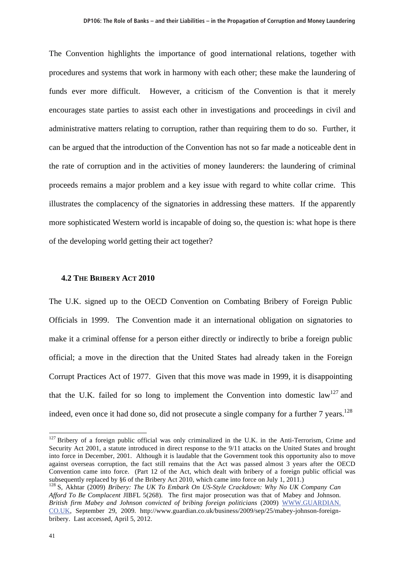The Convention highlights the importance of good international relations, together with procedures and systems that work in harmony with each other; these make the laundering of funds ever more difficult. However, a criticism of the Convention is that it merely encourages state parties to assist each other in investigations and proceedings in civil and administrative matters relating to corruption, rather than requiring them to do so. Further, it can be argued that the introduction of the Convention has not so far made a noticeable dent in the rate of corruption and in the activities of money launderers: the laundering of criminal proceeds remains a major problem and a key issue with regard to white collar crime. This illustrates the complacency of the signatories in addressing these matters. If the apparently more sophisticated Western world is incapable of doing so, the question is: what hope is there of the developing world getting their act together?

#### **4.2 THE BRIBERY ACT 2010**

The U.K. signed up to the OECD Convention on Combating Bribery of Foreign Public Officials in 1999. The Convention made it an international obligation on signatories to make it a criminal offense for a person either directly or indirectly to bribe a foreign public official; a move in the direction that the United States had already taken in the Foreign Corrupt Practices Act of 1977. Given that this move was made in 1999, it is disappointing that the U.K. failed for so long to implement the Convention into domestic  $law<sup>127</sup>$  and indeed, even once it had done so, did not prosecute a single company for a further  $7$  years.<sup>128</sup>

<sup>&</sup>lt;sup>127</sup> Bribery of a foreign public official was only criminalized in the U.K. in the Anti-Terrorism, Crime and Security Act 2001, a statute introduced in direct response to the 9/11 attacks on the United States and brought into force in December, 2001. Although it is laudable that the Government took this opportunity also to move against overseas corruption, the fact still remains that the Act was passed almost 3 years after the OECD Convention came into force. (Part 12 of the Act, which dealt with bribery of a foreign public official was subsequently replaced by §6 of the Bribery Act 2010, which came into force on July 1, 2011.)

<sup>128</sup> S, Akhtar (2009) *Bribery: The UK To Embark On US-Style Crackdown: Why No UK Company Can Afford To Be Complacent* JIBFL 5(268). The first major prosecution was that of Mabey and Johnson. *British firm Mabey and Johnson convicted of bribing foreign politicians* (2009) WWW.GUARDIAN. CO.UK, September 29, 2009. http://www.guardian.co.uk/business/2009/sep/25/mabey-johnson-foreignbribery. Last accessed, April 5, 2012.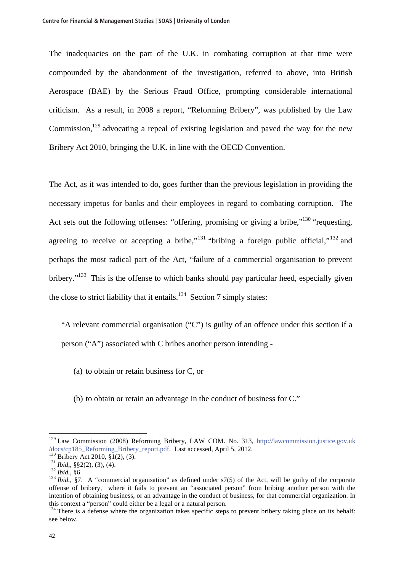The inadequacies on the part of the U.K. in combating corruption at that time were compounded by the abandonment of the investigation, referred to above, into British Aerospace (BAE) by the Serious Fraud Office, prompting considerable international criticism. As a result, in 2008 a report, "Reforming Bribery", was published by the Law Commission,<sup>129</sup> advocating a repeal of existing legislation and paved the way for the new Bribery Act 2010, bringing the U.K. in line with the OECD Convention.

The Act, as it was intended to do, goes further than the previous legislation in providing the necessary impetus for banks and their employees in regard to combating corruption. The Act sets out the following offenses: "offering, promising or giving a bribe,"<sup>130</sup> "requesting, agreeing to receive or accepting a bribe,"<sup>131</sup> "bribing a foreign public official,"<sup>132</sup> and perhaps the most radical part of the Act, "failure of a commercial organisation to prevent bribery."<sup>133</sup> This is the offense to which banks should pay particular heed, especially given the close to strict liability that it entails.<sup>134</sup> Section 7 simply states:

"A relevant commercial organisation ("C") is guilty of an offence under this section if a person ("A") associated with C bribes another person intending -

(a) to obtain or retain business for C, or

(b) to obtain or retain an advantage in the conduct of business for C."

<sup>&</sup>lt;sup>129</sup> Law Commission (2008) Reforming Bribery, LAW COM. No. 313, http://lawcommission.justice.gov.uk  $\frac{\text{docs/cp185}\text{Reforming Bribery report.pdf}}{130}\text{Bribery Act 2010, §1(2), (3)}.$ <br>  $\frac{131 \text{ Bid., §\$2(2), (3), (4)}}{132 \text{ Bid., §\$2(2), (3), (4)}}$ <br>  $\frac{131 \text{ Bid., §\$2(2), (3), (4)}}{132 \text{ Bid., §7}}$ . A "commercial organisation" as defined under s7(5) of the Act, will be guilty

offense of bribery, where it fails to prevent an "associated person" from bribing another person with the intention of obtaining business, or an advantage in the conduct of business, for that commercial organization. In this context a "person" could either be a legal or a natural person.

 $134$  There is a defense where the organization takes specific steps to prevent bribery taking place on its behalf: see below.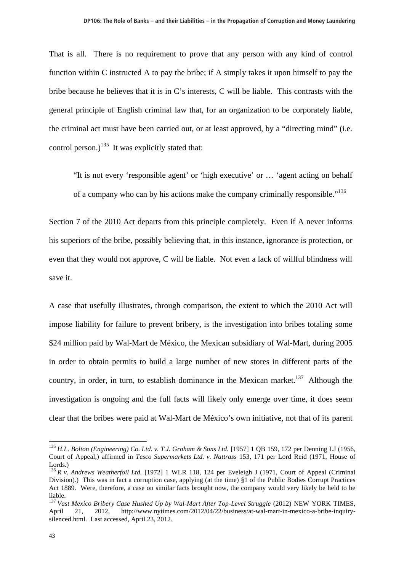That is all. There is no requirement to prove that any person with any kind of control function within C instructed A to pay the bribe; if A simply takes it upon himself to pay the bribe because he believes that it is in C's interests, C will be liable. This contrasts with the general principle of English criminal law that, for an organization to be corporately liable, the criminal act must have been carried out, or at least approved, by a "directing mind" (i.e. control person.)<sup>135</sup> It was explicitly stated that:

"It is not every 'responsible agent' or 'high executive' or … 'agent acting on behalf of a company who can by his actions make the company criminally responsible."<sup>136</sup>

Section 7 of the 2010 Act departs from this principle completely. Even if A never informs his superiors of the bribe, possibly believing that, in this instance, ignorance is protection, or even that they would not approve, C will be liable. Not even a lack of willful blindness will save it.

A case that usefully illustrates, through comparison, the extent to which the 2010 Act will impose liability for failure to prevent bribery, is the investigation into bribes totaling some \$24 million paid by Wal-Mart de México, the Mexican subsidiary of Wal-Mart, during 2005 in order to obtain permits to build a large number of new stores in different parts of the country, in order, in turn, to establish dominance in the Mexican market.<sup>137</sup> Although the investigation is ongoing and the full facts will likely only emerge over time, it does seem clear that the bribes were paid at Wal-Mart de México's own initiative, not that of its parent

<sup>135</sup> *H.L. Bolton (Engineering) Co. Ltd. v. T.J. Graham & Sons Ltd.* [1957] 1 QB 159, 172 per Denning LJ (1956, Court of Appeal,) affirmed in *Tesco Supermarkets Ltd. v. Nattrass* 153, 171 per Lord Reid (1971, House of Lords.)

<sup>136</sup> *R v. Andrews Weatherfoil Ltd.* [1972] 1 WLR 118, 124 per Eveleigh J (1971, Court of Appeal (Criminal Division).) This was in fact a corruption case, applying (at the time) §1 of the Public Bodies Corrupt Practices Act 1889. Were, therefore, a case on similar facts brought now, the company would very likely be held to be liable.

<sup>137</sup> *Vast Mexico Bribery Case Hushed Up by Wal-Mart After Top-Level Struggle* (2012) NEW YORK TIMES, April 21, 2012, http://www.nytimes.com/2012/04/22/business/at-wal-mart-in-mexico-a-bribe-inquirysilenced.html. Last accessed, April 23, 2012.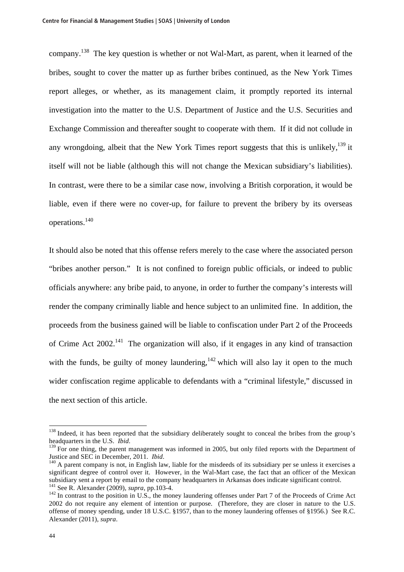company.138 The key question is whether or not Wal-Mart, as parent, when it learned of the bribes, sought to cover the matter up as further bribes continued, as the New York Times report alleges, or whether, as its management claim, it promptly reported its internal investigation into the matter to the U.S. Department of Justice and the U.S. Securities and Exchange Commission and thereafter sought to cooperate with them. If it did not collude in any wrongdoing, albeit that the New York Times report suggests that this is unlikely,  $^{139}$  it itself will not be liable (although this will not change the Mexican subsidiary's liabilities). In contrast, were there to be a similar case now, involving a British corporation, it would be liable, even if there were no cover-up, for failure to prevent the bribery by its overseas operations.<sup>140</sup>

It should also be noted that this offense refers merely to the case where the associated person "bribes another person." It is not confined to foreign public officials, or indeed to public officials anywhere: any bribe paid, to anyone, in order to further the company's interests will render the company criminally liable and hence subject to an unlimited fine. In addition, the proceeds from the business gained will be liable to confiscation under Part 2 of the Proceeds of Crime Act  $2002<sup>141</sup>$ . The organization will also, if it engages in any kind of transaction with the funds, be guilty of money laundering,  $142$  which will also lay it open to the much wider confiscation regime applicable to defendants with a "criminal lifestyle," discussed in the next section of this article.

<sup>&</sup>lt;sup>138</sup> Indeed, it has been reported that the subsidiary deliberately sought to conceal the bribes from the group's

headquarters in the U.S. *Ibid*. <sup>139</sup> For one thing, the parent management was informed in 2005, but only filed reports with the Department of Justice and SEC in December, 2011. *Ibid*.

<sup>&</sup>lt;sup>140</sup> A parent company is not, in English law, liable for the misdeeds of its subsidiary per se unless it exercises a significant degree of control over it. However, in the Wal-Mart case, the fact that an officer of the Mexican subsidiary sent a report by email to the company headquarters in Arkansas does indicate significant control.<br><sup>141</sup> See R. Alexander (2009), *supra*, pp.103-4.

<sup>&</sup>lt;sup>142</sup> In contrast to the position in U.S., the money laundering offenses under Part 7 of the Proceeds of Crime Act 2002 do not require any element of intention or purpose. (Therefore, they are closer in nature to the U.S. offense of money spending, under 18 U.S.C. §1957, than to the money laundering offenses of §1956.) See R.C. Alexander (2011), *supra*.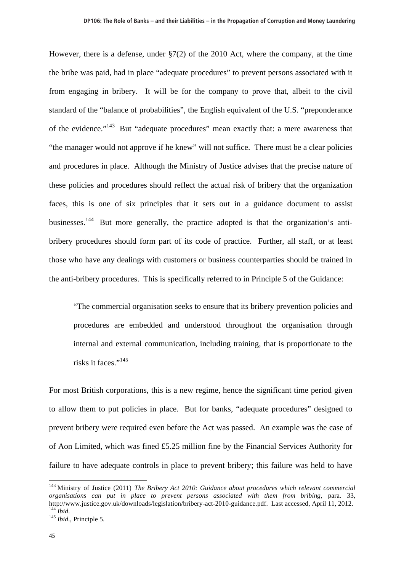However, there is a defense, under §7(2) of the 2010 Act, where the company, at the time the bribe was paid, had in place "adequate procedures" to prevent persons associated with it from engaging in bribery. It will be for the company to prove that, albeit to the civil standard of the "balance of probabilities", the English equivalent of the U.S. "preponderance of the evidence."143 But "adequate procedures" mean exactly that: a mere awareness that "the manager would not approve if he knew" will not suffice. There must be a clear policies and procedures in place. Although the Ministry of Justice advises that the precise nature of these policies and procedures should reflect the actual risk of bribery that the organization faces, this is one of six principles that it sets out in a guidance document to assist businesses.<sup>144</sup> But more generally, the practice adopted is that the organization's antibribery procedures should form part of its code of practice. Further, all staff, or at least those who have any dealings with customers or business counterparties should be trained in the anti-bribery procedures. This is specifically referred to in Principle 5 of the Guidance:

"The commercial organisation seeks to ensure that its bribery prevention policies and procedures are embedded and understood throughout the organisation through internal and external communication, including training, that is proportionate to the risks it faces." $145$ 

For most British corporations, this is a new regime, hence the significant time period given to allow them to put policies in place. But for banks, "adequate procedures" designed to prevent bribery were required even before the Act was passed. An example was the case of of Aon Limited, which was fined £5.25 million fine by the Financial Services Authority for failure to have adequate controls in place to prevent bribery; this failure was held to have

<sup>143</sup> Ministry of Justice (2011) *The Bribery Act 2010: Guidance about procedures which relevant commercial organisations can put in place to prevent persons associated with them from bribing*, para. 33, http://www.justice.gov.uk/downloads/legislation/bribery-act-2010-guidance.pdf. Last accessed, April 11, 2012. 144 *Ibid*. <sup>145</sup> *Ibid*., Principle 5.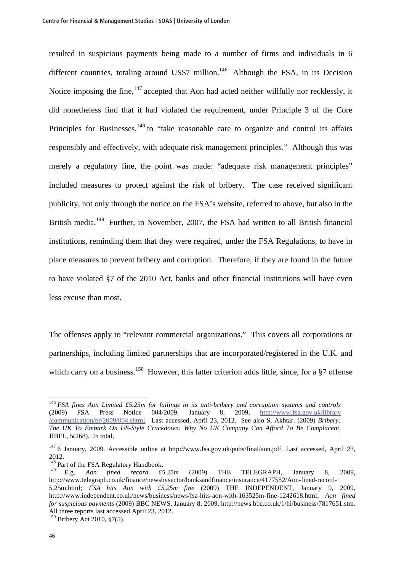resulted in suspicious payments being made to a number of firms and individuals in 6 different countries, totaling around US\$7 million.<sup>146</sup> Although the FSA, in its Decision Notice imposing the fine, $147$  accepted that Aon had acted neither willfully nor recklessly, it did nonetheless find that it had violated the requirement, under Principle 3 of the Core Principles for Businesses, $148$  to "take reasonable care to organize and control its affairs responsibly and effectively, with adequate risk management principles." Although this was merely a regulatory fine, the point was made: "adequate risk management principles" included measures to protect against the risk of bribery. The case received significant publicity, not only through the notice on the FSA's website, referred to above, but also in the British media.<sup>149</sup> Further, in November, 2007, the FSA had written to all British financial institutions, reminding them that they were required, under the FSA Regulations, to have in place measures to prevent bribery and corruption. Therefore, if they are found in the future to have violated §7 of the 2010 Act, banks and other financial institutions will have even less excuse than most.

The offenses apply to "relevant commercial organizations." This covers all corporations or partnerships, including limited partnerships that are incorporated/registered in the U.K. and which carry on a business.<sup>150</sup> However, this latter criterion adds little, since, for a  $\S7$  offense

<sup>&</sup>lt;sup>146</sup> *FSA fines Aon Limited £5.25m for failings in its anti-bribery and corruption systems and controls* (2009) **FSA** Press Notice 004/2009, January 8, 2009, http://www.fsa.gov.uk/library (2009) FSA Press Notice 004/2009, January 8, 2009, http://www.fsa.gov.uk/library /communication/pr/2009/004.shtml. Last accessed, April 23, 2012. See also S, Akhtar. (2009) *Bribery: The UK To Embark On US-Style Crackdown: Why No UK Company Can Afford To Be Complacent*, JIBFL*,* 5(268). In total,

<sup>&</sup>lt;sup>147</sup> 6 January, 2009. Accessible online at http://www.fsa.gov.uk/pubs/final/aon.pdf. Last accessed, April 23, 2012.

<sup>&</sup>lt;sup>148</sup> Part of the FSA Regulatory Handbook.

<sup>149</sup> E.g. *Aon fined record £5.25m* (2009) THE TELEGRAPH, January 8, 2009, http://www.telegraph.co.uk/finance/newsbysector/banksandfinance/insurance/4177552/Aon-fined-record-5.25m.html; *FSA hits Aon with £5.25m fine* (2009) THE INDEPENDENT, January 9, 2009, http://www.independent.co.uk/news/business/news/fsa-hits-aon-with-163525m-fine-1242618.html; *Aon fined for suspicious payments* (2009) BBC NEWS, January 8, 2009, http://news.bbc.co.uk/1/hi/business/7817651.stm. All three reports last accessed April 23, 2012.

<sup>150</sup> Bribery Act 2010, §7(5).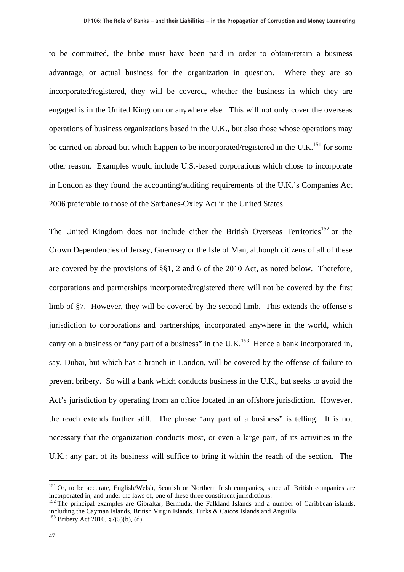to be committed, the bribe must have been paid in order to obtain/retain a business advantage, or actual business for the organization in question. Where they are so incorporated/registered, they will be covered, whether the business in which they are engaged is in the United Kingdom or anywhere else. This will not only cover the overseas operations of business organizations based in the U.K., but also those whose operations may be carried on abroad but which happen to be incorporated/registered in the U.K.<sup>151</sup> for some other reason. Examples would include U.S.-based corporations which chose to incorporate in London as they found the accounting/auditing requirements of the U.K.'s Companies Act 2006 preferable to those of the Sarbanes-Oxley Act in the United States.

The United Kingdom does not include either the British Overseas Territories<sup>152</sup> or the Crown Dependencies of Jersey, Guernsey or the Isle of Man, although citizens of all of these are covered by the provisions of §§1, 2 and 6 of the 2010 Act, as noted below. Therefore, corporations and partnerships incorporated/registered there will not be covered by the first limb of §7. However, they will be covered by the second limb. This extends the offense's jurisdiction to corporations and partnerships, incorporated anywhere in the world, which carry on a business or "any part of a business" in the U.K.<sup>153</sup> Hence a bank incorporated in, say, Dubai, but which has a branch in London, will be covered by the offense of failure to prevent bribery. So will a bank which conducts business in the U.K., but seeks to avoid the Act's jurisdiction by operating from an office located in an offshore jurisdiction. However, the reach extends further still. The phrase "any part of a business" is telling. It is not necessary that the organization conducts most, or even a large part, of its activities in the U.K.: any part of its business will suffice to bring it within the reach of the section. The

<sup>&</sup>lt;sup>151</sup> Or, to be accurate, English/Welsh, Scottish or Northern Irish companies, since all British companies are incorporated in, and under the laws of, one of these three constituent jurisdictions.

<sup>&</sup>lt;sup>152</sup> The principal examples are Gibraltar, Bermuda, the Falkland Islands and a number of Caribbean islands, including the Cayman Islands, British Virgin Islands, Turks & Caicos Islands and Anguilla.

 $153$  Bribery Act 2010, §7(5)(b), (d).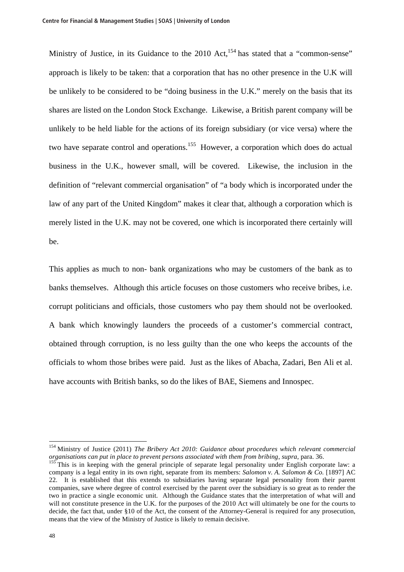Ministry of Justice, in its Guidance to the  $2010$  Act,<sup>154</sup> has stated that a "common-sense" approach is likely to be taken: that a corporation that has no other presence in the U.K will be unlikely to be considered to be "doing business in the U.K." merely on the basis that its shares are listed on the London Stock Exchange. Likewise, a British parent company will be unlikely to be held liable for the actions of its foreign subsidiary (or vice versa) where the two have separate control and operations.155 However, a corporation which does do actual business in the U.K., however small, will be covered. Likewise, the inclusion in the definition of "relevant commercial organisation" of "a body which is incorporated under the law of any part of the United Kingdom" makes it clear that, although a corporation which is merely listed in the U.K. may not be covered, one which is incorporated there certainly will be.

This applies as much to non- bank organizations who may be customers of the bank as to banks themselves. Although this article focuses on those customers who receive bribes, i.e. corrupt politicians and officials, those customers who pay them should not be overlooked. A bank which knowingly launders the proceeds of a customer's commercial contract, obtained through corruption, is no less guilty than the one who keeps the accounts of the officials to whom those bribes were paid. Just as the likes of Abacha, Zadari, Ben Ali et al. have accounts with British banks, so do the likes of BAE, Siemens and Innospec.

<sup>&</sup>lt;sup>154</sup> Ministry of Justice (2011) *The Bribery Act 2010: Guidance about procedures which relevant commercial organisations can put in place to prevent persons associated with them from bribing, supra, para. 36.* 

<sup>&</sup>lt;sup>155</sup>This is in keeping with the general principle of separate legal personality under English corporate law: a company is a legal entity in its own right, separate from its members: *Salomon v. A. Salomon & Co.* [1897] AC 22. It is established that this extends to subsidiaries having separate legal personality from their parent companies, save where degree of control exercised by the parent over the subsidiary is so great as to render the two in practice a single economic unit. Although the Guidance states that the interpretation of what will and will not constitute presence in the U.K. for the purposes of the 2010 Act will ultimately be one for the courts to decide, the fact that, under §10 of the Act, the consent of the Attorney-General is required for any prosecution, means that the view of the Ministry of Justice is likely to remain decisive.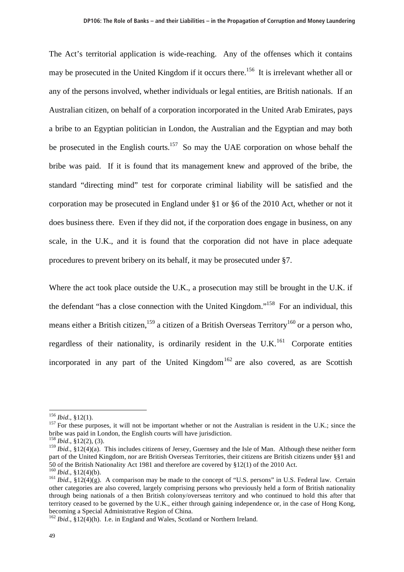The Act's territorial application is wide-reaching. Any of the offenses which it contains may be prosecuted in the United Kingdom if it occurs there.<sup>156</sup> It is irrelevant whether all or any of the persons involved, whether individuals or legal entities, are British nationals. If an Australian citizen, on behalf of a corporation incorporated in the United Arab Emirates, pays a bribe to an Egyptian politician in London, the Australian and the Egyptian and may both be prosecuted in the English courts.<sup>157</sup> So may the UAE corporation on whose behalf the bribe was paid. If it is found that its management knew and approved of the bribe, the standard "directing mind" test for corporate criminal liability will be satisfied and the corporation may be prosecuted in England under §1 or §6 of the 2010 Act, whether or not it does business there. Even if they did not, if the corporation does engage in business, on any scale, in the U.K., and it is found that the corporation did not have in place adequate procedures to prevent bribery on its behalf, it may be prosecuted under §7.

Where the act took place outside the U.K., a prosecution may still be brought in the U.K. if the defendant "has a close connection with the United Kingdom."158 For an individual, this means either a British citizen,<sup>159</sup> a citizen of a British Overseas Territory<sup>160</sup> or a person who, regardless of their nationality, is ordinarily resident in the U.K.<sup>161</sup> Corporate entities incorporated in any part of the United Kingdom<sup>162</sup> are also covered, as are Scottish

 $156$  *Ibid.*, §12(1).

<sup>&</sup>lt;sup>157</sup> For these purposes, it will not be important whether or not the Australian is resident in the U.K.; since the bribe was paid in London, the English courts will have jurisdiction.

<sup>158</sup> *Ibid*., §12(2), (3).

<sup>&</sup>lt;sup>159</sup> *Ibid.*, §12(4)(a). This includes citizens of Jersey, Guernsey and the Isle of Man. Although these neither form part of the United Kingdom, nor are British Overseas Territories, their citizens are British citizens under §§1 and 50 of the British Nationality Act 1981 and therefore are covered by  $$12(1)$  of the 2010 Act.<br><sup>160</sup> *Ibid.*,  $$12(4)(b)$ .

<sup>&</sup>lt;sup>161</sup> *Ibid.*, §12(4)(g). A comparison may be made to the concept of "U.S. persons" in U.S. Federal law. Certain other categories are also covered, largely comprising persons who previously held a form of British nationality through being nationals of a then British colony/overseas territory and who continued to hold this after that territory ceased to be governed by the U.K., either through gaining independence or, in the case of Hong Kong, becoming a Special Administrative Region of China.

 $162$  *Ibid.*, §12(4)(h). I.e. in England and Wales, Scotland or Northern Ireland.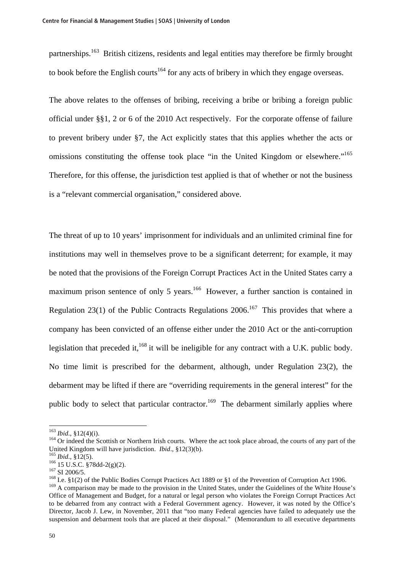partnerships.<sup>163</sup> British citizens, residents and legal entities may therefore be firmly brought to book before the English courts<sup>164</sup> for any acts of bribery in which they engage overseas.

The above relates to the offenses of bribing, receiving a bribe or bribing a foreign public official under §§1, 2 or 6 of the 2010 Act respectively. For the corporate offense of failure to prevent bribery under §7, the Act explicitly states that this applies whether the acts or omissions constituting the offense took place "in the United Kingdom or elsewhere."<sup>165</sup> Therefore, for this offense, the jurisdiction test applied is that of whether or not the business is a "relevant commercial organisation," considered above.

The threat of up to 10 years' imprisonment for individuals and an unlimited criminal fine for institutions may well in themselves prove to be a significant deterrent; for example, it may be noted that the provisions of the Foreign Corrupt Practices Act in the United States carry a maximum prison sentence of only 5 years.<sup>166</sup> However, a further sanction is contained in Regulation 23(1) of the Public Contracts Regulations 2006.<sup>167</sup> This provides that where a company has been convicted of an offense either under the 2010 Act or the anti-corruption legislation that preceded it,<sup>168</sup> it will be ineligible for any contract with a U.K. public body. No time limit is prescribed for the debarment, although, under Regulation 23(2), the debarment may be lifted if there are "overriding requirements in the general interest" for the public body to select that particular contractor.<sup>169</sup> The debarment similarly applies where

 $163$  *Ibid.*, §12(4)(i).

<sup>&</sup>lt;sup>164</sup> Or indeed the Scottish or Northern Irish courts. Where the act took place abroad, the courts of any part of the United Kingdom will have jurisdiction. *Ibid.*, §12(3)(b).<br><sup>165</sup> *Ibid.*, §12(5).<br><sup>166</sup> 15 U.S.C. §78dd-2(g)(2).<br><sup>167</sup> SI 2006/5.<br><sup>168</sup> I.e. §1(2) of the Public Bodies Corrupt Practices Act 1889 or §1 of the Prevention of

<sup>&</sup>lt;sup>169</sup> A comparison may be made to the provision in the United States, under the Guidelines of the White House's Office of Management and Budget, for a natural or legal person who violates the Foreign Corrupt Practices Act to be debarred from any contract with a Federal Government agency. However, it was noted by the Office's Director, Jacob J. Lew, in November, 2011 that "too many Federal agencies have failed to adequately use the suspension and debarment tools that are placed at their disposal." (Memorandum to all executive departments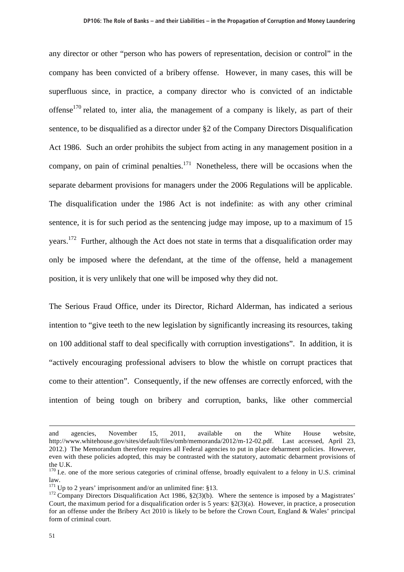any director or other "person who has powers of representation, decision or control" in the company has been convicted of a bribery offense. However, in many cases, this will be superfluous since, in practice, a company director who is convicted of an indictable offense<sup>170</sup> related to, inter alia, the management of a company is likely, as part of their sentence, to be disqualified as a director under §2 of the Company Directors Disqualification Act 1986. Such an order prohibits the subject from acting in any management position in a company, on pain of criminal penalties.<sup>171</sup> Nonetheless, there will be occasions when the separate debarment provisions for managers under the 2006 Regulations will be applicable. The disqualification under the 1986 Act is not indefinite: as with any other criminal sentence, it is for such period as the sentencing judge may impose, up to a maximum of 15 years.<sup>172</sup> Further, although the Act does not state in terms that a disqualification order may only be imposed where the defendant, at the time of the offense, held a management position, it is very unlikely that one will be imposed why they did not.

The Serious Fraud Office, under its Director, Richard Alderman, has indicated a serious intention to "give teeth to the new legislation by significantly increasing its resources, taking on 100 additional staff to deal specifically with corruption investigations". In addition, it is "actively encouraging professional advisers to blow the whistle on corrupt practices that come to their attention". Consequently, if the new offenses are correctly enforced, with the intention of being tough on bribery and corruption, banks, like other commercial

and agencies, November 15, 2011, available on the White House website, http://www.whitehouse.gov/sites/default/files/omb/memoranda/2012/m-12-02.pdf. Last accessed, April 23, 2012.) The Memorandum therefore requires all Federal agencies to put in place debarment policies. However, even with these policies adopted, this may be contrasted with the statutory, automatic debarment provisions of the U.K.

<sup>&</sup>lt;sup>170</sup> I.e. one of the more serious categories of criminal offense, broadly equivalent to a felony in U.S. criminal law.<br> $^{171}$  Up to 2 years' imprisonment and/or an unlimited fine: §13.

<sup>&</sup>lt;sup>172</sup> Company Directors Disqualification Act 1986, §2(3)(b). Where the sentence is imposed by a Magistrates' Court, the maximum period for a disqualification order is 5 years:  $\S2(3)(a)$ . However, in practice, a prosecution for an offense under the Bribery Act 2010 is likely to be before the Crown Court, England & Wales' principal form of criminal court.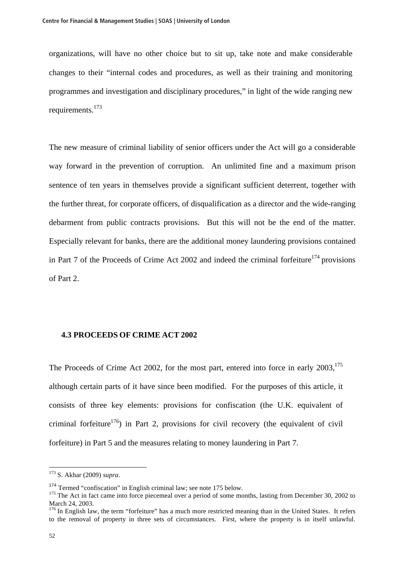organizations, will have no other choice but to sit up, take note and make considerable changes to their "internal codes and procedures, as well as their training and monitoring programmes and investigation and disciplinary procedures," in light of the wide ranging new requirements.<sup>173</sup>

The new measure of criminal liability of senior officers under the Act will go a considerable way forward in the prevention of corruption. An unlimited fine and a maximum prison sentence of ten years in themselves provide a significant sufficient deterrent, together with the further threat, for corporate officers, of disqualification as a director and the wide-ranging debarment from public contracts provisions. But this will not be the end of the matter. Especially relevant for banks, there are the additional money laundering provisions contained in Part 7 of the Proceeds of Crime Act 2002 and indeed the criminal forfeiture<sup>174</sup> provisions of Part 2.

## **4.3 PROCEEDS OF CRIME ACT 2002**

The Proceeds of Crime Act 2002, for the most part, entered into force in early  $2003$ ,  $175$ although certain parts of it have since been modified. For the purposes of this article, it consists of three key elements: provisions for confiscation (the U.K. equivalent of criminal forfeiture<sup>176</sup>) in Part 2, provisions for civil recovery (the equivalent of civil forfeiture) in Part 5 and the measures relating to money laundering in Part 7.

 $\overline{a}$ 

<sup>173</sup> S. Akhar (2009) *supra*.

<sup>&</sup>lt;sup>174</sup> Termed "confiscation" in English criminal law; see note 175 below.<br><sup>175</sup> The Act in fact came into force piecemeal over a period of some months, lasting from December 30, 2002 to March 24, 2003.

<sup>&</sup>lt;sup>176</sup> In English law, the term "forfeiture" has a much more restricted meaning than in the United States. It refers to the removal of property in three sets of circumstances. First, where the property is in itself unlawful.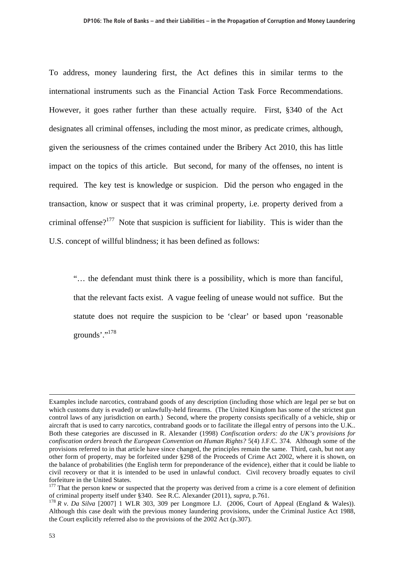To address, money laundering first, the Act defines this in similar terms to the international instruments such as the Financial Action Task Force Recommendations. However, it goes rather further than these actually require. First, §340 of the Act designates all criminal offenses, including the most minor, as predicate crimes, although, given the seriousness of the crimes contained under the Bribery Act 2010, this has little impact on the topics of this article. But second, for many of the offenses, no intent is required. The key test is knowledge or suspicion. Did the person who engaged in the transaction, know or suspect that it was criminal property, i.e. property derived from a criminal offense?<sup>177</sup> Note that suspicion is sufficient for liability. This is wider than the U.S. concept of willful blindness; it has been defined as follows:

"… the defendant must think there is a possibility, which is more than fanciful, that the relevant facts exist. A vague feeling of unease would not suffice. But the statute does not require the suspicion to be 'clear' or based upon 'reasonable grounds'."<sup>178</sup>

Examples include narcotics, contraband goods of any description (including those which are legal per se but on which customs duty is evaded) or unlawfully-held firearms. (The United Kingdom has some of the strictest gun control laws of any jurisdiction on earth.) Second, where the property consists specifically of a vehicle, ship or aircraft that is used to carry narcotics, contraband goods or to facilitate the illegal entry of persons into the U.K.. Both these categories are discussed in R. Alexander (1998) *Confiscation orders: do the UK's provisions for confiscation orders breach the European Convention on Human Rights?* 5(4) J.F.C. 374. Although some of the provisions referred to in that article have since changed, the principles remain the same. Third, cash, but not any other form of property, may be forfeited under §298 of the Proceeds of Crime Act 2002, where it is shown, on the balance of probabilities (the English term for preponderance of the evidence), either that it could be liable to civil recovery or that it is intended to be used in unlawful conduct. Civil recovery broadly equates to civil forfeiture in the United States.

<sup>&</sup>lt;sup>177</sup> That the person knew or suspected that the property was derived from a crime is a core element of definition of criminal property itself under §340. See R.C. Alexander (2011), *supra*, p.761. 178 *R v. Da Silva* [2007] 1 WLR 303, 309 per Longmore LJ. (2006, Court of Appeal (England & Wales)).

Although this case dealt with the previous money laundering provisions, under the Criminal Justice Act 1988, the Court explicitly referred also to the provisions of the 2002 Act (p.307).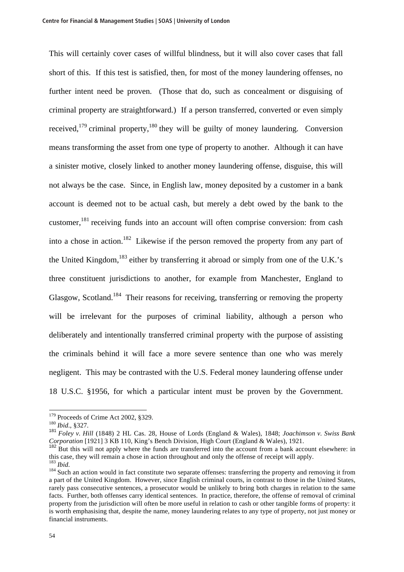This will certainly cover cases of willful blindness, but it will also cover cases that fall short of this. If this test is satisfied, then, for most of the money laundering offenses, no further intent need be proven. (Those that do, such as concealment or disguising of criminal property are straightforward.) If a person transferred, converted or even simply received,<sup>179</sup> criminal property,<sup>180</sup> they will be guilty of money laundering. Conversion means transforming the asset from one type of property to another. Although it can have a sinister motive, closely linked to another money laundering offense, disguise, this will not always be the case. Since, in English law, money deposited by a customer in a bank account is deemed not to be actual cash, but merely a debt owed by the bank to the customer,<sup>181</sup> receiving funds into an account will often comprise conversion: from cash into a chose in action.<sup>182</sup> Likewise if the person removed the property from any part of the United Kingdom,<sup>183</sup> either by transferring it abroad or simply from one of the U.K.'s three constituent jurisdictions to another, for example from Manchester, England to Glasgow, Scotland.<sup>184</sup> Their reasons for receiving, transferring or removing the property will be irrelevant for the purposes of criminal liability, although a person who deliberately and intentionally transferred criminal property with the purpose of assisting the criminals behind it will face a more severe sentence than one who was merely negligent. This may be contrasted with the U.S. Federal money laundering offense under 18 U.S.C. §1956, for which a particular intent must be proven by the Government.

<sup>179</sup> Proceeds of Crime Act 2002, §329. 180 *Ibid*., §327.

<sup>181</sup> *Foley v. Hill* (1848) 2 HL Cas. 28, House of Lords (England & Wales), 1848; *Joachimson v. Swiss Bank Corporation* [1921] 3 KB 110, King's Bench Division, High Court (England & Wales), 1921.

<sup>&</sup>lt;sup>182</sup> But this will not apply where the funds are transferred into the account from a bank account elsewhere: in this case, they will remain a chose in action throughout and only the offense of receipt will apply.<br> $^{183}$   $_{bid}$ 

<sup>&</sup>lt;sup>184</sup> Such an action would in fact constitute two separate offenses: transferring the property and removing it from a part of the United Kingdom. However, since English criminal courts, in contrast to those in the United States, rarely pass consecutive sentences, a prosecutor would be unlikely to bring both charges in relation to the same facts. Further, both offenses carry identical sentences. In practice, therefore, the offense of removal of criminal property from the jurisdiction will often be more useful in relation to cash or other tangible forms of property: it is worth emphasising that, despite the name, money laundering relates to any type of property, not just money or financial instruments.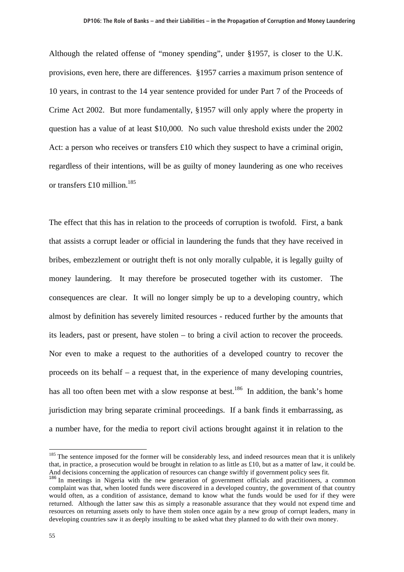Although the related offense of "money spending", under §1957, is closer to the U.K. provisions, even here, there are differences. §1957 carries a maximum prison sentence of 10 years, in contrast to the 14 year sentence provided for under Part 7 of the Proceeds of Crime Act 2002. But more fundamentally, §1957 will only apply where the property in question has a value of at least \$10,000. No such value threshold exists under the 2002 Act: a person who receives or transfers £10 which they suspect to have a criminal origin, regardless of their intentions, will be as guilty of money laundering as one who receives or transfers £10 million.<sup>185</sup>

The effect that this has in relation to the proceeds of corruption is twofold. First, a bank that assists a corrupt leader or official in laundering the funds that they have received in bribes, embezzlement or outright theft is not only morally culpable, it is legally guilty of money laundering. It may therefore be prosecuted together with its customer. The consequences are clear. It will no longer simply be up to a developing country, which almost by definition has severely limited resources - reduced further by the amounts that its leaders, past or present, have stolen – to bring a civil action to recover the proceeds. Nor even to make a request to the authorities of a developed country to recover the proceeds on its behalf – a request that, in the experience of many developing countries, has all too often been met with a slow response at best.<sup>186</sup> In addition, the bank's home jurisdiction may bring separate criminal proceedings. If a bank finds it embarrassing, as a number have, for the media to report civil actions brought against it in relation to the

 $185$  The sentence imposed for the former will be considerably less, and indeed resources mean that it is unlikely that, in practice, a prosecution would be brought in relation to as little as £10, but as a matter of law, it could be. And decisions concerning the application of resources can change swiftly if government policy sees fit.

<sup>&</sup>lt;sup>186</sup> In meetings in Nigeria with the new generation of government officials and practitioners, a common complaint was that, when looted funds were discovered in a developed country, the government of that country would often, as a condition of assistance, demand to know what the funds would be used for if they were returned. Although the latter saw this as simply a reasonable assurance that they would not expend time and resources on returning assets only to have them stolen once again by a new group of corrupt leaders, many in developing countries saw it as deeply insulting to be asked what they planned to do with their own money.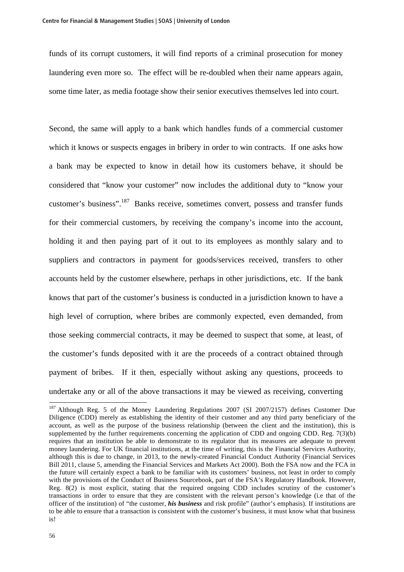funds of its corrupt customers, it will find reports of a criminal prosecution for money laundering even more so. The effect will be re-doubled when their name appears again, some time later, as media footage show their senior executives themselves led into court.

Second, the same will apply to a bank which handles funds of a commercial customer which it knows or suspects engages in bribery in order to win contracts. If one asks how a bank may be expected to know in detail how its customers behave, it should be considered that "know your customer" now includes the additional duty to "know your customer's business".187 Banks receive, sometimes convert, possess and transfer funds for their commercial customers, by receiving the company's income into the account, holding it and then paying part of it out to its employees as monthly salary and to suppliers and contractors in payment for goods/services received, transfers to other accounts held by the customer elsewhere, perhaps in other jurisdictions, etc. If the bank knows that part of the customer's business is conducted in a jurisdiction known to have a high level of corruption, where bribes are commonly expected, even demanded, from those seeking commercial contracts, it may be deemed to suspect that some, at least, of the customer's funds deposited with it are the proceeds of a contract obtained through payment of bribes. If it then, especially without asking any questions, proceeds to undertake any or all of the above transactions it may be viewed as receiving, converting

<sup>&</sup>lt;sup>187</sup> Although Reg. 5 of the Money Laundering Regulations 2007 (SI 2007/2157) defines Customer Due Diligence (CDD) merely as establishing the identity of their customer and any third party beneficiary of the account, as well as the purpose of the business relationship (between the client and the institution), this is supplemented by the further requirements concerning the application of CDD and ongoing CDD. Reg. 7(3)(b) requires that an institution be able to demonstrate to its regulator that its measures are adequate to prevent money laundering. For UK financial institutions, at the time of writing, this is the Financial Services Authority, although this is due to change, in 2013, to the newly-created Financial Conduct Authority (Financial Services Bill 2011, clause 5, amending the Financial Services and Markets Act 2000). Both the FSA now and the FCA in the future will certainly expect a bank to be familiar with its customers' business, not least in order to comply with the provisions of the Conduct of Business Sourcebook, part of the FSA's Regulatory Handbook. However, Reg. 8(2) is most explicit, stating that the required ongoing CDD includes scrutiny of the customer's transactions in order to ensure that they are consistent with the relevant person's knowledge (i.e that of the officer of the institution) of "the customer, *his business* and risk profile" (author's emphasis). If institutions are to be able to ensure that a transaction is consistent with the customer's business, it must know what that business is!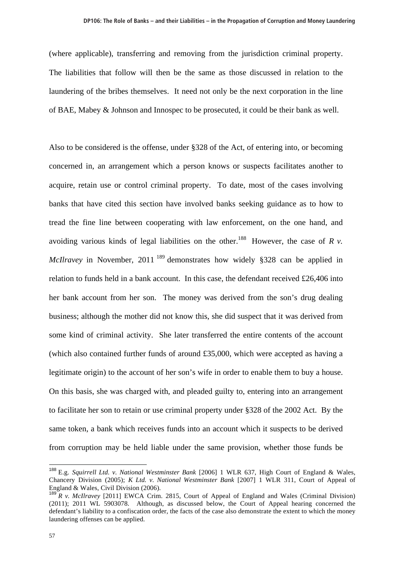(where applicable), transferring and removing from the jurisdiction criminal property. The liabilities that follow will then be the same as those discussed in relation to the laundering of the bribes themselves. It need not only be the next corporation in the line of BAE, Mabey & Johnson and Innospec to be prosecuted, it could be their bank as well.

Also to be considered is the offense, under §328 of the Act, of entering into, or becoming concerned in, an arrangement which a person knows or suspects facilitates another to acquire, retain use or control criminal property. To date, most of the cases involving banks that have cited this section have involved banks seeking guidance as to how to tread the fine line between cooperating with law enforcement, on the one hand, and avoiding various kinds of legal liabilities on the other.<sup>188</sup> However, the case of  $R$  v. *McIlravey* in November, 2011<sup>189</sup> demonstrates how widely §328 can be applied in relation to funds held in a bank account. In this case, the defendant received £26,406 into her bank account from her son. The money was derived from the son's drug dealing business; although the mother did not know this, she did suspect that it was derived from some kind of criminal activity. She later transferred the entire contents of the account (which also contained further funds of around £35,000, which were accepted as having a legitimate origin) to the account of her son's wife in order to enable them to buy a house. On this basis, she was charged with, and pleaded guilty to, entering into an arrangement to facilitate her son to retain or use criminal property under §328 of the 2002 Act. By the same token, a bank which receives funds into an account which it suspects to be derived from corruption may be held liable under the same provision, whether those funds be

<sup>188</sup> E.g. *Squirrell Ltd. v. National Westminster Bank* [2006] 1 WLR 637, High Court of England & Wales, Chancery Division (2005); *K Ltd. v. National Westminster Bank* [2007] 1 WLR 311, Court of Appeal of England & Wales, Civil Division (2006).

<sup>&</sup>lt;sup>189</sup> R v. McIlravev [2011] EWCA Crim. 2815, Court of Appeal of England and Wales (Criminal Division) (2011); 2011 WL 5903078. Although, as discussed below, the Court of Appeal hearing concerned the defendant's liability to a confiscation order, the facts of the case also demonstrate the extent to which the money laundering offenses can be applied.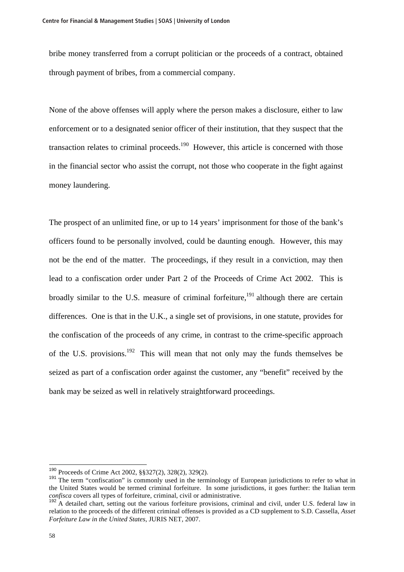bribe money transferred from a corrupt politician or the proceeds of a contract, obtained through payment of bribes, from a commercial company.

None of the above offenses will apply where the person makes a disclosure, either to law enforcement or to a designated senior officer of their institution, that they suspect that the transaction relates to criminal proceeds.<sup>190</sup> However, this article is concerned with those in the financial sector who assist the corrupt, not those who cooperate in the fight against money laundering.

The prospect of an unlimited fine, or up to 14 years' imprisonment for those of the bank's officers found to be personally involved, could be daunting enough. However, this may not be the end of the matter. The proceedings, if they result in a conviction, may then lead to a confiscation order under Part 2 of the Proceeds of Crime Act 2002. This is broadly similar to the U.S. measure of criminal forfeiture.<sup>191</sup> although there are certain differences. One is that in the U.K., a single set of provisions, in one statute, provides for the confiscation of the proceeds of any crime, in contrast to the crime-specific approach of the U.S. provisions.<sup>192</sup> This will mean that not only may the funds themselves be seized as part of a confiscation order against the customer, any "benefit" received by the bank may be seized as well in relatively straightforward proceedings.

<sup>190</sup> Proceeds of Crime Act 2002, §§327(2), 328(2), 329(2).

<sup>&</sup>lt;sup>191</sup> The term "confiscation" is commonly used in the terminology of European jurisdictions to refer to what in the United States would be termed criminal forfeiture. In some jurisdictions, it goes further: the Italian term *confisca* covers all types of forfeiture, criminal, civil or administrative.

 $192$ <sup>2</sup> A detailed chart, setting out the various forfeiture provisions, criminal and civil, under U.S. federal law in relation to the proceeds of the different criminal offenses is provided as a CD supplement to S.D. Cassella, *Asset Forfeiture Law in the United States*, JURIS NET, 2007.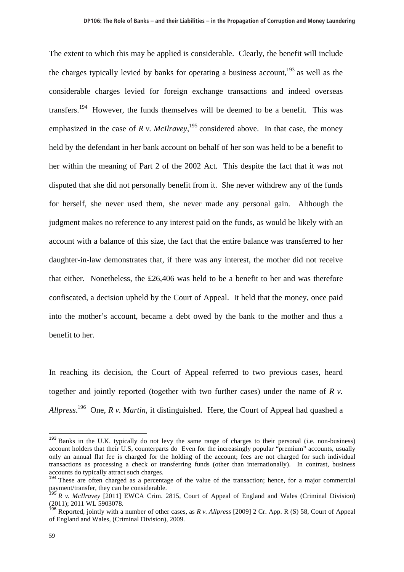The extent to which this may be applied is considerable. Clearly, the benefit will include the charges typically levied by banks for operating a business account,<sup>193</sup> as well as the considerable charges levied for foreign exchange transactions and indeed overseas transfers.<sup>194</sup> However, the funds themselves will be deemed to be a benefit. This was emphasized in the case of *R v. McIlravey*,  $^{195}$  considered above. In that case, the money held by the defendant in her bank account on behalf of her son was held to be a benefit to her within the meaning of Part 2 of the 2002 Act. This despite the fact that it was not disputed that she did not personally benefit from it. She never withdrew any of the funds for herself, she never used them, she never made any personal gain. Although the judgment makes no reference to any interest paid on the funds, as would be likely with an account with a balance of this size, the fact that the entire balance was transferred to her daughter-in-law demonstrates that, if there was any interest, the mother did not receive that either. Nonetheless, the £26,406 was held to be a benefit to her and was therefore confiscated, a decision upheld by the Court of Appeal. It held that the money, once paid into the mother's account, became a debt owed by the bank to the mother and thus a benefit to her.

In reaching its decision, the Court of Appeal referred to two previous cases, heard together and jointly reported (together with two further cases) under the name of *R v. Allpress*. 196 One, *R v. Martin*, it distinguished. Here, the Court of Appeal had quashed a

<sup>&</sup>lt;sup>193</sup> Banks in the U.K. typically do not levy the same range of charges to their personal (i.e. non-business) account holders that their U.S, counterparts do Even for the increasingly popular "premium" accounts, usually only an annual flat fee is charged for the holding of the account; fees are not charged for such individual transactions as processing a check or transferring funds (other than internationally). In contrast, business accounts do typically attract such charges.

<sup>&</sup>lt;sup>194</sup> These are often charged as a percentage of the value of the transaction; hence, for a major commercial payment/transfer, they can be considerable.<br><sup>195</sup> Published:

<sup>195</sup> *R v. McIlravey* [2011] EWCA Crim. 2815, Court of Appeal of England and Wales (Criminal Division) (2011); 2011 WL 5903078.

<sup>196</sup> Reported, jointly with a number of other cases, as *R v. Allpress* [2009] 2 Cr. App. R (S) 58, Court of Appeal of England and Wales, (Criminal Division), 2009.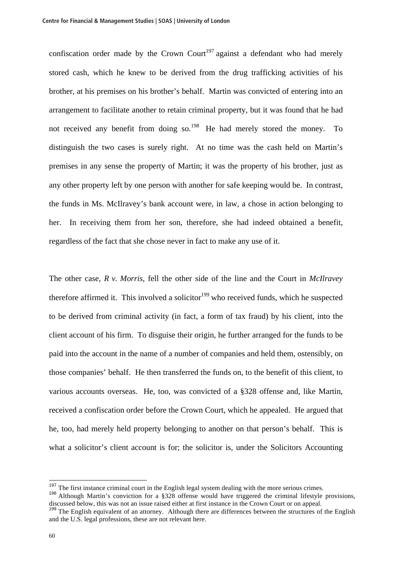confiscation order made by the Crown Court<sup>197</sup> against a defendant who had merely stored cash, which he knew to be derived from the drug trafficking activities of his brother, at his premises on his brother's behalf. Martin was convicted of entering into an arrangement to facilitate another to retain criminal property, but it was found that he had not received any benefit from doing so.<sup>198</sup> He had merely stored the money. To distinguish the two cases is surely right. At no time was the cash held on Martin's premises in any sense the property of Martin; it was the property of his brother, just as any other property left by one person with another for safe keeping would be. In contrast, the funds in Ms. McIlravey's bank account were, in law, a chose in action belonging to her. In receiving them from her son, therefore, she had indeed obtained a benefit, regardless of the fact that she chose never in fact to make any use of it.

The other case, *R v. Morris*, fell the other side of the line and the Court in *McIlravey* therefore affirmed it. This involved a solicitor<sup>199</sup> who received funds, which he suspected to be derived from criminal activity (in fact, a form of tax fraud) by his client, into the client account of his firm. To disguise their origin, he further arranged for the funds to be paid into the account in the name of a number of companies and held them, ostensibly, on those companies' behalf. He then transferred the funds on, to the benefit of this client, to various accounts overseas. He, too, was convicted of a §328 offense and, like Martin, received a confiscation order before the Crown Court, which he appealed. He argued that he, too, had merely held property belonging to another on that person's behalf. This is what a solicitor's client account is for; the solicitor is, under the Solicitors Accounting

<sup>&</sup>lt;sup>197</sup> The first instance criminal court in the English legal system dealing with the more serious crimes.<br><sup>198</sup> Although Martin's conviction for a §328 offense would have triggered the criminal lifestyle provisions, discussed below, this was not an issue raised either at first instance in the Crown Court or on appeal.

<sup>&</sup>lt;sup>199</sup> The English equivalent of an attorney. Although there are differences between the structures of the English and the U.S. legal professions, these are not relevant here.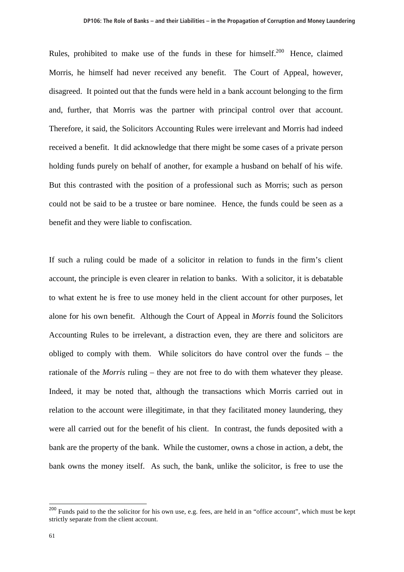Rules, prohibited to make use of the funds in these for himself.<sup>200</sup> Hence, claimed Morris, he himself had never received any benefit. The Court of Appeal, however, disagreed. It pointed out that the funds were held in a bank account belonging to the firm and, further, that Morris was the partner with principal control over that account. Therefore, it said, the Solicitors Accounting Rules were irrelevant and Morris had indeed received a benefit. It did acknowledge that there might be some cases of a private person holding funds purely on behalf of another, for example a husband on behalf of his wife. But this contrasted with the position of a professional such as Morris; such as person could not be said to be a trustee or bare nominee. Hence, the funds could be seen as a benefit and they were liable to confiscation.

If such a ruling could be made of a solicitor in relation to funds in the firm's client account, the principle is even clearer in relation to banks. With a solicitor, it is debatable to what extent he is free to use money held in the client account for other purposes, let alone for his own benefit. Although the Court of Appeal in *Morris* found the Solicitors Accounting Rules to be irrelevant, a distraction even, they are there and solicitors are obliged to comply with them. While solicitors do have control over the funds – the rationale of the *Morris* ruling – they are not free to do with them whatever they please. Indeed, it may be noted that, although the transactions which Morris carried out in relation to the account were illegitimate, in that they facilitated money laundering, they were all carried out for the benefit of his client. In contrast, the funds deposited with a bank are the property of the bank. While the customer, owns a chose in action, a debt, the bank owns the money itself. As such, the bank, unlike the solicitor, is free to use the

<sup>&</sup>lt;sup>200</sup> Funds paid to the the solicitor for his own use, e.g. fees, are held in an "office account", which must be kept strictly separate from the client account.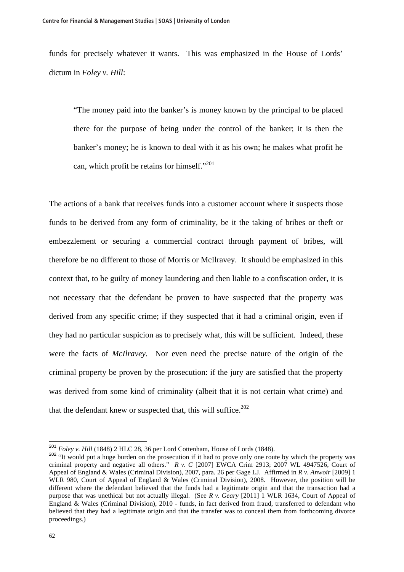funds for precisely whatever it wants. This was emphasized in the House of Lords' dictum in *Foley v. Hill*:

"The money paid into the banker's is money known by the principal to be placed there for the purpose of being under the control of the banker; it is then the banker's money; he is known to deal with it as his own; he makes what profit he can, which profit he retains for himself."<sup>201</sup>

The actions of a bank that receives funds into a customer account where it suspects those funds to be derived from any form of criminality, be it the taking of bribes or theft or embezzlement or securing a commercial contract through payment of bribes, will therefore be no different to those of Morris or McIlravey. It should be emphasized in this context that, to be guilty of money laundering and then liable to a confiscation order, it is not necessary that the defendant be proven to have suspected that the property was derived from any specific crime; if they suspected that it had a criminal origin, even if they had no particular suspicion as to precisely what, this will be sufficient. Indeed, these were the facts of *McIlravey*. Nor even need the precise nature of the origin of the criminal property be proven by the prosecution: if the jury are satisfied that the property was derived from some kind of criminality (albeit that it is not certain what crime) and that the defendant knew or suspected that, this will suffice.<sup>202</sup>

<sup>201</sup> *Foley v. Hill* (1848) 2 HLC 28, 36 per Lord Cottenham, House of Lords (1848).

<sup>&</sup>lt;sup>202</sup> "It would put a huge burden on the prosecution if it had to prove only one route by which the property was criminal property and negative all others." *R v. C* [2007] EWCA Crim 2913; 2007 WL 4947526, Court of Appeal of England & Wales (Criminal Division), 2007, para. 26 per Gage LJ. Affirmed in *R v. Anwoir* [2009] 1 WLR 980, Court of Appeal of England & Wales (Criminal Division), 2008. However, the position will be different where the defendant believed that the funds had a legitimate origin and that the transaction had a purpose that was unethical but not actually illegal. (See *R v. Geary* [2011] 1 WLR 1634, Court of Appeal of England & Wales (Criminal Division), 2010 - funds, in fact derived from fraud, transferred to defendant who believed that they had a legitimate origin and that the transfer was to conceal them from forthcoming divorce proceedings.)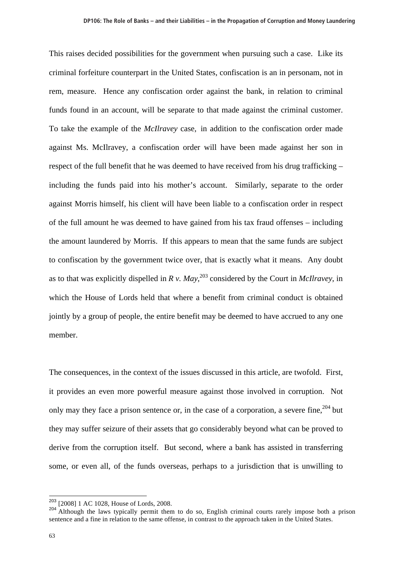This raises decided possibilities for the government when pursuing such a case. Like its criminal forfeiture counterpart in the United States, confiscation is an in personam, not in rem, measure. Hence any confiscation order against the bank, in relation to criminal funds found in an account, will be separate to that made against the criminal customer. To take the example of the *McIlravey* case, in addition to the confiscation order made against Ms. McIlravey, a confiscation order will have been made against her son in respect of the full benefit that he was deemed to have received from his drug trafficking – including the funds paid into his mother's account. Similarly, separate to the order against Morris himself, his client will have been liable to a confiscation order in respect of the full amount he was deemed to have gained from his tax fraud offenses – including the amount laundered by Morris. If this appears to mean that the same funds are subject to confiscation by the government twice over, that is exactly what it means. Any doubt as to that was explicitly dispelled in  $R v$ . May,<sup>203</sup> considered by the Court in *McIlravey*, in which the House of Lords held that where a benefit from criminal conduct is obtained jointly by a group of people, the entire benefit may be deemed to have accrued to any one member.

The consequences, in the context of the issues discussed in this article, are twofold. First, it provides an even more powerful measure against those involved in corruption. Not only may they face a prison sentence or, in the case of a corporation, a severe fine,  $204$  but they may suffer seizure of their assets that go considerably beyond what can be proved to derive from the corruption itself. But second, where a bank has assisted in transferring some, or even all, of the funds overseas, perhaps to a jurisdiction that is unwilling to

 $203$  [2008] 1 AC 1028, House of Lords, 2008.

<sup>&</sup>lt;sup>204</sup> Although the laws typically permit them to do so, English criminal courts rarely impose both a prison sentence and a fine in relation to the same offense, in contrast to the approach taken in the United States.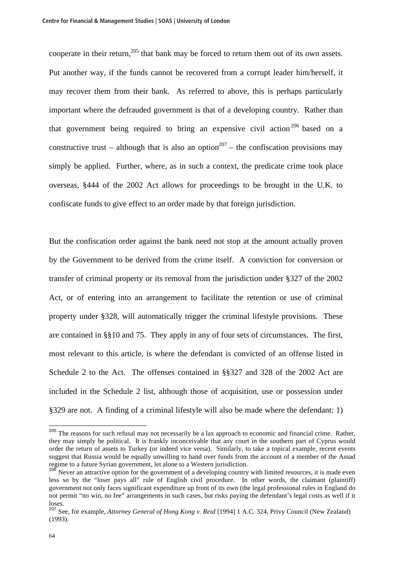cooperate in their return,<sup>205</sup> that bank may be forced to return them out of its own assets. Put another way, if the funds cannot be recovered from a corrupt leader him/herself, it may recover them from their bank. As referred to above, this is perhaps particularly important where the defrauded government is that of a developing country. Rather than that government being required to bring an expensive civil action<sup>206</sup> based on a constructive trust – although that is also an option<sup>207</sup> – the confiscation provisions may simply be applied. Further, where, as in such a context, the predicate crime took place overseas, §444 of the 2002 Act allows for proceedings to be brought in the U.K. to confiscate funds to give effect to an order made by that foreign jurisdiction.

But the confiscation order against the bank need not stop at the amount actually proven by the Government to be derived from the crime itself. A conviction for conversion or transfer of criminal property or its removal from the jurisdiction under §327 of the 2002 Act, or of entering into an arrangement to facilitate the retention or use of criminal property under §328, will automatically trigger the criminal lifestyle provisions. These are contained in §§10 and 75. They apply in any of four sets of circumstances. The first, most relevant to this article, is where the defendant is convicted of an offense listed in Schedule 2 to the Act. The offenses contained in §§327 and 328 of the 2002 Act are included in the Schedule 2 list, although those of acquisition, use or possession under §329 are not. A finding of a criminal lifestyle will also be made where the defendant: 1)

<sup>&</sup>lt;sup>205</sup> The reasons for such refusal may not necessarily be a lax approach to economic and financial crime. Rather, they may simply be political. It is frankly inconceivable that any court in the southern part of Cyprus would order the return of assets to Turkey (or indeed vice versa). Similarly, to take a topical example, recent events suggest that Russia would be equally unwilling to hand over funds from the account of a member of the Assad regime to a future Syrian government, let alone to a Western jurisdiction.

Never an attractive option for the government of a developing country with limited resources, it is made even less so by the "loser pays all" rule of English civil procedure. In other words, the claimant (plaintiff) government not only faces significant expenditure up front of its own (the legal professional rules in England do not permit "no win, no fee" arrangements in such cases, but risks paying the defendant's legal costs as well if it loses.

<sup>207</sup> See, for example, *Attorney General of Hong Kong v. Reid* [1994] 1 A.C. 324, Privy Council (New Zealand) (1993).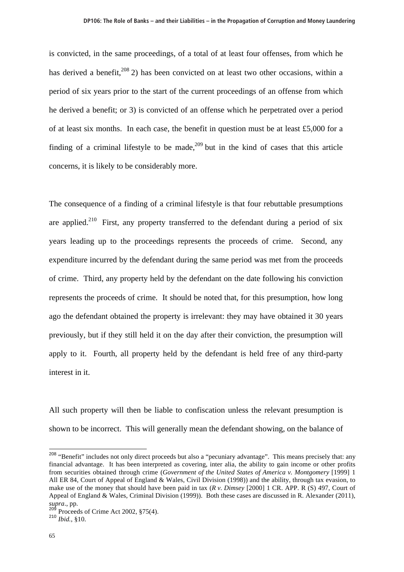is convicted, in the same proceedings, of a total of at least four offenses, from which he has derived a benefit,  $208$  2) has been convicted on at least two other occasions, within a period of six years prior to the start of the current proceedings of an offense from which he derived a benefit; or 3) is convicted of an offense which he perpetrated over a period of at least six months. In each case, the benefit in question must be at least £5,000 for a finding of a criminal lifestyle to be made,  $209$  but in the kind of cases that this article concerns, it is likely to be considerably more.

The consequence of a finding of a criminal lifestyle is that four rebuttable presumptions are applied.<sup>210</sup> First, any property transferred to the defendant during a period of six years leading up to the proceedings represents the proceeds of crime. Second, any expenditure incurred by the defendant during the same period was met from the proceeds of crime. Third, any property held by the defendant on the date following his conviction represents the proceeds of crime. It should be noted that, for this presumption, how long ago the defendant obtained the property is irrelevant: they may have obtained it 30 years previously, but if they still held it on the day after their conviction, the presumption will apply to it. Fourth, all property held by the defendant is held free of any third-party interest in it.

All such property will then be liable to confiscation unless the relevant presumption is shown to be incorrect. This will generally mean the defendant showing, on the balance of

<sup>&</sup>lt;sup>208</sup> "Benefit" includes not only direct proceeds but also a "pecuniary advantage". This means precisely that: any financial advantage. It has been interpreted as covering, inter alia, the ability to gain income or other profits from securities obtained through crime (*Government of the United States of America v. Montgomery* [1999] 1 All ER 84, Court of Appeal of England & Wales, Civil Division (1998)) and the ability, through tax evasion, to make use of the money that should have been paid in tax (*R v. Dimsey* [2000] 1 CR. APP. R (S) 497, Court of Appeal of England & Wales, Criminal Division (1999)). Both these cases are discussed in R. Alexander (2011), *supra*., pp.

Proceeds of Crime Act 2002, §75(4).

<sup>210</sup> *Ibid.*, §10.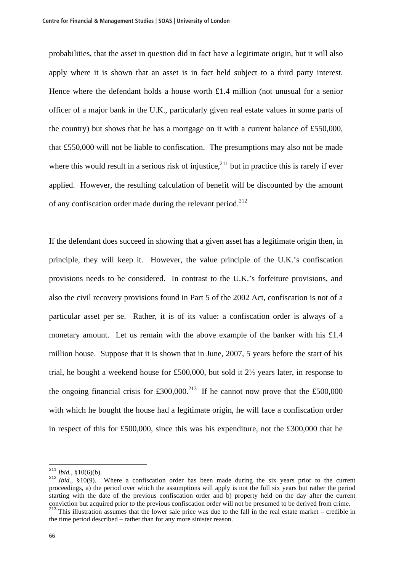probabilities, that the asset in question did in fact have a legitimate origin, but it will also apply where it is shown that an asset is in fact held subject to a third party interest. Hence where the defendant holds a house worth £1.4 million (not unusual for a senior officer of a major bank in the U.K., particularly given real estate values in some parts of the country) but shows that he has a mortgage on it with a current balance of £550,000, that £550,000 will not be liable to confiscation. The presumptions may also not be made where this would result in a serious risk of injustice, $^{211}$  but in practice this is rarely if ever applied. However, the resulting calculation of benefit will be discounted by the amount of any confiscation order made during the relevant period.<sup>212</sup>

If the defendant does succeed in showing that a given asset has a legitimate origin then, in principle, they will keep it. However, the value principle of the U.K.'s confiscation provisions needs to be considered. In contrast to the U.K.'s forfeiture provisions, and also the civil recovery provisions found in Part 5 of the 2002 Act, confiscation is not of a particular asset per se. Rather, it is of its value: a confiscation order is always of a monetary amount. Let us remain with the above example of the banker with his £1.4 million house. Suppose that it is shown that in June, 2007, 5 years before the start of his trial, he bought a weekend house for £500,000, but sold it  $2\frac{1}{2}$  years later, in response to the ongoing financial crisis for £300,000.<sup>213</sup> If he cannot now prove that the £500,000 with which he bought the house had a legitimate origin, he will face a confiscation order in respect of this for £500,000, since this was his expenditure, not the £300,000 that he

 $^{211}$  *Ibid.*, §10(6)(b).

<sup>212</sup> *Ibid.*, §10(9). Where a confiscation order has been made during the six years prior to the current proceedings, a) the period over which the assumptions will apply is not the full six years but rather the period starting with the date of the previous confiscation order and b) property held on the day after the current conviction but acquired prior to the previous confiscation order will not be presumed to be derived from crime.

 $213$  This illustration assumes that the lower sale price was due to the fall in the real estate market – credible in the time period described – rather than for any more sinister reason.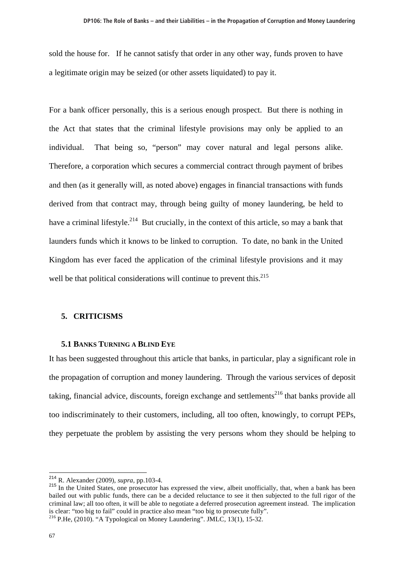sold the house for. If he cannot satisfy that order in any other way, funds proven to have a legitimate origin may be seized (or other assets liquidated) to pay it.

For a bank officer personally, this is a serious enough prospect. But there is nothing in the Act that states that the criminal lifestyle provisions may only be applied to an individual. That being so, "person" may cover natural and legal persons alike. Therefore, a corporation which secures a commercial contract through payment of bribes and then (as it generally will, as noted above) engages in financial transactions with funds derived from that contract may, through being guilty of money laundering, be held to have a criminal lifestyle.<sup>214</sup> But crucially, in the context of this article, so may a bank that launders funds which it knows to be linked to corruption. To date, no bank in the United Kingdom has ever faced the application of the criminal lifestyle provisions and it may well be that political considerations will continue to prevent this.<sup>215</sup>

## **5. CRITICISMS**

#### **5.1 BANKS TURNING A BLIND EYE**

It has been suggested throughout this article that banks, in particular, play a significant role in the propagation of corruption and money laundering. Through the various services of deposit taking, financial advice, discounts, foreign exchange and settlements<sup>216</sup> that banks provide all too indiscriminately to their customers, including, all too often, knowingly, to corrupt PEPs, they perpetuate the problem by assisting the very persons whom they should be helping to

 $214$  R. Alexander (2009), *supra*, pp.103-4.

<sup>&</sup>lt;sup>215</sup> In the United States, one prosecutor has expressed the view, albeit unofficially, that, when a bank has been bailed out with public funds, there can be a decided reluctance to see it then subjected to the full rigor of the criminal law; all too often, it will be able to negotiate a deferred prosecution agreement instead. The implication is clear: "too big to fail" could in practice also mean "too big to prosecute fully".

<sup>216</sup> P.He, (2010). "A Typological on Money Laundering". JMLC*,* 13(1), 15-32.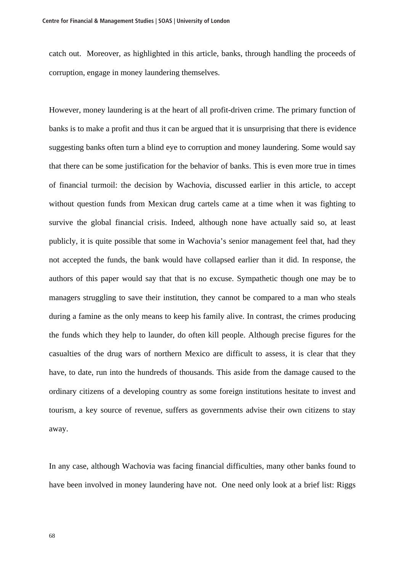catch out. Moreover, as highlighted in this article, banks, through handling the proceeds of corruption, engage in money laundering themselves.

However, money laundering is at the heart of all profit-driven crime. The primary function of banks is to make a profit and thus it can be argued that it is unsurprising that there is evidence suggesting banks often turn a blind eye to corruption and money laundering. Some would say that there can be some justification for the behavior of banks. This is even more true in times of financial turmoil: the decision by Wachovia, discussed earlier in this article, to accept without question funds from Mexican drug cartels came at a time when it was fighting to survive the global financial crisis. Indeed, although none have actually said so, at least publicly, it is quite possible that some in Wachovia's senior management feel that, had they not accepted the funds, the bank would have collapsed earlier than it did. In response, the authors of this paper would say that that is no excuse. Sympathetic though one may be to managers struggling to save their institution, they cannot be compared to a man who steals during a famine as the only means to keep his family alive. In contrast, the crimes producing the funds which they help to launder, do often kill people. Although precise figures for the casualties of the drug wars of northern Mexico are difficult to assess, it is clear that they have, to date, run into the hundreds of thousands. This aside from the damage caused to the ordinary citizens of a developing country as some foreign institutions hesitate to invest and tourism, a key source of revenue, suffers as governments advise their own citizens to stay away.

In any case, although Wachovia was facing financial difficulties, many other banks found to have been involved in money laundering have not. One need only look at a brief list: Riggs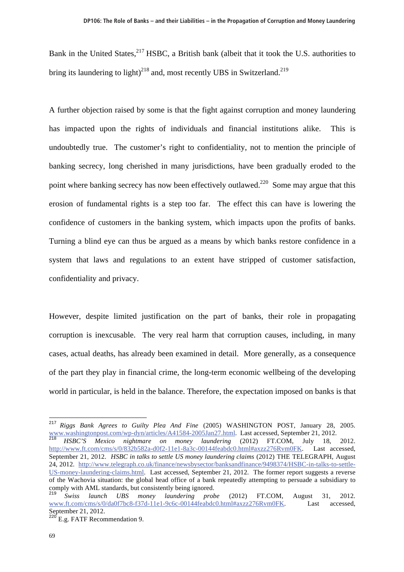Bank in the United States, <sup>217</sup> HSBC, a British bank (albeit that it took the U.S. authorities to bring its laundering to light)<sup>218</sup> and, most recently UBS in Switzerland.<sup>219</sup>

A further objection raised by some is that the fight against corruption and money laundering has impacted upon the rights of individuals and financial institutions alike. This is undoubtedly true. The customer's right to confidentiality, not to mention the principle of banking secrecy, long cherished in many jurisdictions, have been gradually eroded to the point where banking secrecy has now been effectively outlawed.<sup>220</sup> Some may argue that this erosion of fundamental rights is a step too far. The effect this can have is lowering the confidence of customers in the banking system, which impacts upon the profits of banks. Turning a blind eye can thus be argued as a means by which banks restore confidence in a system that laws and regulations to an extent have stripped of customer satisfaction, confidentiality and privacy.

However, despite limited justification on the part of banks, their role in propagating corruption is inexcusable. The very real harm that corruption causes, including, in many cases, actual deaths, has already been examined in detail. More generally, as a consequence of the part they play in financial crime, the long-term economic wellbeing of the developing world in particular, is held in the balance. Therefore, the expectation imposed on banks is that

<sup>217</sup> *Riggs Bank Agrees to Guilty Plea And Fine* (2005) WASHINGTON POST, January 28, 2005. www.washingtonpost.com/wp-dyn/articles/A41584-2005Jan27.html. Last accessed, September 21, 2012.

<sup>218</sup> *HSBC'S Mexico nightmare on money laundering* (2012) FT.COM, July 18, 2012. http://www.ft.com/cms/s/0/832b582a-d0f2-11e1-8a3c-00144feabdc0.html#axzz276Rvm0FK. Last accessed, September 21, 2012. *HSBC in talks to settle US money laundering claims* (2012) THE TELEGRAPH, August 24, 2012. http://www.telegraph.co.uk/finance/newsbysector/banksandfinance/9498374/HSBC-in-talks-to-settle-US-money-laundering-claims.html. Last accessed, September 21, 2012. The former report suggests a reverse of the Wachovia situation: the global head office of a bank repeatedly attempting to persuade a subsidiary to comply with AML standards, but consistently being ignored.

<sup>219</sup> *Swiss launch UBS money laundering probe* (2012) FT.COM, August 31, 2012. www.ft.com/cms/s/0/da0f7bc8-f37d-11e1-9c6c-00144feabdc0.html#axzz276Rvm0FK. Last accessed, September 21, 2012.

 $^{220}$  E.g. FATF Recommendation 9.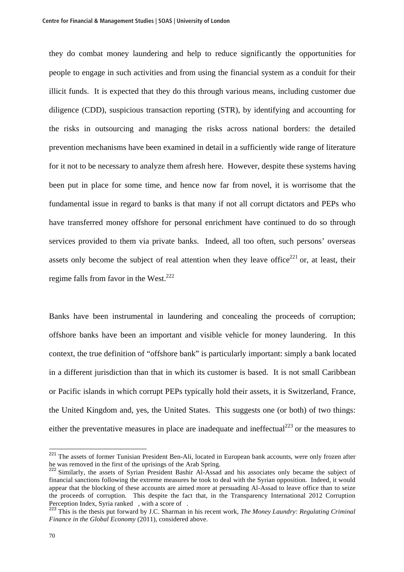they do combat money laundering and help to reduce significantly the opportunities for people to engage in such activities and from using the financial system as a conduit for their illicit funds. It is expected that they do this through various means, including customer due diligence (CDD), suspicious transaction reporting (STR), by identifying and accounting for the risks in outsourcing and managing the risks across national borders: the detailed prevention mechanisms have been examined in detail in a sufficiently wide range of literature for it not to be necessary to analyze them afresh here. However, despite these systems having been put in place for some time, and hence now far from novel, it is worrisome that the fundamental issue in regard to banks is that many if not all corrupt dictators and PEPs who have transferred money offshore for personal enrichment have continued to do so through services provided to them via private banks. Indeed, all too often, such persons' overseas assets only become the subject of real attention when they leave office<sup>221</sup> or, at least, their regime falls from favor in the West.<sup>222</sup>

Banks have been instrumental in laundering and concealing the proceeds of corruption; offshore banks have been an important and visible vehicle for money laundering. In this context, the true definition of "offshore bank" is particularly important: simply a bank located in a different jurisdiction than that in which its customer is based. It is not small Caribbean or Pacific islands in which corrupt PEPs typically hold their assets, it is Switzerland, France, the United Kingdom and, yes, the United States. This suggests one (or both) of two things: either the preventative measures in place are inadequate and ineffectual<sup>223</sup> or the measures to

<sup>&</sup>lt;sup>221</sup> The assets of former Tunisian President Ben-Ali, located in European bank accounts, were only frozen after he was removed in the first of the uprisings of the Arab Spring.

<sup>&</sup>lt;sup>222</sup> Similarly, the assets of Syrian President Bashir Al-Assad and his associates only became the subject of financial sanctions following the extreme measures he took to deal with the Syrian opposition. Indeed, it would appear that the blocking of these accounts are aimed more at persuading Al-Assad to leave office than to seize the proceeds of corruption. This despite the fact that, in the Transparency International 2012 Corruption Perception Index, Syria ranked, with a score of.

<sup>223</sup> This is the thesis put forward by J.C. Sharman in his recent work, *The Money Laundry: Regulating Criminal Finance in the Global Economy* (2011), considered above.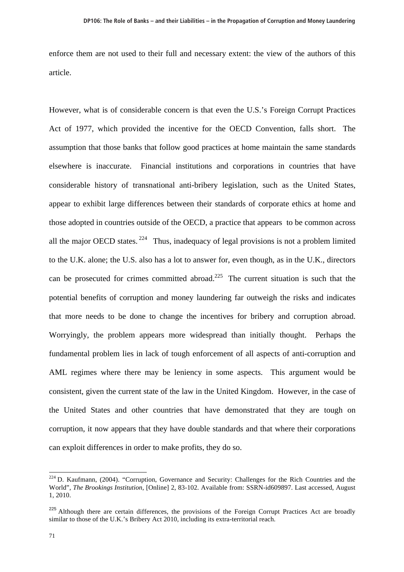enforce them are not used to their full and necessary extent: the view of the authors of this article.

However, what is of considerable concern is that even the U.S.'s Foreign Corrupt Practices Act of 1977, which provided the incentive for the OECD Convention, falls short. The assumption that those banks that follow good practices at home maintain the same standards elsewhere is inaccurate. Financial institutions and corporations in countries that have considerable history of transnational anti-bribery legislation, such as the United States, appear to exhibit large differences between their standards of corporate ethics at home and those adopted in countries outside of the OECD, a practice that appears to be common across all the major OECD states. <sup>224</sup> Thus, inadequacy of legal provisions is not a problem limited to the U.K. alone; the U.S. also has a lot to answer for, even though, as in the U.K., directors can be prosecuted for crimes committed abroad.<sup>225</sup> The current situation is such that the potential benefits of corruption and money laundering far outweigh the risks and indicates that more needs to be done to change the incentives for bribery and corruption abroad. Worryingly, the problem appears more widespread than initially thought. Perhaps the fundamental problem lies in lack of tough enforcement of all aspects of anti-corruption and AML regimes where there may be leniency in some aspects. This argument would be consistent, given the current state of the law in the United Kingdom. However, in the case of the United States and other countries that have demonstrated that they are tough on corruption, it now appears that they have double standards and that where their corporations can exploit differences in order to make profits, they do so.

 $224$  D. Kaufmann, (2004). "Corruption, Governance and Security: Challenges for the Rich Countries and the World", *The Brookings Institution*, [Online] 2, 83-102. Available from: SSRN-id609897. Last accessed, August 1, 2010.

<sup>&</sup>lt;sup>225</sup> Although there are certain differences, the provisions of the Foreign Corrupt Practices Act are broadly similar to those of the U.K.'s Bribery Act 2010, including its extra-territorial reach.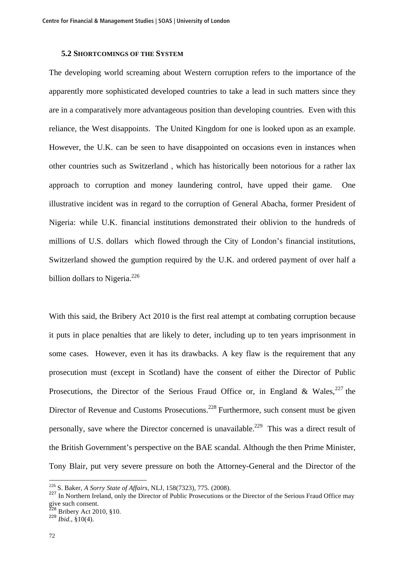## **5.2 SHORTCOMINGS OF THE SYSTEM**

The developing world screaming about Western corruption refers to the importance of the apparently more sophisticated developed countries to take a lead in such matters since they are in a comparatively more advantageous position than developing countries. Even with this reliance, the West disappoints. The United Kingdom for one is looked upon as an example. However, the U.K. can be seen to have disappointed on occasions even in instances when other countries such as Switzerland , which has historically been notorious for a rather lax approach to corruption and money laundering control, have upped their game. One illustrative incident was in regard to the corruption of General Abacha, former President of Nigeria: while U.K. financial institutions demonstrated their oblivion to the hundreds of millions of U.S. dollars which flowed through the City of London's financial institutions, Switzerland showed the gumption required by the U.K. and ordered payment of over half a billion dollars to Nigeria. $^{226}$ 

With this said, the Bribery Act 2010 is the first real attempt at combating corruption because it puts in place penalties that are likely to deter, including up to ten years imprisonment in some cases. However, even it has its drawbacks. A key flaw is the requirement that any prosecution must (except in Scotland) have the consent of either the Director of Public Prosecutions, the Director of the Serious Fraud Office or, in England & Wales,  $227$  the Director of Revenue and Customs Prosecutions.<sup>228</sup> Furthermore, such consent must be given personally, save where the Director concerned is unavailable.<sup>229</sup> This was a direct result of the British Government's perspective on the BAE scandal. Although the then Prime Minister, Tony Blair, put very severe pressure on both the Attorney-General and the Director of the

<sup>226</sup> S. Baker, *A Sorry State of Affairs*, NLJ, 158(7323), 775. (2008).

<sup>&</sup>lt;sup>227</sup> In Northern Ireland, only the Director of Public Prosecutions or the Director of the Serious Fraud Office may give such consent.

<sup>228</sup> Bribery Act 2010, §10. <sup>229</sup> *Ibid.*, §10(4).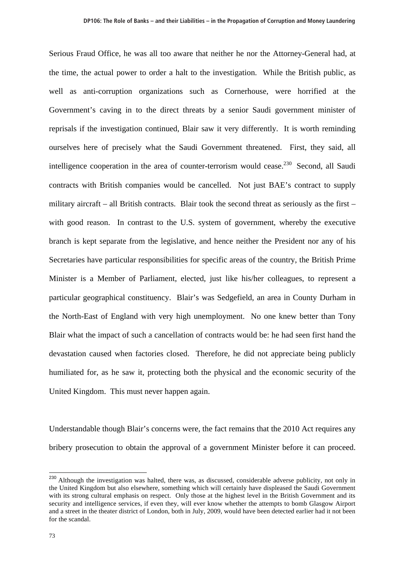Serious Fraud Office, he was all too aware that neither he nor the Attorney-General had, at the time, the actual power to order a halt to the investigation. While the British public, as well as anti-corruption organizations such as Cornerhouse, were horrified at the Government's caving in to the direct threats by a senior Saudi government minister of reprisals if the investigation continued, Blair saw it very differently. It is worth reminding ourselves here of precisely what the Saudi Government threatened. First, they said, all intelligence cooperation in the area of counter-terrorism would cease.<sup>230</sup> Second, all Saudi contracts with British companies would be cancelled. Not just BAE's contract to supply military aircraft – all British contracts. Blair took the second threat as seriously as the first – with good reason. In contrast to the U.S. system of government, whereby the executive branch is kept separate from the legislative, and hence neither the President nor any of his Secretaries have particular responsibilities for specific areas of the country, the British Prime Minister is a Member of Parliament, elected, just like his/her colleagues, to represent a particular geographical constituency. Blair's was Sedgefield, an area in County Durham in the North-East of England with very high unemployment. No one knew better than Tony Blair what the impact of such a cancellation of contracts would be: he had seen first hand the devastation caused when factories closed. Therefore, he did not appreciate being publicly humiliated for, as he saw it, protecting both the physical and the economic security of the United Kingdom. This must never happen again.

Understandable though Blair's concerns were, the fact remains that the 2010 Act requires any bribery prosecution to obtain the approval of a government Minister before it can proceed.

<sup>&</sup>lt;sup>230</sup> Although the investigation was halted, there was, as discussed, considerable adverse publicity, not only in the United Kingdom but also elsewhere, something which will certainly have displeased the Saudi Government with its strong cultural emphasis on respect. Only those at the highest level in the British Government and its security and intelligence services, if even they, will ever know whether the attempts to bomb Glasgow Airport and a street in the theater district of London, both in July, 2009, would have been detected earlier had it not been for the scandal.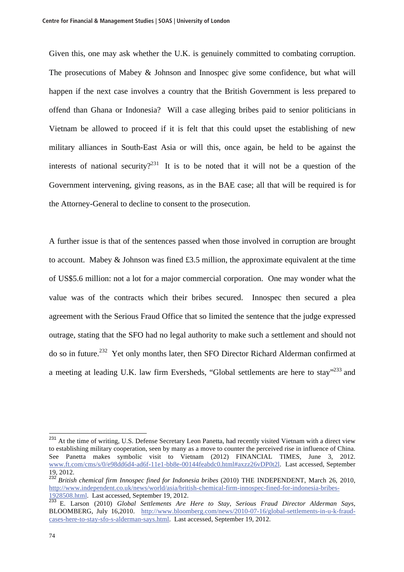Given this, one may ask whether the U.K. is genuinely committed to combating corruption. The prosecutions of Mabey & Johnson and Innospec give some confidence, but what will happen if the next case involves a country that the British Government is less prepared to offend than Ghana or Indonesia? Will a case alleging bribes paid to senior politicians in Vietnam be allowed to proceed if it is felt that this could upset the establishing of new military alliances in South-East Asia or will this, once again, be held to be against the interests of national security?<sup>231</sup> It is to be noted that it will not be a question of the Government intervening, giving reasons, as in the BAE case; all that will be required is for the Attorney-General to decline to consent to the prosecution.

A further issue is that of the sentences passed when those involved in corruption are brought to account. Mabey & Johnson was fined £3.5 million, the approximate equivalent at the time of US\$5.6 million: not a lot for a major commercial corporation. One may wonder what the value was of the contracts which their bribes secured. Innospec then secured a plea agreement with the Serious Fraud Office that so limited the sentence that the judge expressed outrage, stating that the SFO had no legal authority to make such a settlement and should not do so in future.232 Yet only months later, then SFO Director Richard Alderman confirmed at a meeting at leading U.K. law firm Eversheds, "Global settlements are here to stay"<sup>233</sup> and

<sup>&</sup>lt;sup>231</sup> At the time of writing, U.S. Defense Secretary Leon Panetta, had recently visited Vietnam with a direct view to establishing military cooperation, seen by many as a move to counter the perceived rise in influence of China. See Panetta makes symbolic visit to Vietnam (2012) FINANCIAL TIMES, June 3, 2012. www.ft.com/cms/s/0/e98dd6d4-ad6f-11e1-bb8e-00144feabdc0.html#axzz26vDP0t2l. Last accessed, September 19, 2012.

<sup>232</sup> *British chemical firm Innospec fined for Indonesia bribes* (2010) THE INDEPENDENT, March 26, 2010, http://www.independent.co.uk/news/world/asia/british-chemical-firm-innospec-fined-for-indonesia-bribes-1928508.html. Last accessed, September 19, 2012.

<sup>233</sup> E. Larson (2010) *Global Settlements Are Here to Stay, Serious Fraud Director Alderman Says*, BLOOMBERG, July 16,2010. http://www.bloomberg.com/news/2010-07-16/global-settlements-in-u-k-fraudcases-here-to-stay-sfo-s-alderman-says.html. Last accessed, September 19, 2012.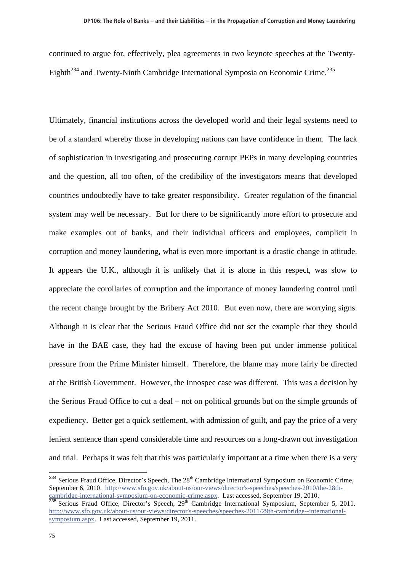continued to argue for, effectively, plea agreements in two keynote speeches at the Twenty-Eighth<sup>234</sup> and Twenty-Ninth Cambridge International Symposia on Economic Crime.<sup>235</sup>

Ultimately, financial institutions across the developed world and their legal systems need to be of a standard whereby those in developing nations can have confidence in them. The lack of sophistication in investigating and prosecuting corrupt PEPs in many developing countries and the question, all too often, of the credibility of the investigators means that developed countries undoubtedly have to take greater responsibility. Greater regulation of the financial system may well be necessary. But for there to be significantly more effort to prosecute and make examples out of banks, and their individual officers and employees, complicit in corruption and money laundering, what is even more important is a drastic change in attitude. It appears the U.K., although it is unlikely that it is alone in this respect, was slow to appreciate the corollaries of corruption and the importance of money laundering control until the recent change brought by the Bribery Act 2010. But even now, there are worrying signs. Although it is clear that the Serious Fraud Office did not set the example that they should have in the BAE case, they had the excuse of having been put under immense political pressure from the Prime Minister himself. Therefore, the blame may more fairly be directed at the British Government. However, the Innospec case was different. This was a decision by the Serious Fraud Office to cut a deal – not on political grounds but on the simple grounds of expediency. Better get a quick settlement, with admission of guilt, and pay the price of a very lenient sentence than spend considerable time and resources on a long-drawn out investigation and trial. Perhaps it was felt that this was particularly important at a time when there is a very

 $\overline{a}$ 

<sup>&</sup>lt;sup>234</sup> Serious Fraud Office, Director's Speech, The 28<sup>th</sup> Cambridge International Symposium on Economic Crime, September 6, 2010. http://www.sfo.gov.uk/about-us/our-views/director's-speeches/speeches-2010/the-28thcambridge-international-symposium-on-economic-crime.aspx. Last accessed, September 19, 2010.

 $^{235}$  Serious Fraud Office, Director's Speech,  $29<sup>th</sup>$  Cambridge International Symposium, September 5, 2011. http://www.sfo.gov.uk/about-us/our-views/director's-speeches/speeches-2011/29th-cambridge--internationalsymposium.aspx. Last accessed, September 19, 2011.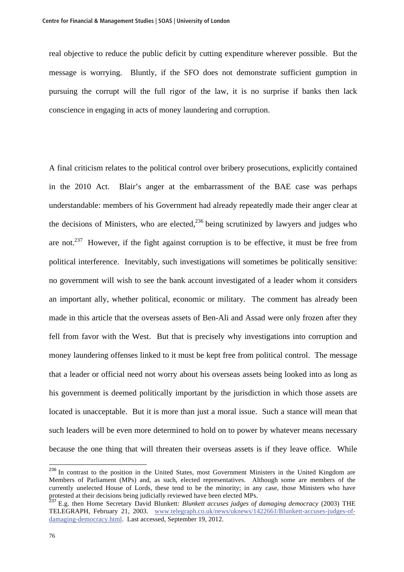real objective to reduce the public deficit by cutting expenditure wherever possible. But the message is worrying. Bluntly, if the SFO does not demonstrate sufficient gumption in pursuing the corrupt will the full rigor of the law, it is no surprise if banks then lack conscience in engaging in acts of money laundering and corruption.

A final criticism relates to the political control over bribery prosecutions, explicitly contained in the 2010 Act. Blair's anger at the embarrassment of the BAE case was perhaps understandable: members of his Government had already repeatedly made their anger clear at the decisions of Ministers, who are elected,  $^{236}$  being scrutinized by lawyers and judges who are not.<sup>237</sup> However, if the fight against corruption is to be effective, it must be free from political interference. Inevitably, such investigations will sometimes be politically sensitive: no government will wish to see the bank account investigated of a leader whom it considers an important ally, whether political, economic or military. The comment has already been made in this article that the overseas assets of Ben-Ali and Assad were only frozen after they fell from favor with the West. But that is precisely why investigations into corruption and money laundering offenses linked to it must be kept free from political control. The message that a leader or official need not worry about his overseas assets being looked into as long as his government is deemed politically important by the jurisdiction in which those assets are located is unacceptable. But it is more than just a moral issue. Such a stance will mean that such leaders will be even more determined to hold on to power by whatever means necessary because the one thing that will threaten their overseas assets is if they leave office. While

 $^{236}$  In contrast to the position in the United States, most Government Ministers in the United Kingdom are Members of Parliament (MPs) and, as such, elected representatives. Although some are members of the currently unelected House of Lords, these tend to be the minority; in any case, those Ministers who have protested at their decisions being judicially reviewed have been elected MPs.

<sup>237</sup> E.g. then Home Secretary David Blunkett: *Blunkett accuses judges of damaging democracy* (2003) THE TELEGRAPH, February 21, 2003. www.telegraph.co.uk/news/uknews/1422661/Blunkett-accuses-judges-ofdamaging-democracy.html. Last accessed, September 19, 2012.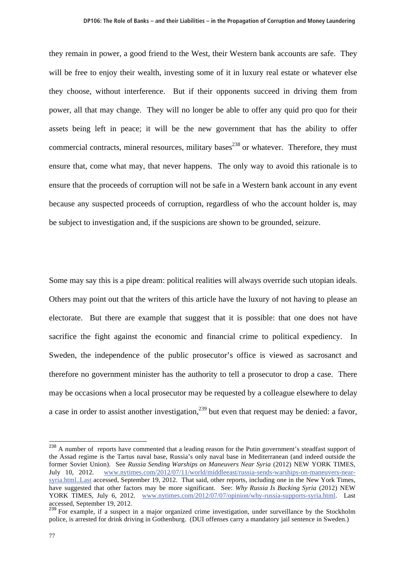they remain in power, a good friend to the West, their Western bank accounts are safe. They will be free to enjoy their wealth, investing some of it in luxury real estate or whatever else they choose, without interference. But if their opponents succeed in driving them from power, all that may change. They will no longer be able to offer any quid pro quo for their assets being left in peace; it will be the new government that has the ability to offer commercial contracts, mineral resources, military bases<sup>238</sup> or whatever. Therefore, they must ensure that, come what may, that never happens. The only way to avoid this rationale is to ensure that the proceeds of corruption will not be safe in a Western bank account in any event because any suspected proceeds of corruption, regardless of who the account holder is, may be subject to investigation and, if the suspicions are shown to be grounded, seizure.

Some may say this is a pipe dream: political realities will always override such utopian ideals. Others may point out that the writers of this article have the luxury of not having to please an electorate. But there are example that suggest that it is possible: that one does not have sacrifice the fight against the economic and financial crime to political expediency. In Sweden, the independence of the public prosecutor's office is viewed as sacrosanct and therefore no government minister has the authority to tell a prosecutor to drop a case. There may be occasions when a local prosecutor may be requested by a colleague elsewhere to delay a case in order to assist another investigation.<sup>239</sup> but even that request may be denied: a favor,

<sup>&</sup>lt;sup>238</sup> A number of reports have commented that a leading reason for the Putin government's steadfast support of the Assad regime is the Tartus naval base, Russia's only naval base in Mediterranean (and indeed outside the former Soviet Union). See *Russia Sending Warships on Maneuvers Near Syria* (2012) NEW YORK TIMES, July 10, 2012. www.nytimes.com/2012/07/11/world/middleeast/russia-sends-warships-on-maneuvers-nearsyria.html..Last accessed, September 19, 2012. That said, other reports, including one in the New York Times, have suggested that other factors may be more significant. See: *Why Russia Is Backing Syria* (2012) NEW YORK TIMES, July 6, 2012. www.nytimes.com/2012/07/07/opinion/why-russia-supports-syria.html. Last accessed, September 19, 2012.

<sup>&</sup>lt;sup>239</sup> For example, if a suspect in a major organized crime investigation, under surveillance by the Stockholm police, is arrested for drink driving in Gothenburg. (DUI offenses carry a mandatory jail sentence in Sweden.)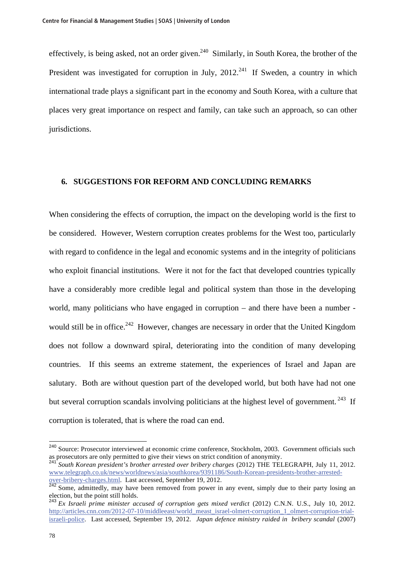effectively, is being asked, not an order given.<sup>240</sup> Similarly, in South Korea, the brother of the President was investigated for corruption in July,  $2012<sup>241</sup>$  If Sweden, a country in which international trade plays a significant part in the economy and South Korea, with a culture that places very great importance on respect and family, can take such an approach, so can other jurisdictions.

## **6. SUGGESTIONS FOR REFORM AND CONCLUDING REMARKS**

When considering the effects of corruption, the impact on the developing world is the first to be considered. However, Western corruption creates problems for the West too, particularly with regard to confidence in the legal and economic systems and in the integrity of politicians who exploit financial institutions. Were it not for the fact that developed countries typically have a considerably more credible legal and political system than those in the developing world, many politicians who have engaged in corruption – and there have been a number would still be in office.<sup>242</sup> However, changes are necessary in order that the United Kingdom does not follow a downward spiral, deteriorating into the condition of many developing countries. If this seems an extreme statement, the experiences of Israel and Japan are salutary. Both are without question part of the developed world, but both have had not one but several corruption scandals involving politicians at the highest level of government.<sup>243</sup> If corruption is tolerated, that is where the road can end.

 $\overline{a}$ 

<sup>&</sup>lt;sup>240</sup> Source: Prosecutor interviewed at economic crime conference, Stockholm, 2003. Government officials such as prosecutors are only permitted to give their views on strict condition of anonymity.

<sup>&</sup>lt;sup>2</sup><br>2411 *South Korean president's brother arrested over bribery charges* (2012) THE TELEGRAPH, July 11, 2012. www.telegraph.co.uk/news/worldnews/asia/southkorea/9391186/South-Korean-presidents-brother-arrestedover-bribery-charges.html. Last accessed, September 19, 2012.

<sup>&</sup>lt;sup>242</sup> Some, admittedly, may have been removed from power in any event, simply due to their party losing an election, but the point still holds.

<sup>243</sup> *Ex Israeli prime minister accused of corruption gets mixed verdict* (2012) C.N.N. U.S., July 10, 2012. http://articles.cnn.com/2012-07-10/middleeast/world\_meast\_israel-olmert-corruption\_1\_olmert-corruption-trialisraeli-police. Last accessed, September 19, 2012. *Japan defence ministry raided in bribery scandal* (2007)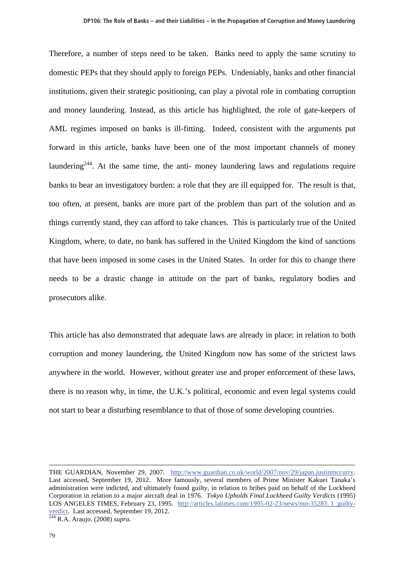Therefore, a number of steps need to be taken. Banks need to apply the same scrutiny to domestic PEPs that they should apply to foreign PEPs. Undeniably, banks and other financial institutions, given their strategic positioning, can play a pivotal role in combating corruption and money laundering. Instead, as this article has highlighted, the role of gate-keepers of AML regimes imposed on banks is ill-fitting. Indeed, consistent with the arguments put forward in this article, banks have been one of the most important channels of money laundering<sup>244</sup>. At the same time, the anti- money laundering laws and regulations require banks to bear an investigatory burden: a role that they are ill equipped for. The result is that, too often, at present, banks are more part of the problem than part of the solution and as things currently stand, they can afford to take chances. This is particularly true of the United Kingdom, where, to date, no bank has suffered in the United Kingdom the kind of sanctions that have been imposed in some cases in the United States. In order for this to change there needs to be a drastic change in attitude on the part of banks, regulatory bodies and prosecutors alike.

This article has also demonstrated that adequate laws are already in place: in relation to both corruption and money laundering, the United Kingdom now has some of the strictest laws anywhere in the world. However, without greater use and proper enforcement of these laws, there is no reason why, in time, the U.K.'s political, economic and even legal systems could not start to bear a disturbing resemblance to that of those of some developing countries.

THE GUARDIAN, November 29, 2007. http://www.guardian.co.uk/world/2007/nov/29/japan.justinmccurry. Last accessed, September 19, 2012. More famously, several members of Prime Minister Kakuei Tanaka's administration were indicted, and ultimately found guilty, in relation to bribes paid on behalf of the Lockheed Corporation in relation to a major aircraft deal in 1976. *Tokyo Upholds Final Lockheed Guilty Verdicts* (1995) LOS ANGELES TIMES, February 23, 1995. http://articles.latimes.com/1995-02-23/news/mn-35283\_1\_guiltyverdict. Last accessed, September 19, 2012. 244 R.A. Araujo. (2008) *supra*.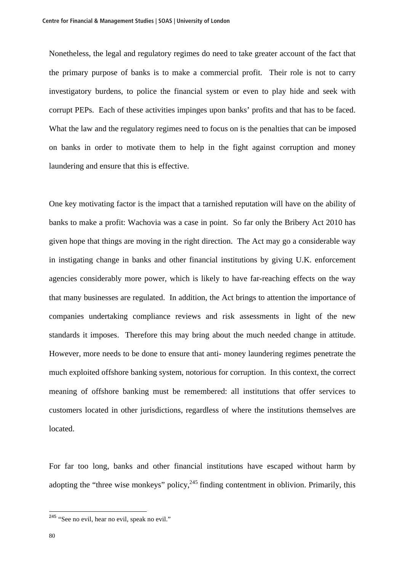Nonetheless, the legal and regulatory regimes do need to take greater account of the fact that the primary purpose of banks is to make a commercial profit. Their role is not to carry investigatory burdens, to police the financial system or even to play hide and seek with corrupt PEPs. Each of these activities impinges upon banks' profits and that has to be faced. What the law and the regulatory regimes need to focus on is the penalties that can be imposed on banks in order to motivate them to help in the fight against corruption and money laundering and ensure that this is effective.

One key motivating factor is the impact that a tarnished reputation will have on the ability of banks to make a profit: Wachovia was a case in point. So far only the Bribery Act 2010 has given hope that things are moving in the right direction. The Act may go a considerable way in instigating change in banks and other financial institutions by giving U.K. enforcement agencies considerably more power, which is likely to have far-reaching effects on the way that many businesses are regulated. In addition, the Act brings to attention the importance of companies undertaking compliance reviews and risk assessments in light of the new standards it imposes. Therefore this may bring about the much needed change in attitude. However, more needs to be done to ensure that anti- money laundering regimes penetrate the much exploited offshore banking system, notorious for corruption. In this context, the correct meaning of offshore banking must be remembered: all institutions that offer services to customers located in other jurisdictions, regardless of where the institutions themselves are located.

For far too long, banks and other financial institutions have escaped without harm by adopting the "three wise monkeys" policy,  $245$  finding contentment in oblivion. Primarily, this

<sup>&</sup>lt;sup>245</sup> "See no evil, hear no evil, speak no evil."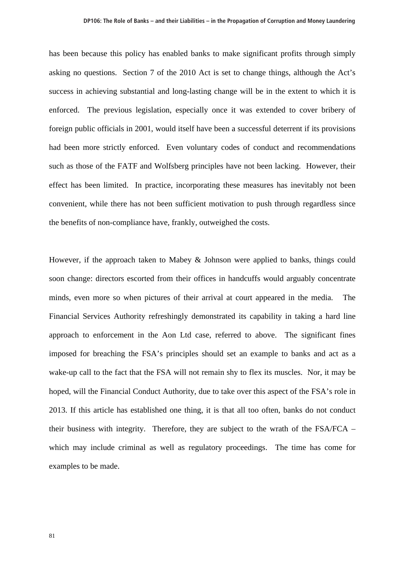has been because this policy has enabled banks to make significant profits through simply asking no questions. Section 7 of the 2010 Act is set to change things, although the Act's success in achieving substantial and long-lasting change will be in the extent to which it is enforced. The previous legislation, especially once it was extended to cover bribery of foreign public officials in 2001, would itself have been a successful deterrent if its provisions had been more strictly enforced. Even voluntary codes of conduct and recommendations such as those of the FATF and Wolfsberg principles have not been lacking. However, their effect has been limited. In practice, incorporating these measures has inevitably not been convenient, while there has not been sufficient motivation to push through regardless since the benefits of non-compliance have, frankly, outweighed the costs.

However, if the approach taken to Mabey & Johnson were applied to banks, things could soon change: directors escorted from their offices in handcuffs would arguably concentrate minds, even more so when pictures of their arrival at court appeared in the media. The Financial Services Authority refreshingly demonstrated its capability in taking a hard line approach to enforcement in the Aon Ltd case, referred to above. The significant fines imposed for breaching the FSA's principles should set an example to banks and act as a wake-up call to the fact that the FSA will not remain shy to flex its muscles. Nor, it may be hoped, will the Financial Conduct Authority, due to take over this aspect of the FSA's role in 2013. If this article has established one thing, it is that all too often, banks do not conduct their business with integrity. Therefore, they are subject to the wrath of the FSA/FCA – which may include criminal as well as regulatory proceedings. The time has come for examples to be made.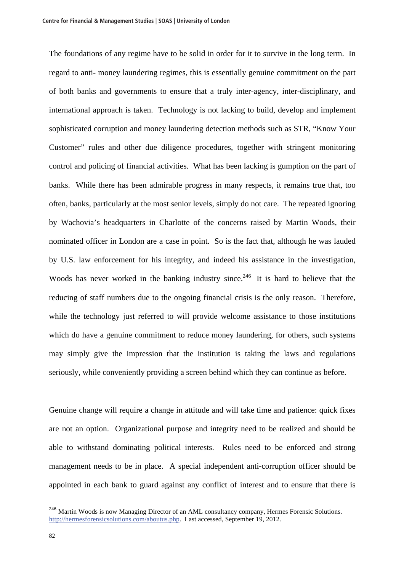The foundations of any regime have to be solid in order for it to survive in the long term. In regard to anti- money laundering regimes, this is essentially genuine commitment on the part of both banks and governments to ensure that a truly inter-agency, inter-disciplinary, and international approach is taken. Technology is not lacking to build, develop and implement sophisticated corruption and money laundering detection methods such as STR, "Know Your Customer" rules and other due diligence procedures, together with stringent monitoring control and policing of financial activities. What has been lacking is gumption on the part of banks. While there has been admirable progress in many respects, it remains true that, too often, banks, particularly at the most senior levels, simply do not care. The repeated ignoring by Wachovia's headquarters in Charlotte of the concerns raised by Martin Woods, their nominated officer in London are a case in point. So is the fact that, although he was lauded by U.S. law enforcement for his integrity, and indeed his assistance in the investigation, Woods has never worked in the banking industry since.<sup>246</sup> It is hard to believe that the reducing of staff numbers due to the ongoing financial crisis is the only reason. Therefore, while the technology just referred to will provide welcome assistance to those institutions which do have a genuine commitment to reduce money laundering, for others, such systems may simply give the impression that the institution is taking the laws and regulations seriously, while conveniently providing a screen behind which they can continue as before.

Genuine change will require a change in attitude and will take time and patience: quick fixes are not an option. Organizational purpose and integrity need to be realized and should be able to withstand dominating political interests. Rules need to be enforced and strong management needs to be in place. A special independent anti-corruption officer should be appointed in each bank to guard against any conflict of interest and to ensure that there is

<sup>&</sup>lt;sup>246</sup> Martin Woods is now Managing Director of an AML consultancy company, Hermes Forensic Solutions. http://hermesforensicsolutions.com/aboutus.php. Last accessed, September 19, 2012.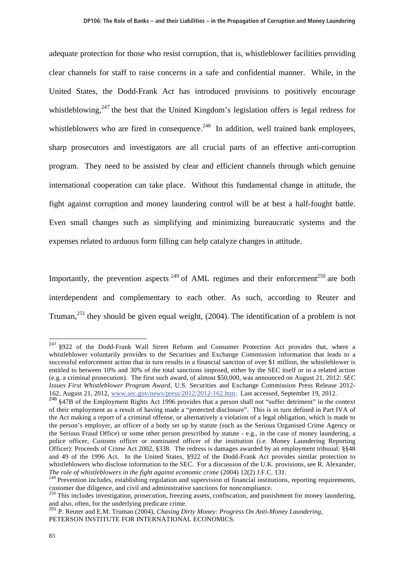adequate protection for those who resist corruption, that is, whistleblower facilities providing clear channels for staff to raise concerns in a safe and confidential manner. While, in the United States, the Dodd-Frank Act has introduced provisions to positively encourage whistleblowing,  $247$  the best that the United Kingdom's legislation offers is legal redress for whistleblowers who are fired in consequence.<sup>248</sup> In addition, well trained bank employees, sharp prosecutors and investigators are all crucial parts of an effective anti-corruption program. They need to be assisted by clear and efficient channels through which genuine international cooperation can take place. Without this fundamental change in attitude, the fight against corruption and money laundering control will be at best a half-fought battle. Even small changes such as simplifying and minimizing bureaucratic systems and the expenses related to arduous form filling can help catalyze changes in attitude.

Importantly, the prevention aspects  $249$  of AML regimes and their enforcement<sup>250</sup> are both interdependent and complementary to each other. As such, according to Reuter and Truman,<sup>251</sup> they should be given equal weight,  $(2004)$ . The identification of a problem is not

<sup>&</sup>lt;sup>247</sup> §922 of the Dodd-Frank Wall Street Reform and Consumer Protection Act provides that, where a whistleblower voluntarily provides to the Securities and Exchange Commission information that leads to a successful enforcement action that in turn results in a financial sanction of over \$1 million, the whistleblower is entitled to between 10% and 30% of the total sanctions imposed, either by the SEC itself or in a related action (e.g. a criminal prosecution). The first such award, of almost \$50,000, was announced on August 21, 2012: *SEC Issues First Whistleblower Program Award*, U.S. Securities and Exchange Commission Press Release 2012- 162, August 21, 2012, www.sec.gov/news/press/2012/2012-162.htm. Last accessed, September 19, 2012.

<sup>&</sup>lt;sup>248</sup> §47B of the Employment Rights Act 1996 provides that a person shall not "suffer detriment" in the context of their employment as a result of having made a "protected disclosure". This is in turn defined in Part IVA of the Act making a report of a criminal offense, or alternatively a violation of a legal obligation, which is made to the person's employer, an officer of a body set up by statute (such as the Serious Organised Crime Agency or the Serious Fraud Office) or some other person prescribed by statute - e.g., in the case of money laundering, a police officer, Customs officer or nominated officer of the institution (i.e. Money Laundering Reporting Officer): Proceeds of Crime Act 2002, §338. The redress is damages awarded by an employment tribunal: §§48 and 49 of the 1996 Act. In the United States, §922 of the Dodd-Frank Act provides similar protection to whistleblowers who disclose information to the SEC. For a discussion of the U.K. provisions, see R. Alexander, *The role of whistleblowers in the fight against economic crime* (2004) 12(2) J.F.C. 131.

<sup>&</sup>lt;sup>249</sup> Prevention includes, establishing regulation and supervision of financial institutions, reporting requirements, customer due diligence, and civil and administrative sanctions for noncompliance.

<sup>&</sup>lt;sup>250</sup> This includes investigation, prosecution, freezing assets, confiscation, and punishment for money laundering, and also, often, for the underlying predicate crime.

<sup>251</sup> P. Reuter and E.M. Truman (2004), *Chasing Dirty Money: Progress On Anti-Money Laundering*, PETERSON INSTITUTE FOR INTERNATIONAL ECONOMICS.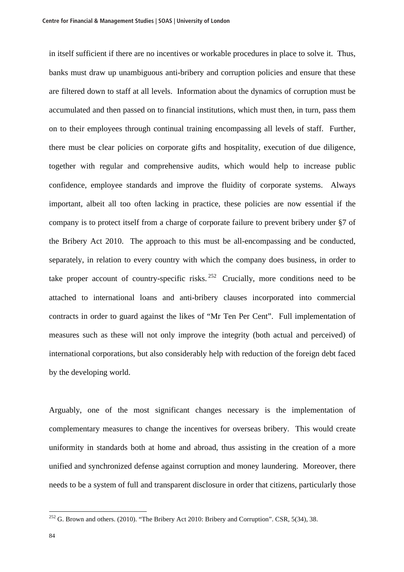in itself sufficient if there are no incentives or workable procedures in place to solve it. Thus, banks must draw up unambiguous anti-bribery and corruption policies and ensure that these are filtered down to staff at all levels. Information about the dynamics of corruption must be accumulated and then passed on to financial institutions, which must then, in turn, pass them on to their employees through continual training encompassing all levels of staff. Further, there must be clear policies on corporate gifts and hospitality, execution of due diligence, together with regular and comprehensive audits, which would help to increase public confidence, employee standards and improve the fluidity of corporate systems. Always important, albeit all too often lacking in practice, these policies are now essential if the company is to protect itself from a charge of corporate failure to prevent bribery under §7 of the Bribery Act 2010. The approach to this must be all-encompassing and be conducted, separately, in relation to every country with which the company does business, in order to take proper account of country-specific risks.  $252$  Crucially, more conditions need to be attached to international loans and anti-bribery clauses incorporated into commercial contracts in order to guard against the likes of "Mr Ten Per Cent". Full implementation of measures such as these will not only improve the integrity (both actual and perceived) of international corporations, but also considerably help with reduction of the foreign debt faced by the developing world.

Arguably, one of the most significant changes necessary is the implementation of complementary measures to change the incentives for overseas bribery. This would create uniformity in standards both at home and abroad, thus assisting in the creation of a more unified and synchronized defense against corruption and money laundering. Moreover, there needs to be a system of full and transparent disclosure in order that citizens, particularly those

 $^{252}$  G. Brown and others. (2010). "The Bribery Act 2010: Bribery and Corruption". CSR, 5(34), 38.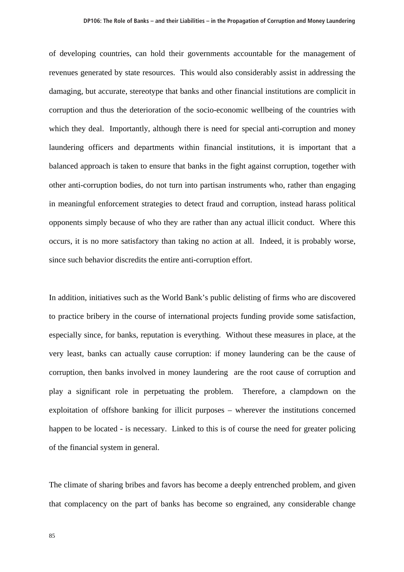of developing countries, can hold their governments accountable for the management of revenues generated by state resources. This would also considerably assist in addressing the damaging, but accurate, stereotype that banks and other financial institutions are complicit in corruption and thus the deterioration of the socio-economic wellbeing of the countries with which they deal. Importantly, although there is need for special anti-corruption and money laundering officers and departments within financial institutions, it is important that a balanced approach is taken to ensure that banks in the fight against corruption, together with other anti-corruption bodies, do not turn into partisan instruments who, rather than engaging in meaningful enforcement strategies to detect fraud and corruption, instead harass political opponents simply because of who they are rather than any actual illicit conduct. Where this occurs, it is no more satisfactory than taking no action at all. Indeed, it is probably worse, since such behavior discredits the entire anti-corruption effort.

In addition, initiatives such as the World Bank's public delisting of firms who are discovered to practice bribery in the course of international projects funding provide some satisfaction, especially since, for banks, reputation is everything. Without these measures in place, at the very least, banks can actually cause corruption: if money laundering can be the cause of corruption, then banks involved in money laundering are the root cause of corruption and play a significant role in perpetuating the problem. Therefore, a clampdown on the exploitation of offshore banking for illicit purposes – wherever the institutions concerned happen to be located - is necessary. Linked to this is of course the need for greater policing of the financial system in general.

The climate of sharing bribes and favors has become a deeply entrenched problem, and given that complacency on the part of banks has become so engrained, any considerable change